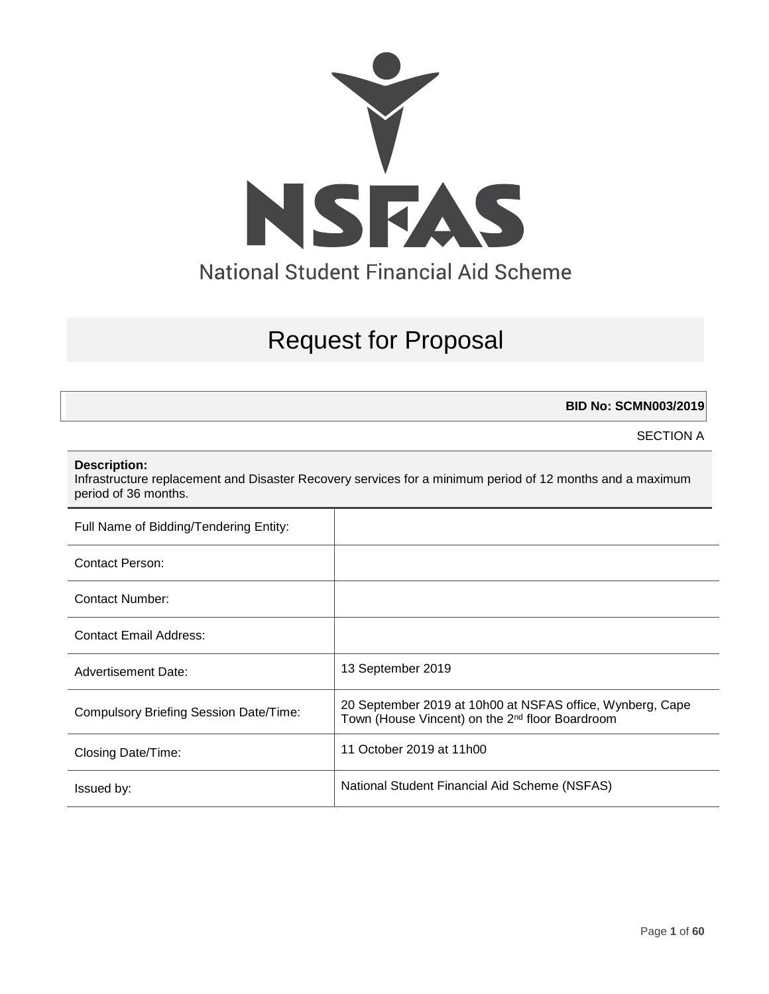

# Request for Proposal

**BID No: SCMN003/2019**

SECTION A

#### **Description:**

Infrastructure replacement and Disaster Recovery services for a minimum period of 12 months and a maximum period of 36 months.

| Full Name of Bidding/Tendering Entity: |                                                                                                                          |
|----------------------------------------|--------------------------------------------------------------------------------------------------------------------------|
| Contact Person:                        |                                                                                                                          |
| Contact Number:                        |                                                                                                                          |
| Contact Email Address:                 |                                                                                                                          |
| Advertisement Date:                    | 13 September 2019                                                                                                        |
| Compulsory Briefing Session Date/Time: | 20 September 2019 at 10h00 at NSFAS office, Wynberg, Cape<br>Town (House Vincent) on the 2 <sup>nd</sup> floor Boardroom |
| Closing Date/Time:                     | 11 October 2019 at 11h00                                                                                                 |
| Issued by:                             | National Student Financial Aid Scheme (NSFAS)                                                                            |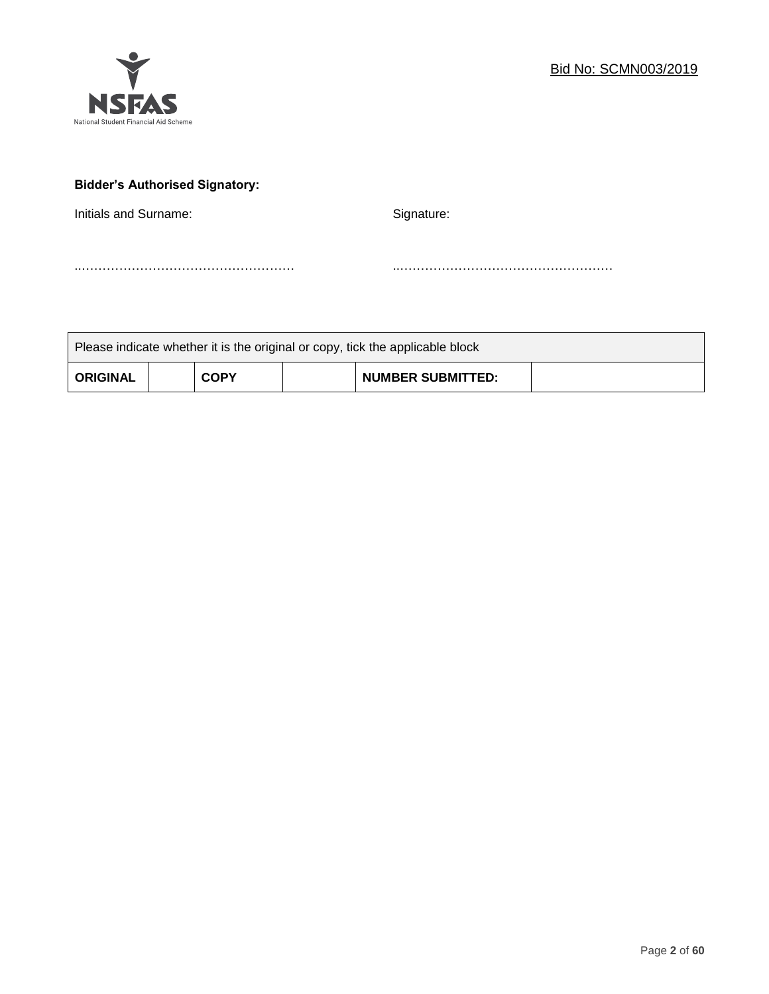

# **Bidder's Authorised Signatory:**

Initials and Surname: Signature: Signature:

..…………………………………………… ..……………………………………………

| Please indicate whether it is the original or copy, tick the applicable block |  |             |  |                          |  |
|-------------------------------------------------------------------------------|--|-------------|--|--------------------------|--|
| <b>ORIGINAL</b>                                                               |  | <b>COPY</b> |  | <b>NUMBER SUBMITTED:</b> |  |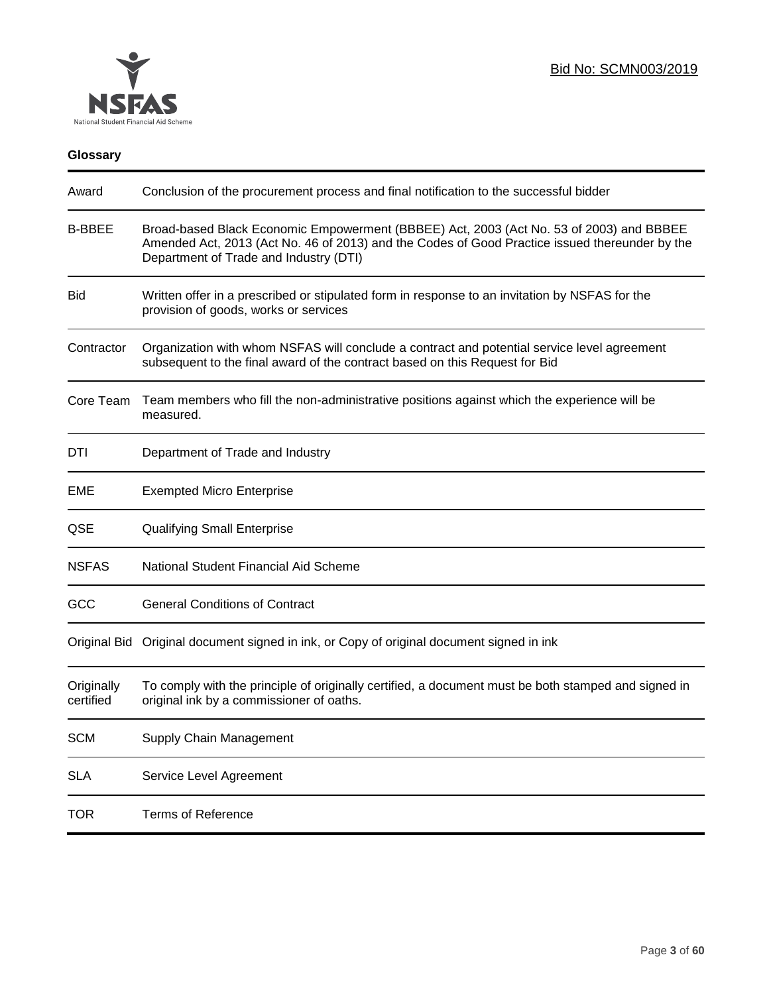

# **Glossary**

| Award                   | Conclusion of the procurement process and final notification to the successful bidder                                                                                                                                               |
|-------------------------|-------------------------------------------------------------------------------------------------------------------------------------------------------------------------------------------------------------------------------------|
| <b>B-BBEE</b>           | Broad-based Black Economic Empowerment (BBBEE) Act, 2003 (Act No. 53 of 2003) and BBBEE<br>Amended Act, 2013 (Act No. 46 of 2013) and the Codes of Good Practice issued thereunder by the<br>Department of Trade and Industry (DTI) |
| <b>Bid</b>              | Written offer in a prescribed or stipulated form in response to an invitation by NSFAS for the<br>provision of goods, works or services                                                                                             |
| Contractor              | Organization with whom NSFAS will conclude a contract and potential service level agreement<br>subsequent to the final award of the contract based on this Request for Bid                                                          |
| Core Team               | Team members who fill the non-administrative positions against which the experience will be<br>measured.                                                                                                                            |
| DTI                     | Department of Trade and Industry                                                                                                                                                                                                    |
| EME                     | <b>Exempted Micro Enterprise</b>                                                                                                                                                                                                    |
| QSE                     | <b>Qualifying Small Enterprise</b>                                                                                                                                                                                                  |
| <b>NSFAS</b>            | National Student Financial Aid Scheme                                                                                                                                                                                               |
| <b>GCC</b>              | <b>General Conditions of Contract</b>                                                                                                                                                                                               |
|                         | Original Bid Original document signed in ink, or Copy of original document signed in ink                                                                                                                                            |
| Originally<br>certified | To comply with the principle of originally certified, a document must be both stamped and signed in<br>original ink by a commissioner of oaths.                                                                                     |
| <b>SCM</b>              | Supply Chain Management                                                                                                                                                                                                             |
| <b>SLA</b>              | Service Level Agreement                                                                                                                                                                                                             |
| <b>TOR</b>              | <b>Terms of Reference</b>                                                                                                                                                                                                           |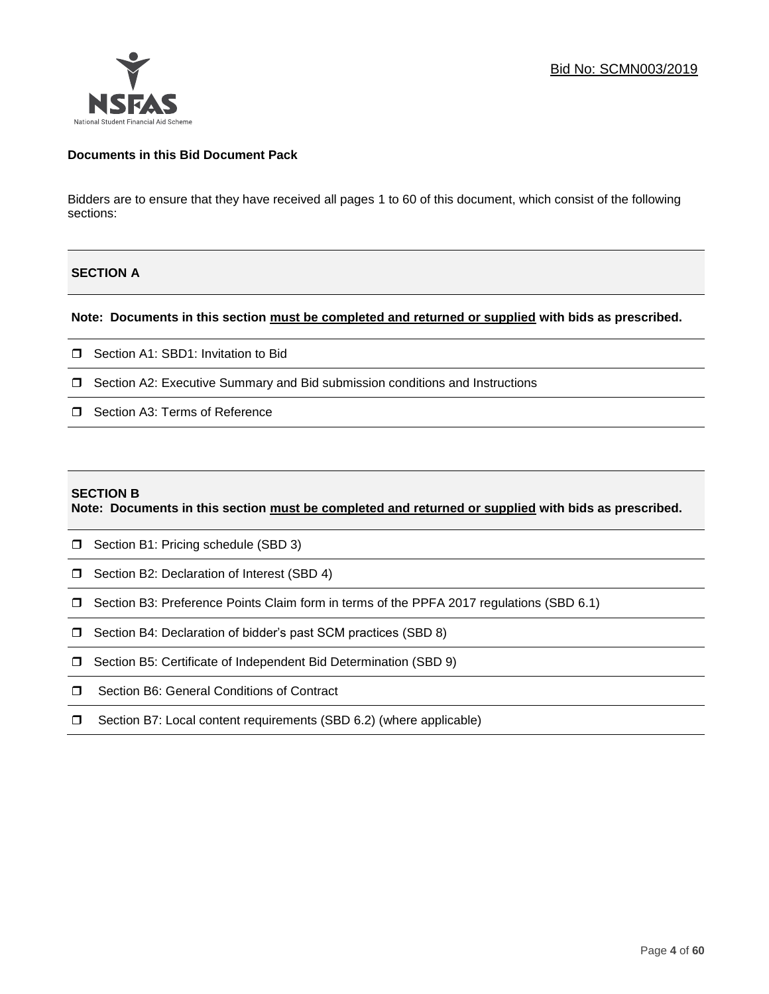

## **Documents in this Bid Document Pack**

Bidders are to ensure that they have received all pages 1 to 60 of this document, which consist of the following sections:

## **SECTION A**

#### **Note: Documents in this section must be completed and returned or supplied with bids as prescribed.**

- □ Section A1: SBD1: Invitation to Bid
- Section A2: Executive Summary and Bid submission conditions and Instructions
- □ Section A3: Terms of Reference

#### **SECTION B**

**Note: Documents in this section must be completed and returned or supplied with bids as prescribed.**

- □ Section B1: Pricing schedule (SBD 3)
- □ Section B2: Declaration of Interest (SBD 4)
- Section B3: Preference Points Claim form in terms of the PPFA 2017 regulations (SBD 6.1)
- □ Section B4: Declaration of bidder's past SCM practices (SBD 8)
- □ Section B5: Certificate of Independent Bid Determination (SBD 9)
- **I** Section B6: General Conditions of Contract
- □ Section B7: Local content requirements (SBD 6.2) (where applicable)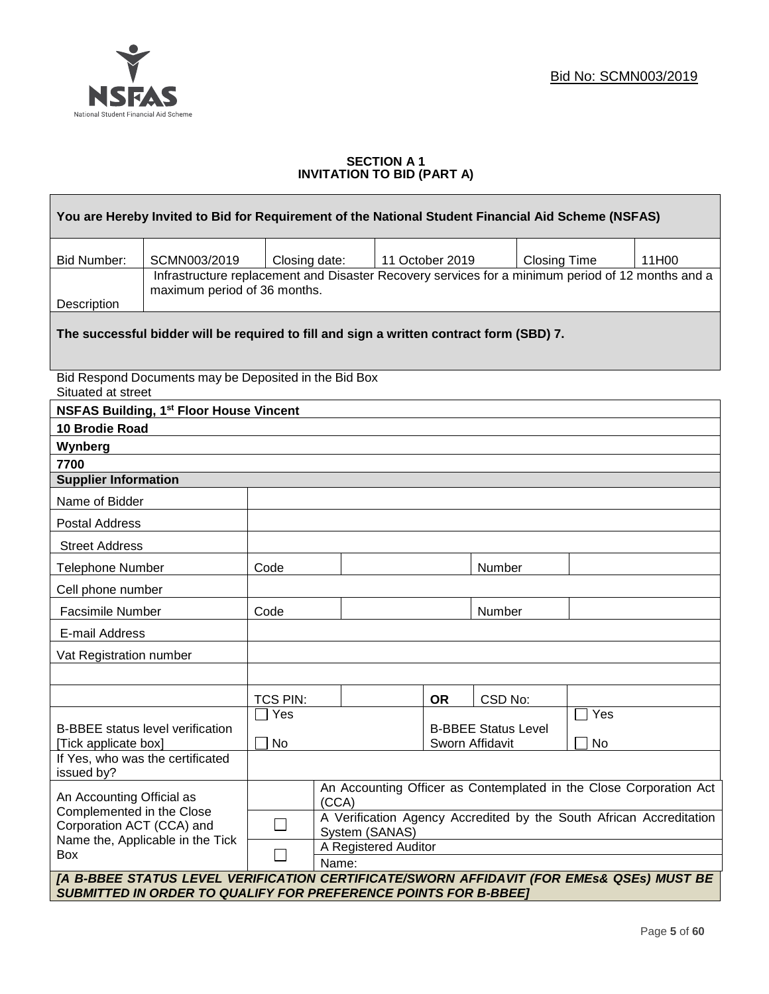

## **SECTION A 1 INVITATION TO BID (PART A)**

| You are Hereby Invited to Bid for Requirement of the National Student Financial Aid Scheme (NSFAS)                                                                 |                                                                                                                                       |               |                      |  |                            |                 |                     |                                                                     |
|--------------------------------------------------------------------------------------------------------------------------------------------------------------------|---------------------------------------------------------------------------------------------------------------------------------------|---------------|----------------------|--|----------------------------|-----------------|---------------------|---------------------------------------------------------------------|
| <b>Bid Number:</b>                                                                                                                                                 | SCMN003/2019                                                                                                                          | Closing date: |                      |  | 11 October 2019            |                 | <b>Closing Time</b> | 11H00                                                               |
|                                                                                                                                                                    | Infrastructure replacement and Disaster Recovery services for a minimum period of 12 months and a                                     |               |                      |  |                            |                 |                     |                                                                     |
| Description                                                                                                                                                        | maximum period of 36 months.                                                                                                          |               |                      |  |                            |                 |                     |                                                                     |
|                                                                                                                                                                    | The successful bidder will be required to fill and sign a written contract form (SBD) 7.                                              |               |                      |  |                            |                 |                     |                                                                     |
| Situated at street                                                                                                                                                 | Bid Respond Documents may be Deposited in the Bid Box                                                                                 |               |                      |  |                            |                 |                     |                                                                     |
|                                                                                                                                                                    | <b>NSFAS Building, 1st Floor House Vincent</b>                                                                                        |               |                      |  |                            |                 |                     |                                                                     |
| 10 Brodie Road                                                                                                                                                     |                                                                                                                                       |               |                      |  |                            |                 |                     |                                                                     |
| Wynberg                                                                                                                                                            |                                                                                                                                       |               |                      |  |                            |                 |                     |                                                                     |
| 7700                                                                                                                                                               |                                                                                                                                       |               |                      |  |                            |                 |                     |                                                                     |
| <b>Supplier Information</b>                                                                                                                                        |                                                                                                                                       |               |                      |  |                            |                 |                     |                                                                     |
| Name of Bidder                                                                                                                                                     |                                                                                                                                       |               |                      |  |                            |                 |                     |                                                                     |
| <b>Postal Address</b>                                                                                                                                              |                                                                                                                                       |               |                      |  |                            |                 |                     |                                                                     |
| <b>Street Address</b>                                                                                                                                              |                                                                                                                                       |               |                      |  |                            |                 |                     |                                                                     |
| <b>Telephone Number</b>                                                                                                                                            |                                                                                                                                       | Code          |                      |  |                            | Number          |                     |                                                                     |
| Cell phone number                                                                                                                                                  |                                                                                                                                       |               |                      |  |                            |                 |                     |                                                                     |
| Facsimile Number                                                                                                                                                   |                                                                                                                                       | Code          |                      |  |                            | Number          |                     |                                                                     |
| E-mail Address                                                                                                                                                     |                                                                                                                                       |               |                      |  |                            |                 |                     |                                                                     |
| Vat Registration number                                                                                                                                            |                                                                                                                                       |               |                      |  |                            |                 |                     |                                                                     |
|                                                                                                                                                                    |                                                                                                                                       |               |                      |  |                            |                 |                     |                                                                     |
|                                                                                                                                                                    |                                                                                                                                       | TCS PIN:      |                      |  | <b>OR</b>                  | CSD No:         |                     |                                                                     |
|                                                                                                                                                                    |                                                                                                                                       | $\Box$ Yes    |                      |  |                            |                 | $\Box$ Yes          |                                                                     |
|                                                                                                                                                                    | <b>B-BBEE</b> status level verification                                                                                               |               |                      |  | <b>B-BBEE Status Level</b> |                 |                     |                                                                     |
| [Tick applicate box]                                                                                                                                               | If Yes, who was the certificated                                                                                                      | <b>No</b>     |                      |  |                            | Sworn Affidavit | No                  |                                                                     |
| issued by?                                                                                                                                                         |                                                                                                                                       |               |                      |  |                            |                 |                     |                                                                     |
|                                                                                                                                                                    | An Accounting Officer as Contemplated in the Close Corporation Act<br>An Accounting Official as<br>(CCA)<br>Complemented in the Close |               |                      |  |                            |                 |                     |                                                                     |
| Corporation ACT (CCA) and                                                                                                                                          | Name the, Applicable in the Tick                                                                                                      | $\Box$        | System (SANAS)       |  |                            |                 |                     | A Verification Agency Accredited by the South African Accreditation |
| Box                                                                                                                                                                |                                                                                                                                       | $\Box$        | A Registered Auditor |  |                            |                 |                     |                                                                     |
|                                                                                                                                                                    |                                                                                                                                       |               | Name:                |  |                            |                 |                     |                                                                     |
| [A B-BBEE STATUS LEVEL VERIFICATION CERTIFICATE/SWORN AFFIDAVIT (FOR EMEs& QSEs) MUST BE<br><b>SUBMITTED IN ORDER TO QUALIFY FOR PREFERENCE POINTS FOR B-BBEET</b> |                                                                                                                                       |               |                      |  |                            |                 |                     |                                                                     |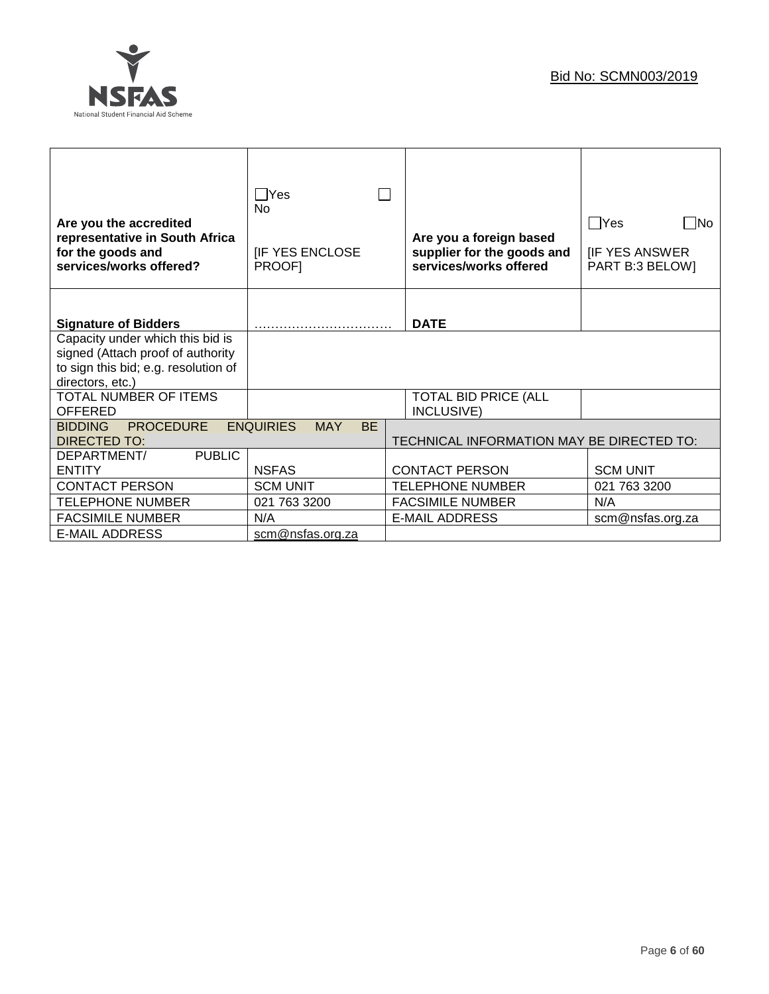

| Are you the accredited<br>representative in South Africa<br>for the goods and<br>services/works offered?                          | $\Box$ Yes<br>No<br><b>IF YES ENCLOSE</b><br>PROOF] | Are you a foreign based<br>supplier for the goods and<br>services/works offered | $\Box$ Yes<br>$\Box$ No<br><b>IF YES ANSWER</b><br>PART B:3 BELOW] |
|-----------------------------------------------------------------------------------------------------------------------------------|-----------------------------------------------------|---------------------------------------------------------------------------------|--------------------------------------------------------------------|
| <b>Signature of Bidders</b>                                                                                                       |                                                     | <b>DATE</b>                                                                     |                                                                    |
| Capacity under which this bid is<br>signed (Attach proof of authority<br>to sign this bid; e.g. resolution of<br>directors, etc.) |                                                     |                                                                                 |                                                                    |
| TOTAL NUMBER OF ITEMS<br><b>OFFERED</b>                                                                                           |                                                     | <b>TOTAL BID PRICE (ALL</b><br>INCLUSIVE)                                       |                                                                    |
| <b>PROCEDURE</b><br><b>BIDDING</b><br><b>DIRECTED TO:</b>                                                                         | <b>ENQUIRIES</b><br><b>BE</b><br><b>MAY</b>         | TECHNICAL INFORMATION MAY BE DIRECTED TO:                                       |                                                                    |
| DEPARTMENT/<br><b>PUBLIC</b>                                                                                                      |                                                     |                                                                                 |                                                                    |
| <b>ENTITY</b>                                                                                                                     | <b>NSFAS</b>                                        | <b>CONTACT PERSON</b>                                                           | <b>SCM UNIT</b>                                                    |
| <b>CONTACT PERSON</b>                                                                                                             | <b>SCM UNIT</b>                                     | <b>TELEPHONE NUMBER</b>                                                         | 021 763 3200                                                       |
| <b>TELEPHONE NUMBER</b>                                                                                                           | 021 763 3200                                        | <b>FACSIMILE NUMBER</b>                                                         | N/A                                                                |
| <b>FACSIMILE NUMBER</b>                                                                                                           | N/A                                                 | <b>E-MAIL ADDRESS</b>                                                           | scm@nsfas.org.za                                                   |
| E-MAIL ADDRESS                                                                                                                    | scm@nsfas.org.za                                    |                                                                                 |                                                                    |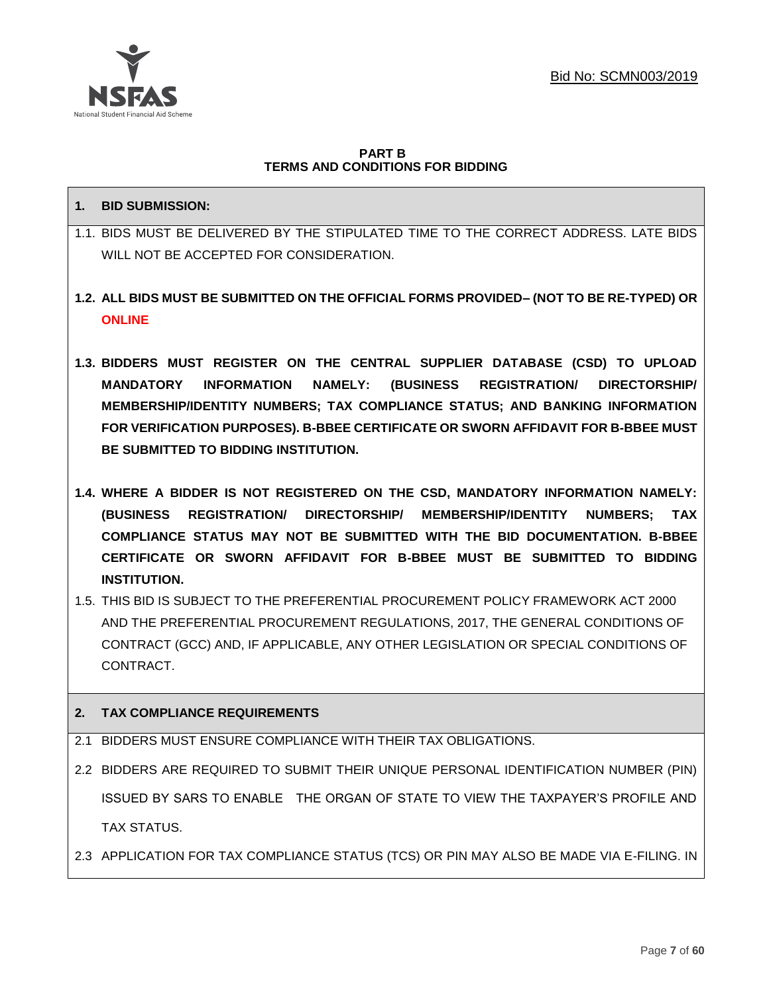

#### **PART B TERMS AND CONDITIONS FOR BIDDING**

## **1. BID SUBMISSION:**

- 1.1. BIDS MUST BE DELIVERED BY THE STIPULATED TIME TO THE CORRECT ADDRESS. LATE BIDS WILL NOT BE ACCEPTED FOR CONSIDERATION.
- **1.2. ALL BIDS MUST BE SUBMITTED ON THE OFFICIAL FORMS PROVIDED– (NOT TO BE RE-TYPED) OR ONLINE**
- **1.3. BIDDERS MUST REGISTER ON THE CENTRAL SUPPLIER DATABASE (CSD) TO UPLOAD MANDATORY INFORMATION NAMELY: (BUSINESS REGISTRATION/ DIRECTORSHIP/ MEMBERSHIP/IDENTITY NUMBERS; TAX COMPLIANCE STATUS; AND BANKING INFORMATION FOR VERIFICATION PURPOSES). B-BBEE CERTIFICATE OR SWORN AFFIDAVIT FOR B-BBEE MUST BE SUBMITTED TO BIDDING INSTITUTION.**
- **1.4. WHERE A BIDDER IS NOT REGISTERED ON THE CSD, MANDATORY INFORMATION NAMELY: (BUSINESS REGISTRATION/ DIRECTORSHIP/ MEMBERSHIP/IDENTITY NUMBERS; TAX COMPLIANCE STATUS MAY NOT BE SUBMITTED WITH THE BID DOCUMENTATION. B-BBEE CERTIFICATE OR SWORN AFFIDAVIT FOR B-BBEE MUST BE SUBMITTED TO BIDDING INSTITUTION.**
- 1.5. THIS BID IS SUBJECT TO THE PREFERENTIAL PROCUREMENT POLICY FRAMEWORK ACT 2000 AND THE PREFERENTIAL PROCUREMENT REGULATIONS, 2017, THE GENERAL CONDITIONS OF CONTRACT (GCC) AND, IF APPLICABLE, ANY OTHER LEGISLATION OR SPECIAL CONDITIONS OF **CONTRACT**

# **2. TAX COMPLIANCE REQUIREMENTS**

- 2.1 BIDDERS MUST ENSURE COMPLIANCE WITH THEIR TAX OBLIGATIONS.
- 2.2 BIDDERS ARE REQUIRED TO SUBMIT THEIR UNIQUE PERSONAL IDENTIFICATION NUMBER (PIN) ISSUED BY SARS TO ENABLE THE ORGAN OF STATE TO VIEW THE TAXPAYER'S PROFILE AND TAX STATUS.
- 2.3 APPLICATION FOR TAX COMPLIANCE STATUS (TCS) OR PIN MAY ALSO BE MADE VIA E-FILING. IN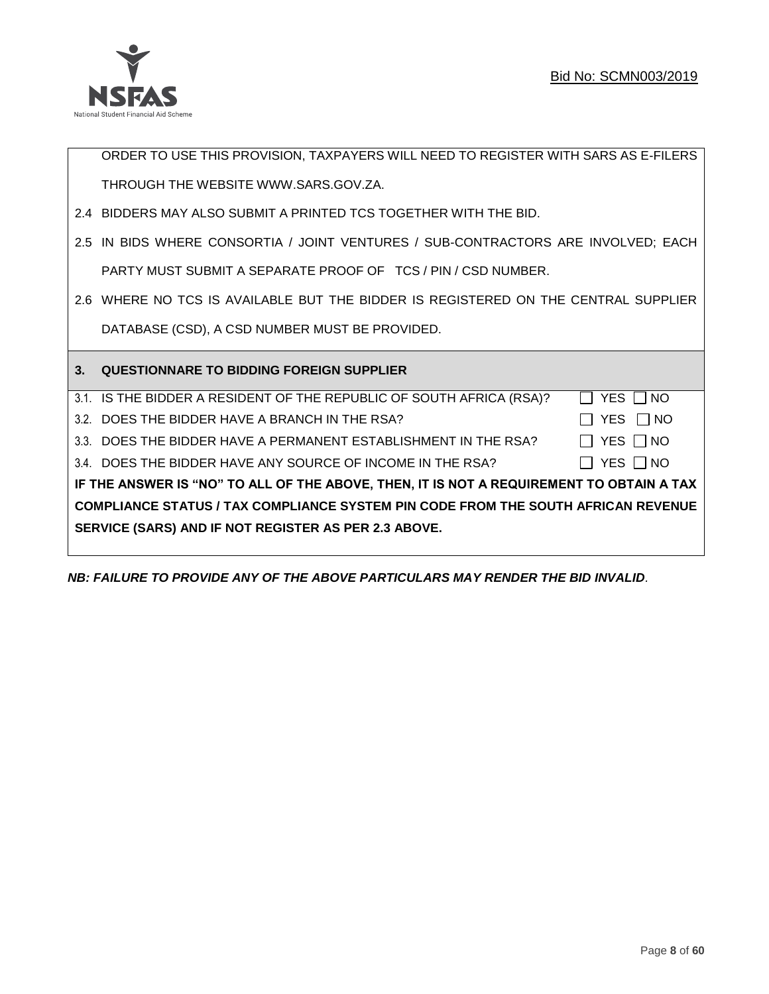

ORDER TO USE THIS PROVISION, TAXPAYERS WILL NEED TO REGISTER WITH SARS AS E-FILERS THROUGH THE WEBSIT[E WWW.SARS.GOV.ZA.](http://www.sars.gov.za/)

- 2.4 BIDDERS MAY ALSO SUBMIT A PRINTED TCS TOGETHER WITH THE BID.
- 2.5 IN BIDS WHERE CONSORTIA / JOINT VENTURES / SUB-CONTRACTORS ARE INVOLVED; EACH PARTY MUST SUBMIT A SEPARATE PROOF OF TCS / PIN / CSD NUMBER.
- 2.6 WHERE NO TCS IS AVAILABLE BUT THE BIDDER IS REGISTERED ON THE CENTRAL SUPPLIER DATABASE (CSD), A CSD NUMBER MUST BE PROVIDED.

| $\mathbf{3}$ | <b>QUESTIONNARE TO BIDDING FOREIGN SUPPLIER</b>                                          |                      |
|--------------|------------------------------------------------------------------------------------------|----------------------|
|              | 3.1. IS THE BIDDER A RESIDENT OF THE REPUBLIC OF SOUTH AFRICA (RSA)?                     | YES     NO           |
|              | 3.2. DOES THE BIDDER HAVE A BRANCH IN THE RSA?                                           | YES   NO             |
|              | 3.3. DOES THE BIDDER HAVE A PERMANENT ESTABLISHMENT IN THE RSA?                          | $\Box$ Yes $\Box$ No |
|              | 3.4. DOES THE BIDDER HAVE ANY SOURCE OF INCOME IN THE RSA?                               | YES □ NO             |
|              | IF THE ANSWER IS "NO" TO ALL OF THE ABOVE, THEN, IT IS NOT A REQUIREMENT TO OBTAIN A TAX |                      |
|              | <b>COMPLIANCE STATUS / TAX COMPLIANCE SYSTEM PIN CODE FROM THE SOUTH AFRICAN REVENUE</b> |                      |
|              | SERVICE (SARS) AND IF NOT REGISTER AS PER 2.3 ABOVE.                                     |                      |
|              |                                                                                          |                      |

*NB: FAILURE TO PROVIDE ANY OF THE ABOVE PARTICULARS MAY RENDER THE BID INVALID.*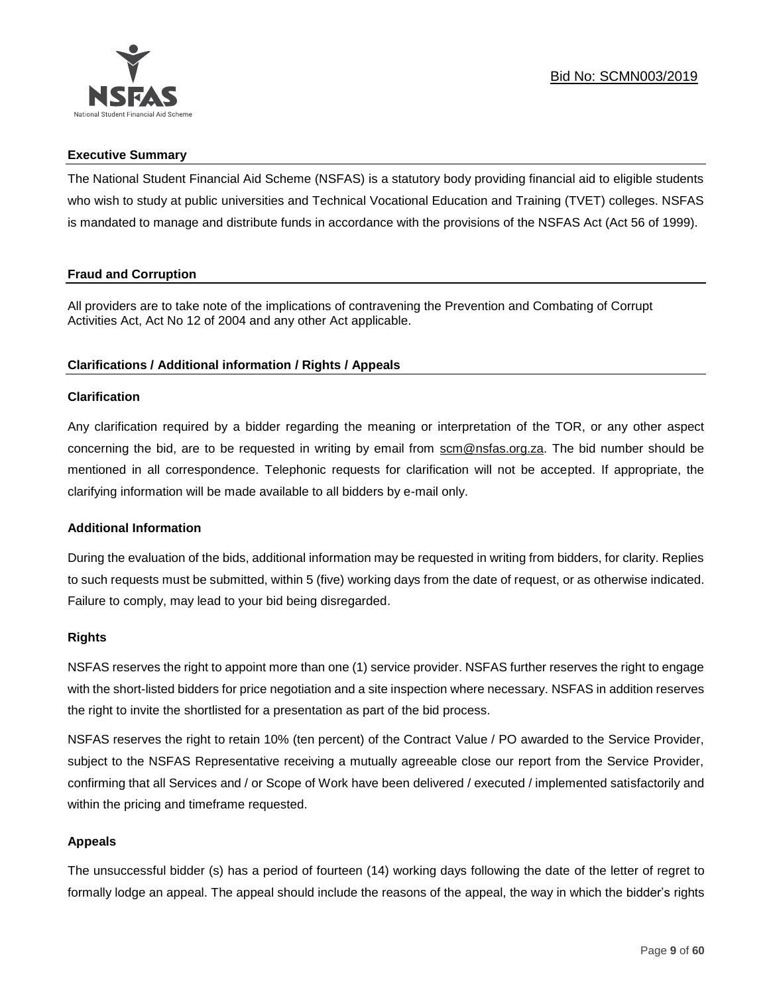

## **Executive Summary**

The National Student Financial Aid Scheme (NSFAS) is a statutory body providing financial aid to eligible students who wish to study at public universities and Technical Vocational Education and Training (TVET) colleges. NSFAS is mandated to manage and distribute funds in accordance with the provisions of the NSFAS Act (Act 56 of 1999).

## **Fraud and Corruption**

All providers are to take note of the implications of contravening the Prevention and Combating of Corrupt Activities Act, Act No 12 of 2004 and any other Act applicable.

## **Clarifications / Additional information / Rights / Appeals**

## **Clarification**

Any clarification required by a bidder regarding the meaning or interpretation of the TOR, or any other aspect concerning the bid, are to be requested in writing by email from scm@nsfas.org.za. The bid number should be mentioned in all correspondence. Telephonic requests for clarification will not be accepted. If appropriate, the clarifying information will be made available to all bidders by e-mail only.

## **Additional Information**

During the evaluation of the bids, additional information may be requested in writing from bidders, for clarity. Replies to such requests must be submitted, within 5 (five) working days from the date of request, or as otherwise indicated. Failure to comply, may lead to your bid being disregarded.

#### **Rights**

NSFAS reserves the right to appoint more than one (1) service provider. NSFAS further reserves the right to engage with the short-listed bidders for price negotiation and a site inspection where necessary. NSFAS in addition reserves the right to invite the shortlisted for a presentation as part of the bid process.

NSFAS reserves the right to retain 10% (ten percent) of the Contract Value / PO awarded to the Service Provider, subject to the NSFAS Representative receiving a mutually agreeable close our report from the Service Provider, confirming that all Services and / or Scope of Work have been delivered / executed / implemented satisfactorily and within the pricing and timeframe requested.

## **Appeals**

The unsuccessful bidder (s) has a period of fourteen (14) working days following the date of the letter of regret to formally lodge an appeal. The appeal should include the reasons of the appeal, the way in which the bidder's rights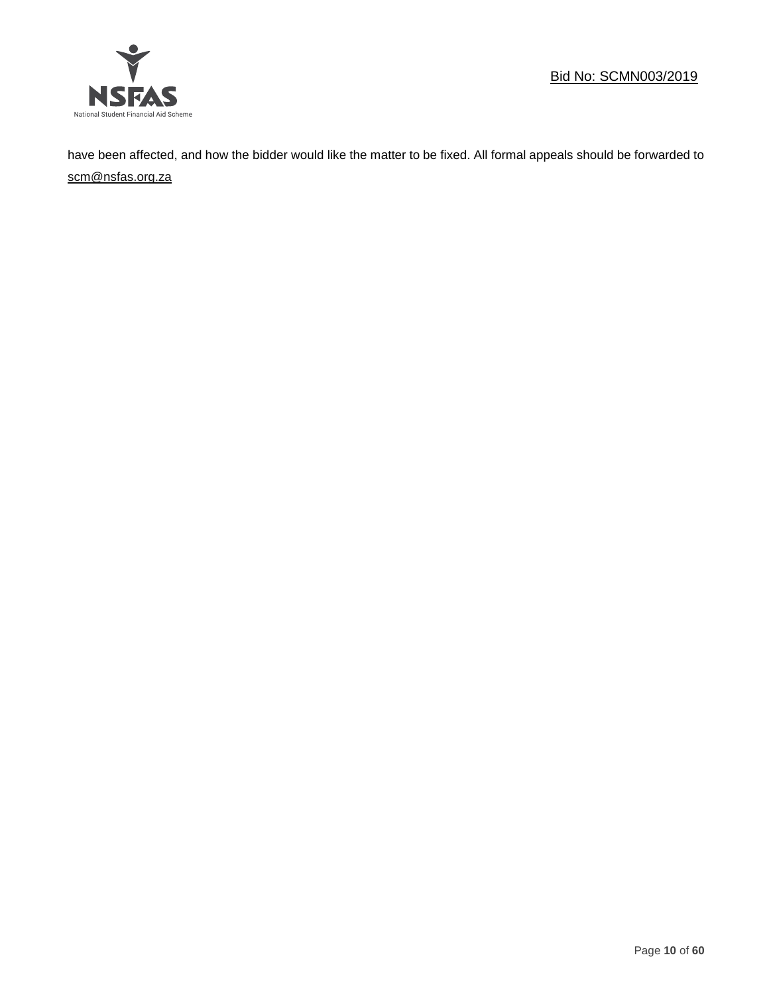

have been affected, and how the bidder would like the matter to be fixed. All formal appeals should be forwarded to [scm@nsfas.org.za](mailto:scm@nsfas.org.za)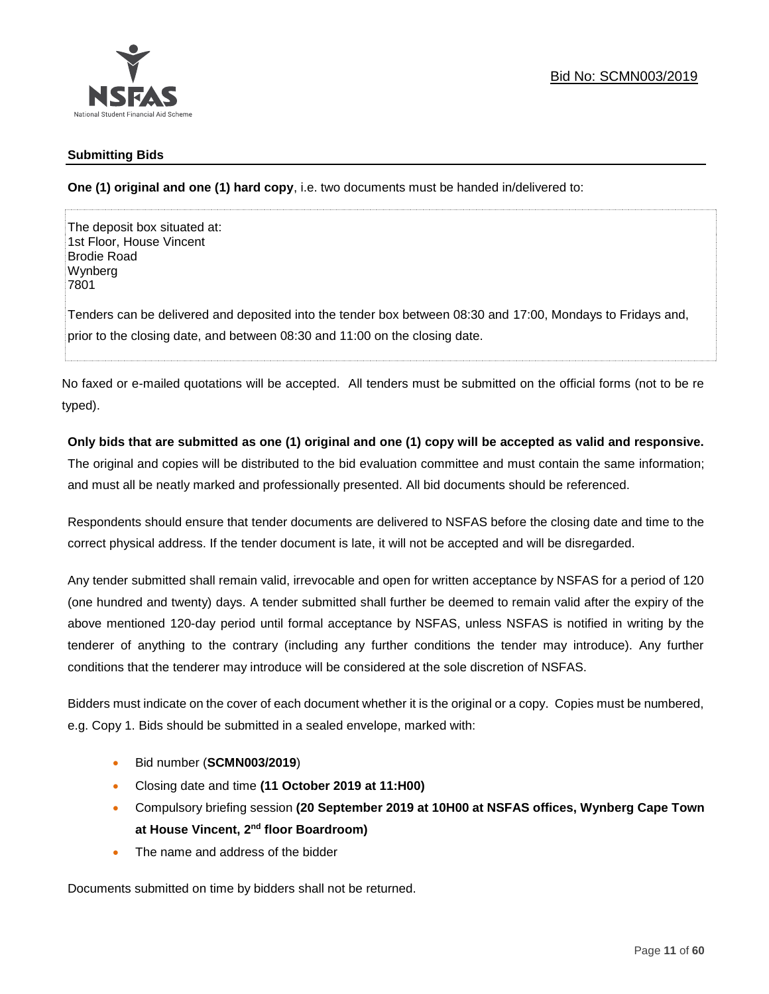

## **Submitting Bids**

**One (1) original and one (1) hard copy**, i.e. two documents must be handed in/delivered to:

The deposit box situated at: 1st Floor, House Vincent Brodie Road Wynberg 7801

Tenders can be delivered and deposited into the tender box between 08:30 and 17:00, Mondays to Fridays and, prior to the closing date, and between 08:30 and 11:00 on the closing date.

No faxed or e-mailed quotations will be accepted. All tenders must be submitted on the official forms (not to be re typed).

## **Only bids that are submitted as one (1) original and one (1) copy will be accepted as valid and responsive.**

The original and copies will be distributed to the bid evaluation committee and must contain the same information; and must all be neatly marked and professionally presented. All bid documents should be referenced.

Respondents should ensure that tender documents are delivered to NSFAS before the closing date and time to the correct physical address. If the tender document is late, it will not be accepted and will be disregarded.

Any tender submitted shall remain valid, irrevocable and open for written acceptance by NSFAS for a period of 120 (one hundred and twenty) days. A tender submitted shall further be deemed to remain valid after the expiry of the above mentioned 120-day period until formal acceptance by NSFAS, unless NSFAS is notified in writing by the tenderer of anything to the contrary (including any further conditions the tender may introduce). Any further conditions that the tenderer may introduce will be considered at the sole discretion of NSFAS.

Bidders must indicate on the cover of each document whether it is the original or a copy. Copies must be numbered, e.g. Copy 1. Bids should be submitted in a sealed envelope, marked with:

- Bid number (**SCMN003/2019**)
- Closing date and time **(11 October 2019 at 11:H00)**
- Compulsory briefing session **(20 September 2019 at 10H00 at NSFAS offices, Wynberg Cape Town at House Vincent, 2nd floor Boardroom)**
- The name and address of the bidder

Documents submitted on time by bidders shall not be returned.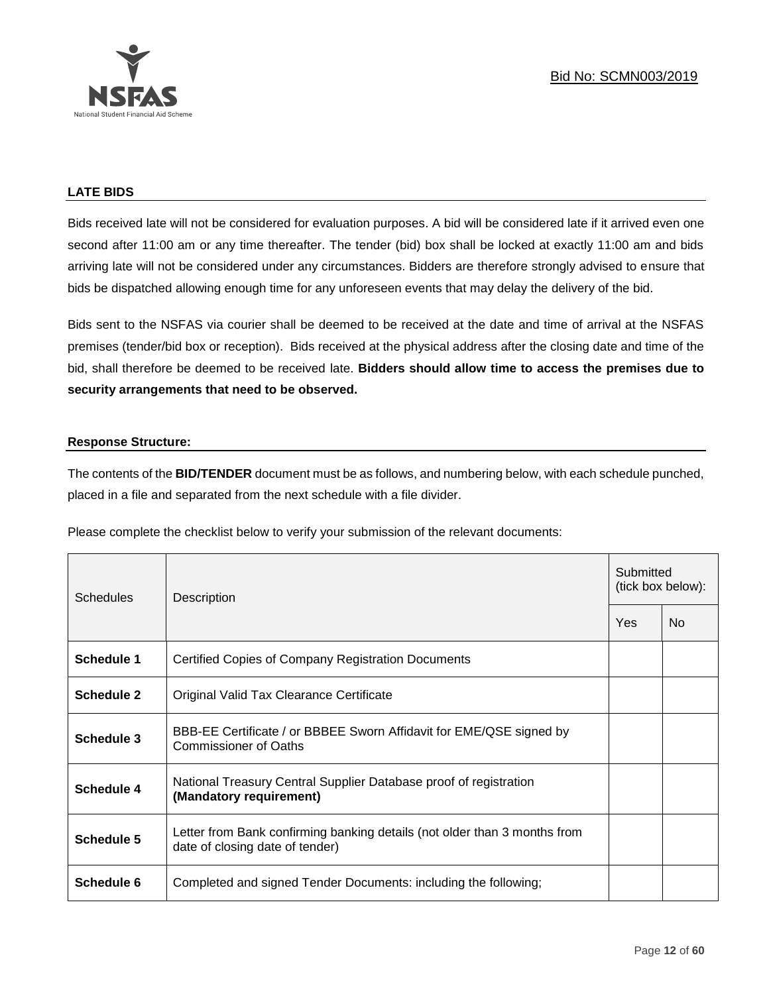

# **LATE BIDS**

Bids received late will not be considered for evaluation purposes. A bid will be considered late if it arrived even one second after 11:00 am or any time thereafter. The tender (bid) box shall be locked at exactly 11:00 am and bids arriving late will not be considered under any circumstances. Bidders are therefore strongly advised to ensure that bids be dispatched allowing enough time for any unforeseen events that may delay the delivery of the bid.

Bids sent to the NSFAS via courier shall be deemed to be received at the date and time of arrival at the NSFAS premises (tender/bid box or reception). Bids received at the physical address after the closing date and time of the bid, shall therefore be deemed to be received late. **Bidders should allow time to access the premises due to security arrangements that need to be observed.**

## **Response Structure:**

The contents of the **BID/TENDER** document must be as follows, and numbering below, with each schedule punched, placed in a file and separated from the next schedule with a file divider.

Please complete the checklist below to verify your submission of the relevant documents:

| <b>Schedules</b>  | Description                                                                                                  |     | Submitted<br>(tick box below): |  |  |
|-------------------|--------------------------------------------------------------------------------------------------------------|-----|--------------------------------|--|--|
|                   |                                                                                                              | Yes | N <sub>0</sub>                 |  |  |
| Schedule 1        | Certified Copies of Company Registration Documents                                                           |     |                                |  |  |
| <b>Schedule 2</b> | Original Valid Tax Clearance Certificate                                                                     |     |                                |  |  |
| Schedule 3        | BBB-EE Certificate / or BBBEE Sworn Affidavit for EME/QSE signed by<br><b>Commissioner of Oaths</b>          |     |                                |  |  |
| Schedule 4        | National Treasury Central Supplier Database proof of registration<br>(Mandatory requirement)                 |     |                                |  |  |
| Schedule 5        | Letter from Bank confirming banking details (not older than 3 months from<br>date of closing date of tender) |     |                                |  |  |
| Schedule 6        | Completed and signed Tender Documents: including the following;                                              |     |                                |  |  |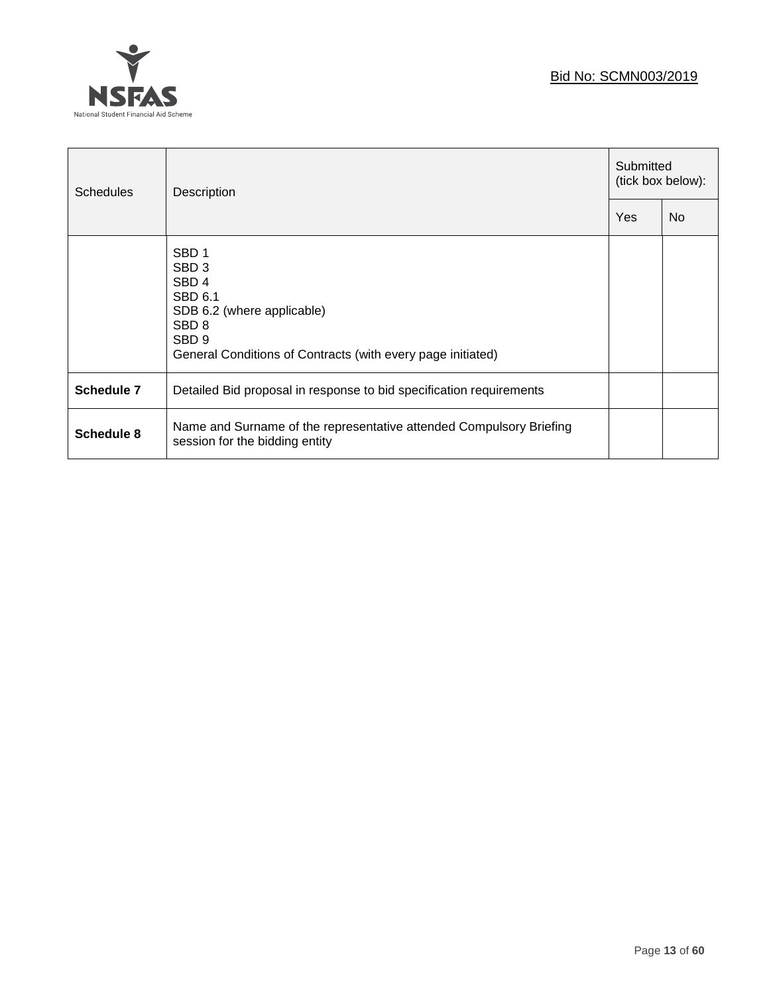

| <b>Schedules</b> | Description                                                                                                                                                                                              |     | Submitted<br>(tick box below): |  |  |
|------------------|----------------------------------------------------------------------------------------------------------------------------------------------------------------------------------------------------------|-----|--------------------------------|--|--|
|                  |                                                                                                                                                                                                          | Yes | <b>No</b>                      |  |  |
|                  | SBD <sub>1</sub><br>SBD <sub>3</sub><br>SBD <sub>4</sub><br>SBD 6.1<br>SDB 6.2 (where applicable)<br>SBD <sub>8</sub><br>SBD <sub>9</sub><br>General Conditions of Contracts (with every page initiated) |     |                                |  |  |
| Schedule 7       | Detailed Bid proposal in response to bid specification requirements                                                                                                                                      |     |                                |  |  |
| Schedule 8       | Name and Surname of the representative attended Compulsory Briefing<br>session for the bidding entity                                                                                                    |     |                                |  |  |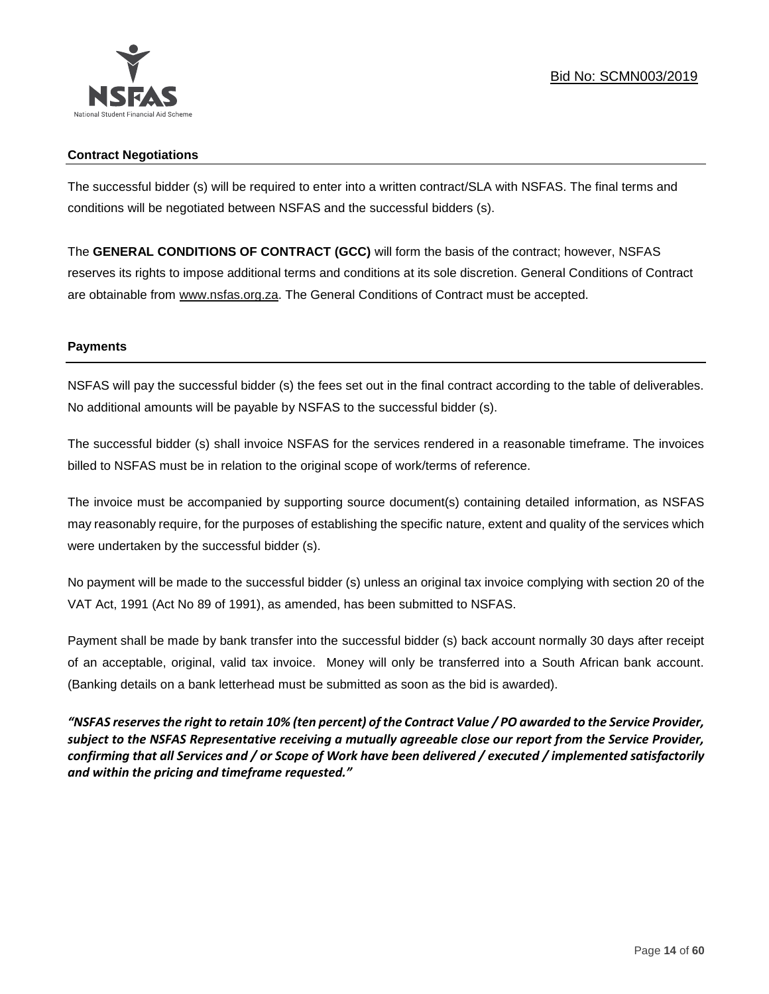

## **Contract Negotiations**

The successful bidder (s) will be required to enter into a written contract/SLA with NSFAS. The final terms and conditions will be negotiated between NSFAS and the successful bidders (s).

The **GENERAL CONDITIONS OF CONTRACT (GCC)** will form the basis of the contract; however, NSFAS reserves its rights to impose additional terms and conditions at its sole discretion. General Conditions of Contract are obtainable from [www.nsfas.org.za.](http://www.nsfas.org.za/) The General Conditions of Contract must be accepted.

## **Payments**

NSFAS will pay the successful bidder (s) the fees set out in the final contract according to the table of deliverables. No additional amounts will be payable by NSFAS to the successful bidder (s).

The successful bidder (s) shall invoice NSFAS for the services rendered in a reasonable timeframe. The invoices billed to NSFAS must be in relation to the original scope of work/terms of reference.

The invoice must be accompanied by supporting source document(s) containing detailed information, as NSFAS may reasonably require, for the purposes of establishing the specific nature, extent and quality of the services which were undertaken by the successful bidder (s).

No payment will be made to the successful bidder (s) unless an original tax invoice complying with section 20 of the VAT Act, 1991 (Act No 89 of 1991), as amended, has been submitted to NSFAS.

Payment shall be made by bank transfer into the successful bidder (s) back account normally 30 days after receipt of an acceptable, original, valid tax invoice. Money will only be transferred into a South African bank account. (Banking details on a bank letterhead must be submitted as soon as the bid is awarded).

*"NSFAS reserves the right to retain 10% (ten percent) of the Contract Value / PO awarded to the Service Provider, subject to the NSFAS Representative receiving a mutually agreeable close our report from the Service Provider, confirming that all Services and / or Scope of Work have been delivered / executed / implemented satisfactorily and within the pricing and timeframe requested."*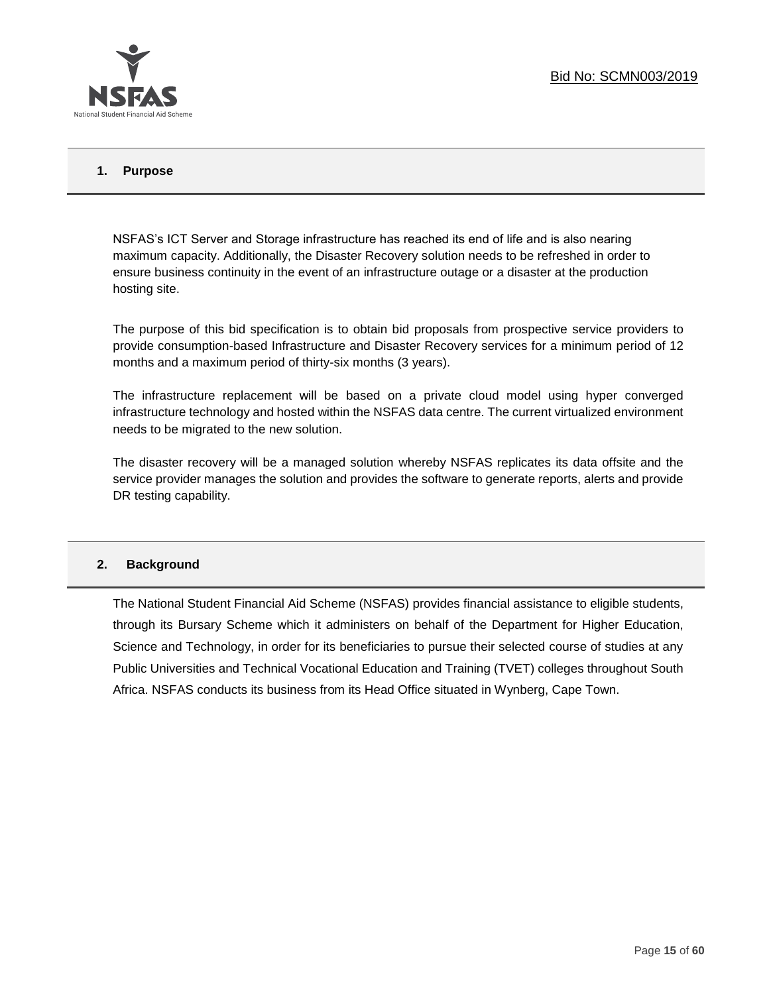

## **1. Purpose**

NSFAS's ICT Server and Storage infrastructure has reached its end of life and is also nearing maximum capacity. Additionally, the Disaster Recovery solution needs to be refreshed in order to ensure business continuity in the event of an infrastructure outage or a disaster at the production hosting site.

The purpose of this bid specification is to obtain bid proposals from prospective service providers to provide consumption-based Infrastructure and Disaster Recovery services for a minimum period of 12 months and a maximum period of thirty-six months (3 years).

The infrastructure replacement will be based on a private cloud model using hyper converged infrastructure technology and hosted within the NSFAS data centre. The current virtualized environment needs to be migrated to the new solution.

The disaster recovery will be a managed solution whereby NSFAS replicates its data offsite and the service provider manages the solution and provides the software to generate reports, alerts and provide DR testing capability.

#### **2. Background**

The National Student Financial Aid Scheme (NSFAS) provides financial assistance to eligible students, through its Bursary Scheme which it administers on behalf of the Department for Higher Education, Science and Technology, in order for its beneficiaries to pursue their selected course of studies at any Public Universities and Technical Vocational Education and Training (TVET) colleges throughout South Africa. NSFAS conducts its business from its Head Office situated in Wynberg, Cape Town.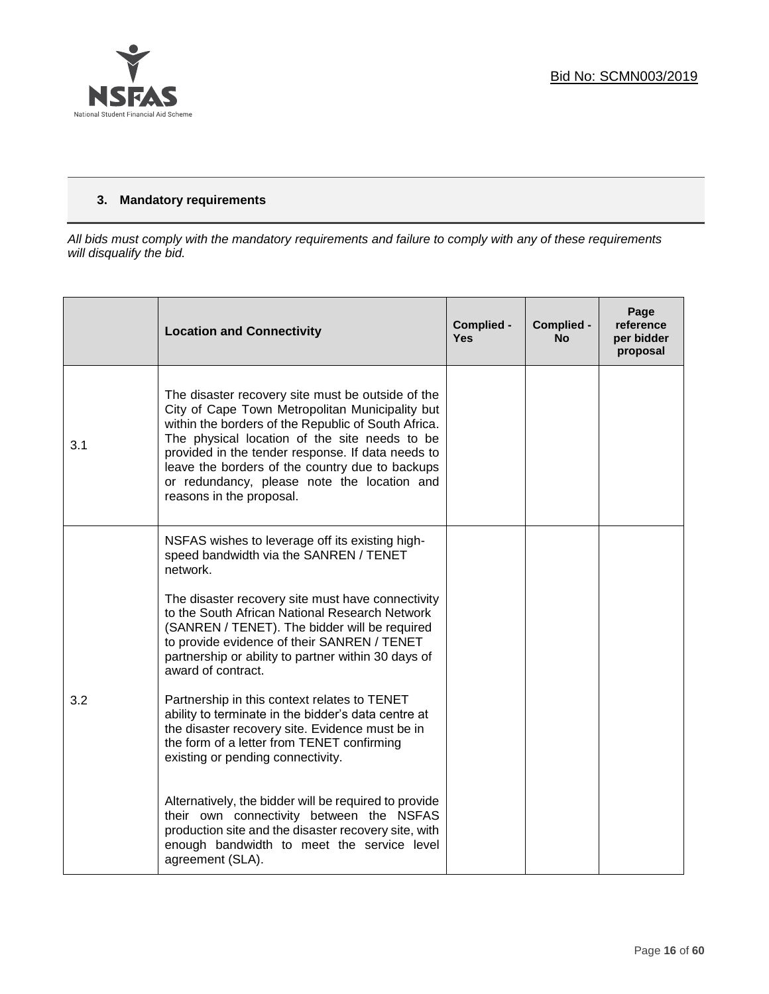

# **3. Mandatory requirements**

*All bids must comply with the mandatory requirements and failure to comply with any of these requirements will disqualify the bid.*

|     | <b>Location and Connectivity</b>                                                                                                                                                                                                                                                                                                                                                                                                                                                                                                                                                                                                                                                                                                                                                                                                                                      | Complied -<br><b>Yes</b> | Complied -<br><b>No</b> | Page<br>reference<br>per bidder<br>proposal |
|-----|-----------------------------------------------------------------------------------------------------------------------------------------------------------------------------------------------------------------------------------------------------------------------------------------------------------------------------------------------------------------------------------------------------------------------------------------------------------------------------------------------------------------------------------------------------------------------------------------------------------------------------------------------------------------------------------------------------------------------------------------------------------------------------------------------------------------------------------------------------------------------|--------------------------|-------------------------|---------------------------------------------|
| 3.1 | The disaster recovery site must be outside of the<br>City of Cape Town Metropolitan Municipality but<br>within the borders of the Republic of South Africa.<br>The physical location of the site needs to be<br>provided in the tender response. If data needs to<br>leave the borders of the country due to backups<br>or redundancy, please note the location and<br>reasons in the proposal.                                                                                                                                                                                                                                                                                                                                                                                                                                                                       |                          |                         |                                             |
| 3.2 | NSFAS wishes to leverage off its existing high-<br>speed bandwidth via the SANREN / TENET<br>network.<br>The disaster recovery site must have connectivity<br>to the South African National Research Network<br>(SANREN / TENET). The bidder will be required<br>to provide evidence of their SANREN / TENET<br>partnership or ability to partner within 30 days of<br>award of contract.<br>Partnership in this context relates to TENET<br>ability to terminate in the bidder's data centre at<br>the disaster recovery site. Evidence must be in<br>the form of a letter from TENET confirming<br>existing or pending connectivity.<br>Alternatively, the bidder will be required to provide<br>their own connectivity between the NSFAS<br>production site and the disaster recovery site, with<br>enough bandwidth to meet the service level<br>agreement (SLA). |                          |                         |                                             |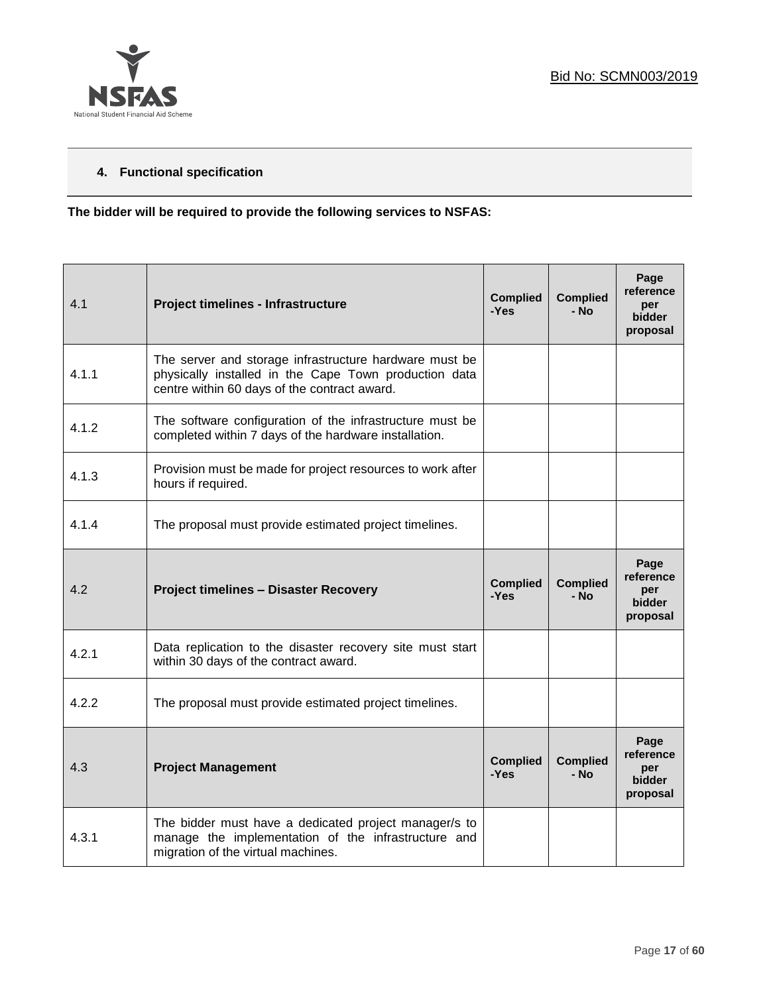

# **4. Functional specification**

**The bidder will be required to provide the following services to NSFAS:**

| 4.1   | Project timelines - Infrastructure                                                                                                                              | <b>Complied</b><br>-Yes | <b>Complied</b><br>- No | Page<br>reference<br>per<br><b>bidder</b><br>proposal |
|-------|-----------------------------------------------------------------------------------------------------------------------------------------------------------------|-------------------------|-------------------------|-------------------------------------------------------|
| 4.1.1 | The server and storage infrastructure hardware must be<br>physically installed in the Cape Town production data<br>centre within 60 days of the contract award. |                         |                         |                                                       |
| 4.1.2 | The software configuration of the infrastructure must be<br>completed within 7 days of the hardware installation.                                               |                         |                         |                                                       |
| 4.1.3 | Provision must be made for project resources to work after<br>hours if required.                                                                                |                         |                         |                                                       |
| 4.1.4 | The proposal must provide estimated project timelines.                                                                                                          |                         |                         |                                                       |
| 4.2   | <b>Project timelines - Disaster Recovery</b>                                                                                                                    | <b>Complied</b><br>-Yes | <b>Complied</b><br>- No | Page<br>reference<br>per<br>bidder<br>proposal        |
| 4.2.1 | Data replication to the disaster recovery site must start<br>within 30 days of the contract award.                                                              |                         |                         |                                                       |
| 4.2.2 | The proposal must provide estimated project timelines.                                                                                                          |                         |                         |                                                       |
| 4.3   | <b>Project Management</b>                                                                                                                                       | <b>Complied</b><br>-Yes | <b>Complied</b><br>- No | Page<br>reference<br>per<br>bidder<br>proposal        |
| 4.3.1 | The bidder must have a dedicated project manager/s to<br>manage the implementation of the infrastructure and<br>migration of the virtual machines.              |                         |                         |                                                       |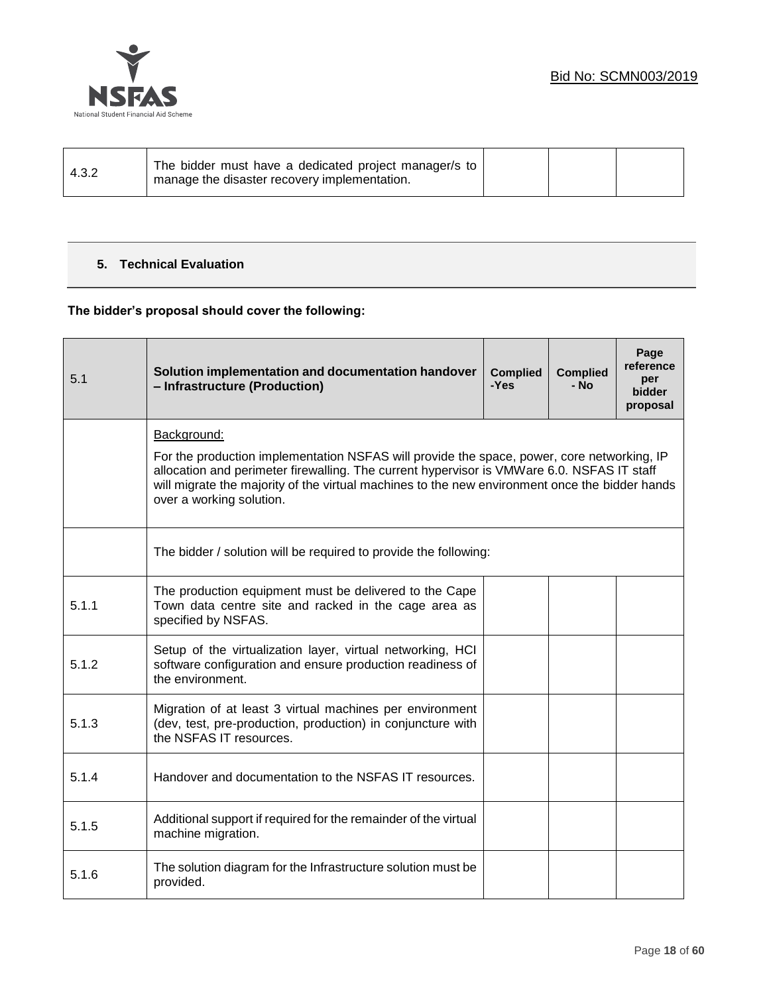

| 4.3.2 | The bidder must have a dedicated project manager/s to<br>manage the disaster recovery implementation. |  |  |  |  |
|-------|-------------------------------------------------------------------------------------------------------|--|--|--|--|
|-------|-------------------------------------------------------------------------------------------------------|--|--|--|--|

# **5. Technical Evaluation**

# **The bidder's proposal should cover the following:**

| 5.1   | Solution implementation and documentation handover<br>- Infrastructure (Production)                                                                                                                                                                                                                                                   | <b>Complied</b><br>-Yes | <b>Complied</b><br>- No | Page<br>reference<br>per<br><b>bidder</b><br>proposal |  |  |
|-------|---------------------------------------------------------------------------------------------------------------------------------------------------------------------------------------------------------------------------------------------------------------------------------------------------------------------------------------|-------------------------|-------------------------|-------------------------------------------------------|--|--|
|       | Background:<br>For the production implementation NSFAS will provide the space, power, core networking, IP<br>allocation and perimeter firewalling. The current hypervisor is VMWare 6.0. NSFAS IT staff<br>will migrate the majority of the virtual machines to the new environment once the bidder hands<br>over a working solution. |                         |                         |                                                       |  |  |
|       | The bidder / solution will be required to provide the following:                                                                                                                                                                                                                                                                      |                         |                         |                                                       |  |  |
| 5.1.1 | The production equipment must be delivered to the Cape<br>Town data centre site and racked in the cage area as<br>specified by NSFAS.                                                                                                                                                                                                 |                         |                         |                                                       |  |  |
| 5.1.2 | Setup of the virtualization layer, virtual networking, HCI<br>software configuration and ensure production readiness of<br>the environment.                                                                                                                                                                                           |                         |                         |                                                       |  |  |
| 5.1.3 | Migration of at least 3 virtual machines per environment<br>(dev, test, pre-production, production) in conjuncture with<br>the NSFAS IT resources.                                                                                                                                                                                    |                         |                         |                                                       |  |  |
| 5.1.4 | Handover and documentation to the NSFAS IT resources.                                                                                                                                                                                                                                                                                 |                         |                         |                                                       |  |  |
| 5.1.5 | Additional support if required for the remainder of the virtual<br>machine migration.                                                                                                                                                                                                                                                 |                         |                         |                                                       |  |  |
| 5.1.6 | The solution diagram for the Infrastructure solution must be<br>provided.                                                                                                                                                                                                                                                             |                         |                         |                                                       |  |  |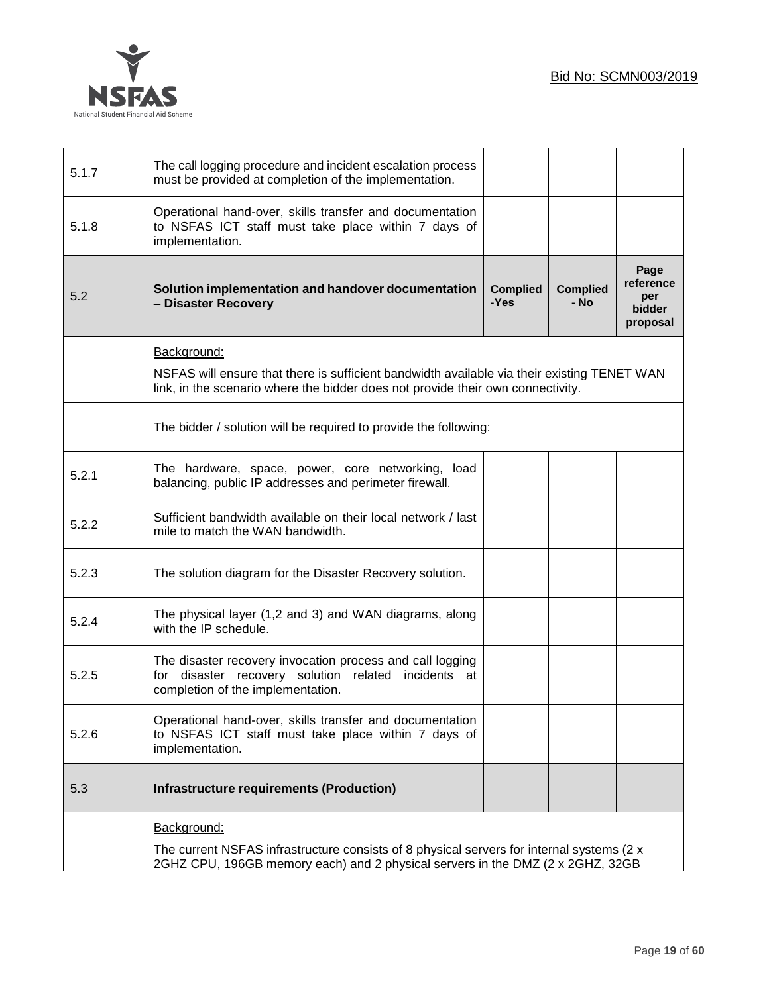

| 5.1.7 | The call logging procedure and incident escalation process<br>must be provided at completion of the implementation.                                                                        |                         |                         |                                                |
|-------|--------------------------------------------------------------------------------------------------------------------------------------------------------------------------------------------|-------------------------|-------------------------|------------------------------------------------|
| 5.1.8 | Operational hand-over, skills transfer and documentation<br>to NSFAS ICT staff must take place within 7 days of<br>implementation.                                                         |                         |                         |                                                |
| 5.2   | Solution implementation and handover documentation<br>- Disaster Recovery                                                                                                                  | <b>Complied</b><br>-Yes | <b>Complied</b><br>- No | Page<br>reference<br>per<br>bidder<br>proposal |
|       | Background:                                                                                                                                                                                |                         |                         |                                                |
|       | NSFAS will ensure that there is sufficient bandwidth available via their existing TENET WAN<br>link, in the scenario where the bidder does not provide their own connectivity.             |                         |                         |                                                |
|       | The bidder / solution will be required to provide the following:                                                                                                                           |                         |                         |                                                |
| 5.2.1 | The hardware, space, power, core networking, load<br>balancing, public IP addresses and perimeter firewall.                                                                                |                         |                         |                                                |
| 5.2.2 | Sufficient bandwidth available on their local network / last<br>mile to match the WAN bandwidth.                                                                                           |                         |                         |                                                |
| 5.2.3 | The solution diagram for the Disaster Recovery solution.                                                                                                                                   |                         |                         |                                                |
| 5.2.4 | The physical layer (1,2 and 3) and WAN diagrams, along<br>with the IP schedule.                                                                                                            |                         |                         |                                                |
| 5.2.5 | The disaster recovery invocation process and call logging<br>for disaster recovery solution<br>related incidents at<br>completion of the implementation.                                   |                         |                         |                                                |
| 5.2.6 | Operational hand-over, skills transfer and documentation<br>to NSFAS ICT staff must take place within 7 days of<br>implementation.                                                         |                         |                         |                                                |
| 5.3   | <b>Infrastructure requirements (Production)</b>                                                                                                                                            |                         |                         |                                                |
|       | Background:<br>The current NSFAS infrastructure consists of 8 physical servers for internal systems (2 x<br>2GHZ CPU, 196GB memory each) and 2 physical servers in the DMZ (2 x 2GHZ, 32GB |                         |                         |                                                |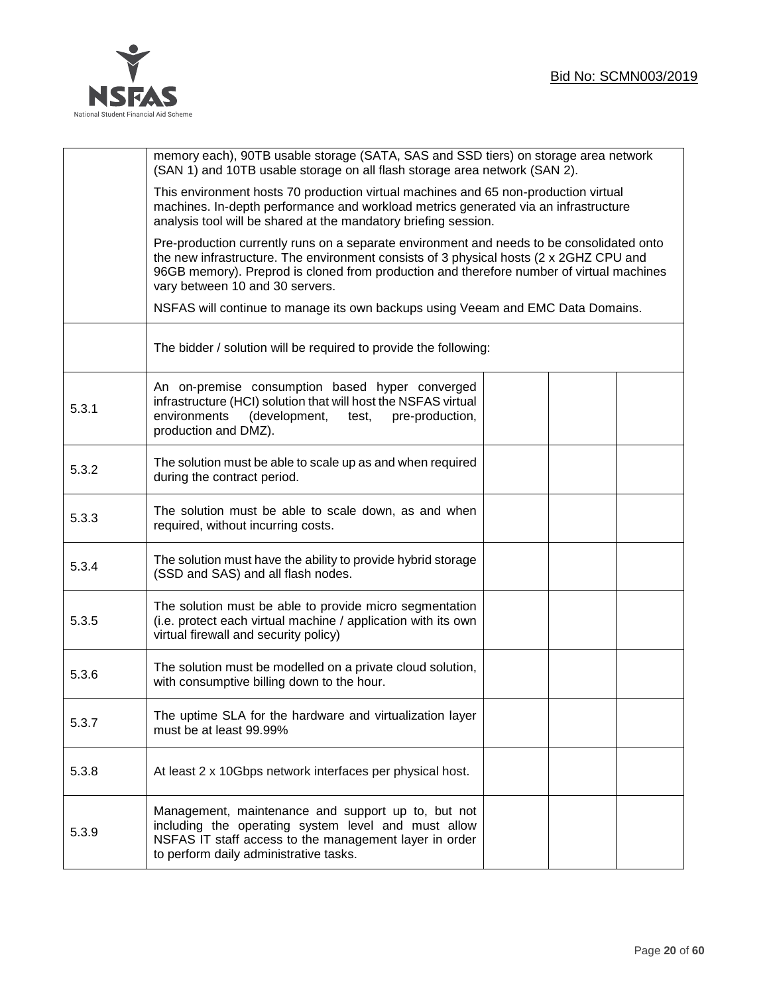

|       | memory each), 90TB usable storage (SATA, SAS and SSD tiers) on storage area network<br>(SAN 1) and 10TB usable storage on all flash storage area network (SAN 2).                                                                                                                                                  |  |  |
|-------|--------------------------------------------------------------------------------------------------------------------------------------------------------------------------------------------------------------------------------------------------------------------------------------------------------------------|--|--|
|       | This environment hosts 70 production virtual machines and 65 non-production virtual<br>machines. In-depth performance and workload metrics generated via an infrastructure<br>analysis tool will be shared at the mandatory briefing session.                                                                      |  |  |
|       | Pre-production currently runs on a separate environment and needs to be consolidated onto<br>the new infrastructure. The environment consists of 3 physical hosts (2 x 2GHZ CPU and<br>96GB memory). Preprod is cloned from production and therefore number of virtual machines<br>vary between 10 and 30 servers. |  |  |
|       | NSFAS will continue to manage its own backups using Veeam and EMC Data Domains.                                                                                                                                                                                                                                    |  |  |
|       | The bidder / solution will be required to provide the following:                                                                                                                                                                                                                                                   |  |  |
| 5.3.1 | An on-premise consumption based hyper converged<br>infrastructure (HCI) solution that will host the NSFAS virtual<br>(development,<br>environments<br>test,<br>pre-production,<br>production and DMZ).                                                                                                             |  |  |
| 5.3.2 | The solution must be able to scale up as and when required<br>during the contract period.                                                                                                                                                                                                                          |  |  |
| 5.3.3 | The solution must be able to scale down, as and when<br>required, without incurring costs.                                                                                                                                                                                                                         |  |  |
| 5.3.4 | The solution must have the ability to provide hybrid storage<br>(SSD and SAS) and all flash nodes.                                                                                                                                                                                                                 |  |  |
| 5.3.5 | The solution must be able to provide micro segmentation<br>(i.e. protect each virtual machine / application with its own<br>virtual firewall and security policy)                                                                                                                                                  |  |  |
| 5.3.6 | The solution must be modelled on a private cloud solution,<br>with consumptive billing down to the hour.                                                                                                                                                                                                           |  |  |
| 5.3.7 | The uptime SLA for the hardware and virtualization layer<br>must be at least 99.99%                                                                                                                                                                                                                                |  |  |
| 5.3.8 | At least 2 x 10Gbps network interfaces per physical host.                                                                                                                                                                                                                                                          |  |  |
| 5.3.9 | Management, maintenance and support up to, but not<br>including the operating system level and must allow<br>NSFAS IT staff access to the management layer in order<br>to perform daily administrative tasks.                                                                                                      |  |  |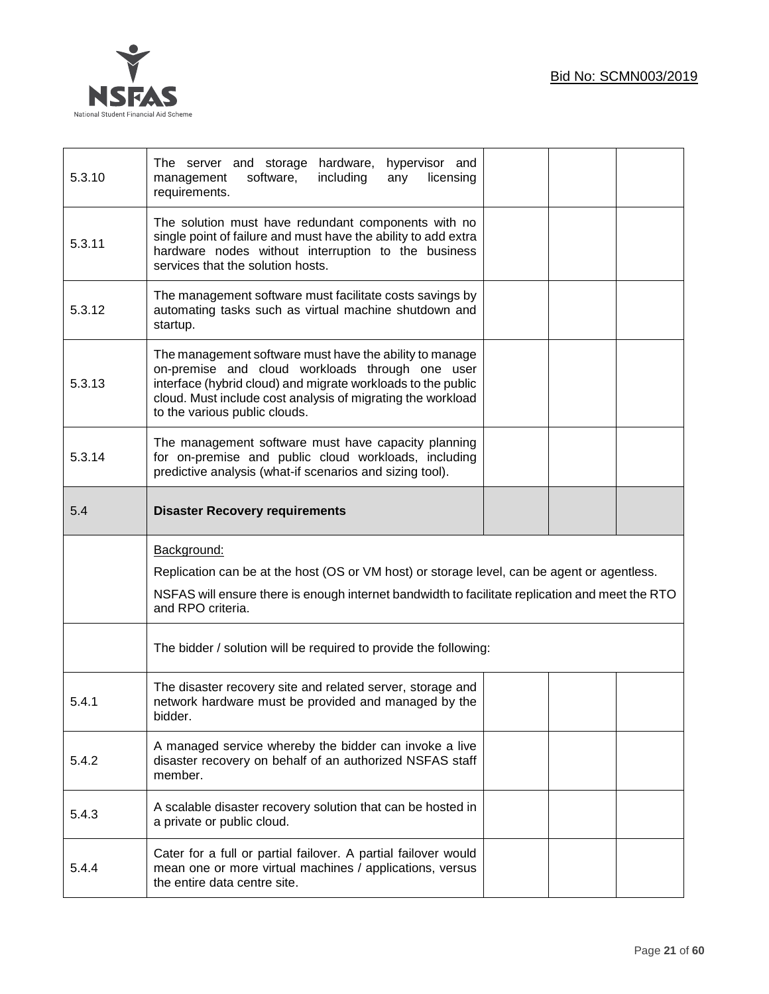

| 5.3.10 | hardware,<br>hypervisor and<br>The server and storage<br>management<br>software,<br>including<br>licensing<br>any<br>requirements.                                                                                                                                         |  |  |
|--------|----------------------------------------------------------------------------------------------------------------------------------------------------------------------------------------------------------------------------------------------------------------------------|--|--|
| 5.3.11 | The solution must have redundant components with no<br>single point of failure and must have the ability to add extra<br>hardware nodes without interruption to the business<br>services that the solution hosts.                                                          |  |  |
| 5.3.12 | The management software must facilitate costs savings by<br>automating tasks such as virtual machine shutdown and<br>startup.                                                                                                                                              |  |  |
| 5.3.13 | The management software must have the ability to manage<br>on-premise and cloud workloads through one user<br>interface (hybrid cloud) and migrate workloads to the public<br>cloud. Must include cost analysis of migrating the workload<br>to the various public clouds. |  |  |
| 5.3.14 | The management software must have capacity planning<br>for on-premise and public cloud workloads, including<br>predictive analysis (what-if scenarios and sizing tool).                                                                                                    |  |  |
| 5.4    | <b>Disaster Recovery requirements</b>                                                                                                                                                                                                                                      |  |  |
|        |                                                                                                                                                                                                                                                                            |  |  |
|        | Background:<br>Replication can be at the host (OS or VM host) or storage level, can be agent or agentless.<br>NSFAS will ensure there is enough internet bandwidth to facilitate replication and meet the RTO<br>and RPO criteria.                                         |  |  |
|        | The bidder / solution will be required to provide the following:                                                                                                                                                                                                           |  |  |
| 5.4.1  | The disaster recovery site and related server, storage and<br>network hardware must be provided and managed by the<br>bidder.                                                                                                                                              |  |  |
| 5.4.2  | A managed service whereby the bidder can invoke a live<br>disaster recovery on behalf of an authorized NSFAS staff<br>member.                                                                                                                                              |  |  |
| 5.4.3  | A scalable disaster recovery solution that can be hosted in<br>a private or public cloud.                                                                                                                                                                                  |  |  |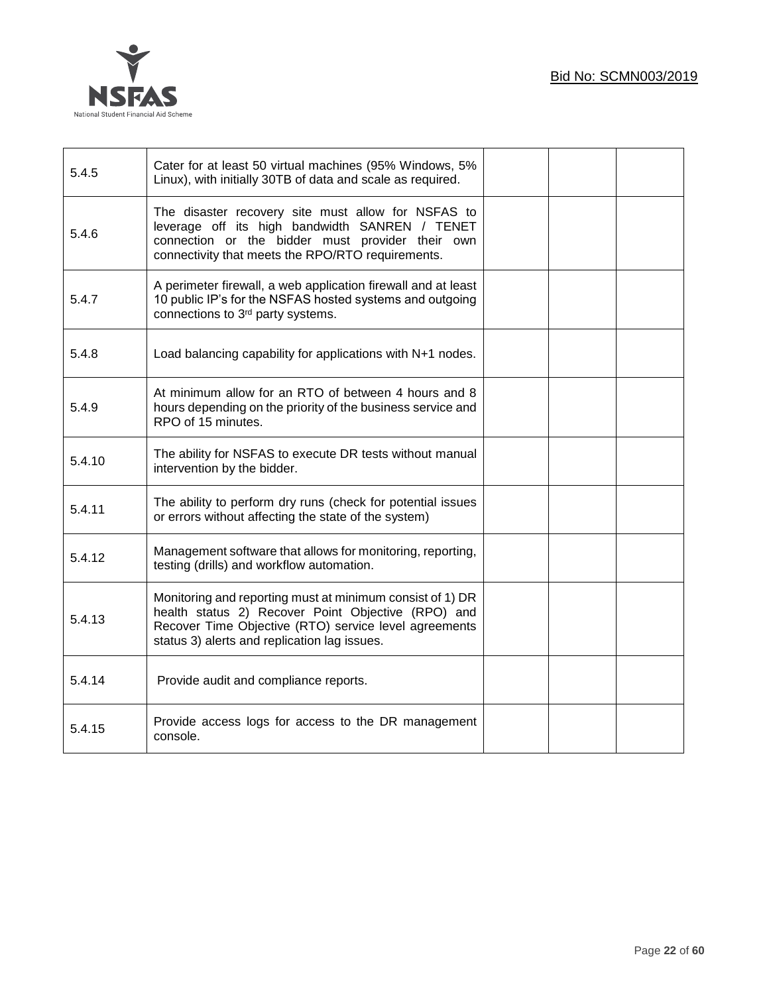

| 5.4.5  | Cater for at least 50 virtual machines (95% Windows, 5%<br>Linux), with initially 30TB of data and scale as required.                                                                                                    |  |  |
|--------|--------------------------------------------------------------------------------------------------------------------------------------------------------------------------------------------------------------------------|--|--|
| 5.4.6  | The disaster recovery site must allow for NSFAS to<br>leverage off its high bandwidth SANREN / TENET<br>connection or the bidder must provider their own<br>connectivity that meets the RPO/RTO requirements.            |  |  |
| 5.4.7  | A perimeter firewall, a web application firewall and at least<br>10 public IP's for the NSFAS hosted systems and outgoing<br>connections to 3 <sup>rd</sup> party systems.                                               |  |  |
| 5.4.8  | Load balancing capability for applications with N+1 nodes.                                                                                                                                                               |  |  |
| 5.4.9  | At minimum allow for an RTO of between 4 hours and 8<br>hours depending on the priority of the business service and<br>RPO of 15 minutes.                                                                                |  |  |
| 5.4.10 | The ability for NSFAS to execute DR tests without manual<br>intervention by the bidder.                                                                                                                                  |  |  |
| 5.4.11 | The ability to perform dry runs (check for potential issues<br>or errors without affecting the state of the system)                                                                                                      |  |  |
| 5.4.12 | Management software that allows for monitoring, reporting,<br>testing (drills) and workflow automation.                                                                                                                  |  |  |
| 5.4.13 | Monitoring and reporting must at minimum consist of 1) DR<br>health status 2) Recover Point Objective (RPO) and<br>Recover Time Objective (RTO) service level agreements<br>status 3) alerts and replication lag issues. |  |  |
| 5.4.14 | Provide audit and compliance reports.                                                                                                                                                                                    |  |  |
| 5.4.15 | Provide access logs for access to the DR management<br>console.                                                                                                                                                          |  |  |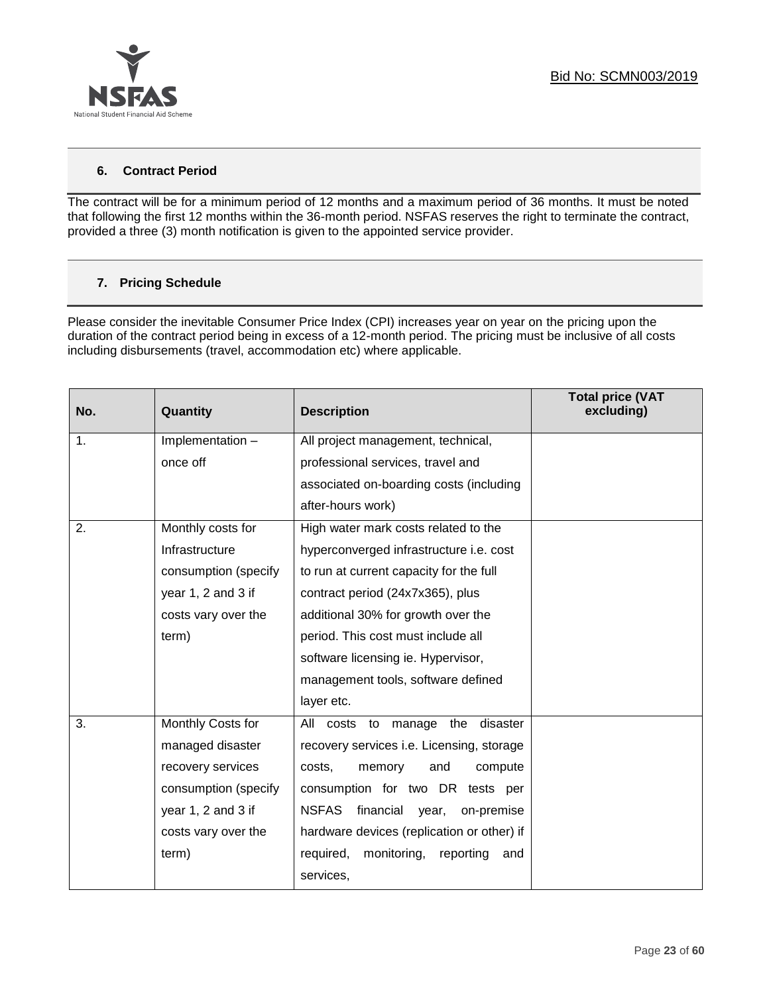

## **6. Contract Period**

The contract will be for a minimum period of 12 months and a maximum period of 36 months. It must be noted that following the first 12 months within the 36-month period. NSFAS reserves the right to terminate the contract, provided a three (3) month notification is given to the appointed service provider.

## **7. Pricing Schedule**

Please consider the inevitable Consumer Price Index (CPI) increases year on year on the pricing upon the duration of the contract period being in excess of a 12-month period. The pricing must be inclusive of all costs including disbursements (travel, accommodation etc) where applicable.

| No.            | Quantity             | <b>Description</b>                               | <b>Total price (VAT</b><br>excluding) |
|----------------|----------------------|--------------------------------------------------|---------------------------------------|
| $\mathbf{1}$ . | Implementation -     | All project management, technical,               |                                       |
|                | once off             | professional services, travel and                |                                       |
|                |                      | associated on-boarding costs (including          |                                       |
|                |                      | after-hours work)                                |                                       |
| 2.             | Monthly costs for    | High water mark costs related to the             |                                       |
|                | Infrastructure       | hyperconverged infrastructure i.e. cost          |                                       |
|                | consumption (specify | to run at current capacity for the full          |                                       |
|                | year 1, 2 and 3 if   | contract period (24x7x365), plus                 |                                       |
|                | costs vary over the  | additional 30% for growth over the               |                                       |
|                | term)                | period. This cost must include all               |                                       |
|                |                      | software licensing ie. Hypervisor,               |                                       |
|                |                      | management tools, software defined               |                                       |
|                |                      | layer etc.                                       |                                       |
| 3.             | Monthly Costs for    | costs to manage the<br>disaster<br>All           |                                       |
|                | managed disaster     | recovery services i.e. Licensing, storage        |                                       |
|                | recovery services    | costs,<br>memory<br>and<br>compute               |                                       |
|                | consumption (specify | consumption for two DR tests per                 |                                       |
|                | year 1, 2 and 3 if   | <b>NSFAS</b><br>financial<br>year,<br>on-premise |                                       |
|                | costs vary over the  | hardware devices (replication or other) if       |                                       |
|                | term)                | monitoring,<br>reporting<br>required,<br>and     |                                       |
|                |                      | services,                                        |                                       |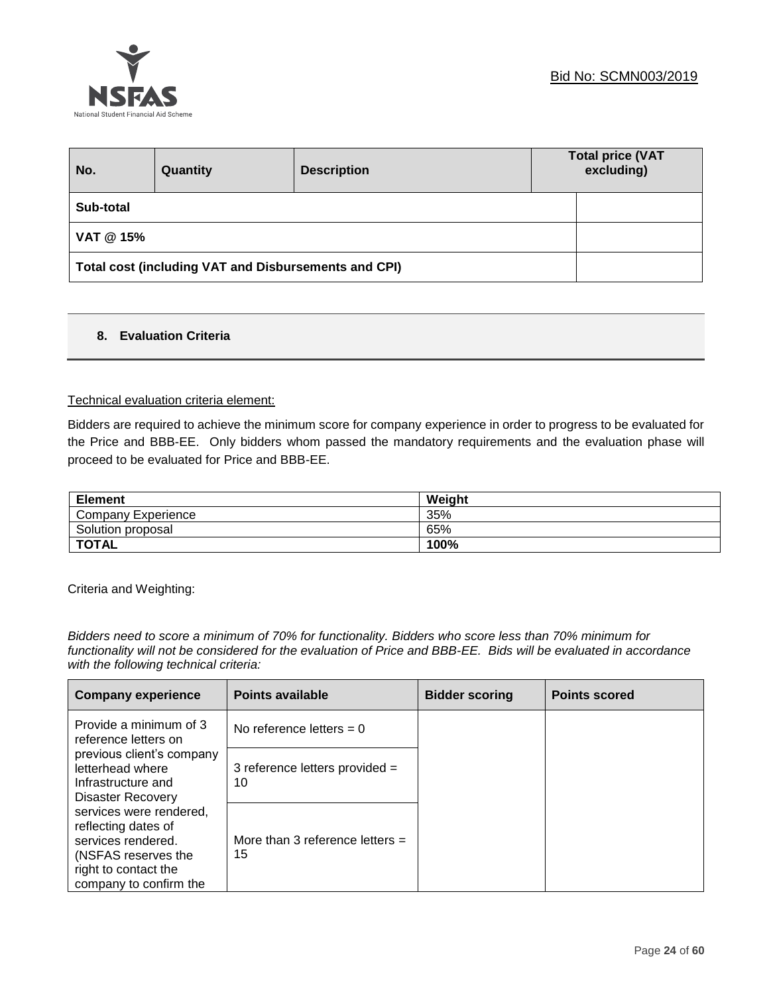

| No.                                                  | Quantity | <b>Description</b> | <b>Total price (VAT</b><br>excluding) |  |
|------------------------------------------------------|----------|--------------------|---------------------------------------|--|
| Sub-total                                            |          |                    |                                       |  |
| VAT @ 15%                                            |          |                    |                                       |  |
| Total cost (including VAT and Disbursements and CPI) |          |                    |                                       |  |

## **8. Evaluation Criteria**

#### Technical evaluation criteria element:

Bidders are required to achieve the minimum score for company experience in order to progress to be evaluated for the Price and BBB-EE. Only bidders whom passed the mandatory requirements and the evaluation phase will proceed to be evaluated for Price and BBB-EE.

| <b>Element</b>        | Weight |
|-----------------------|--------|
| Company<br>Experience | 35%    |
| Solution proposal     | 65%    |
| <b>TOTAL</b>          | 100%   |

Criteria and Weighting:

*Bidders need to score a minimum of 70% for functionality. Bidders who score less than 70% minimum for functionality will not be considered for the evaluation of Price and BBB-EE. Bids will be evaluated in accordance with the following technical criteria:*

| <b>Company experience</b>                                                                                                                     | <b>Points available</b>                 | <b>Bidder scoring</b> | <b>Points scored</b> |
|-----------------------------------------------------------------------------------------------------------------------------------------------|-----------------------------------------|-----------------------|----------------------|
| Provide a minimum of 3<br>reference letters on                                                                                                | No reference letters $= 0$              |                       |                      |
| previous client's company<br>letterhead where<br>Infrastructure and<br>Disaster Recovery                                                      | 3 reference letters provided =<br>10    |                       |                      |
| services were rendered,<br>reflecting dates of<br>services rendered.<br>(NSFAS reserves the<br>right to contact the<br>company to confirm the | More than 3 reference letters $=$<br>15 |                       |                      |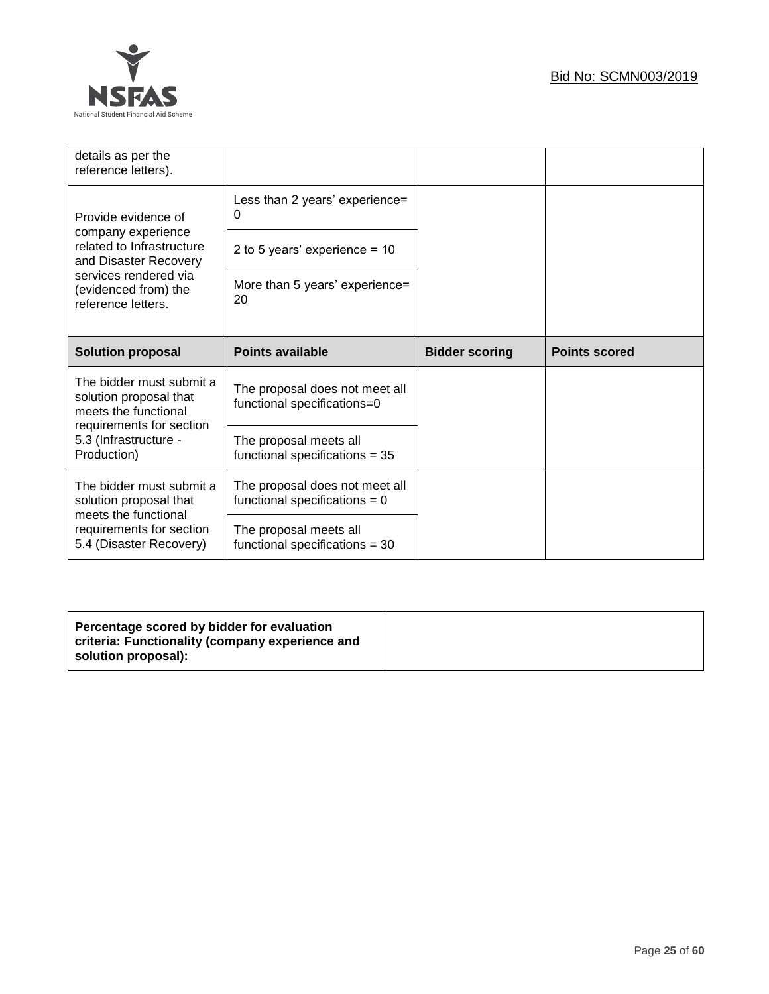

| details as per the<br>reference letters).                                  |                                                                   |                       |                      |
|----------------------------------------------------------------------------|-------------------------------------------------------------------|-----------------------|----------------------|
| Provide evidence of                                                        | Less than 2 years' experience=<br>0                               |                       |                      |
| company experience<br>related to Infrastructure<br>and Disaster Recovery   | 2 to 5 years' experience = $10$                                   |                       |                      |
| services rendered via<br>(evidenced from) the<br>reference letters.        | More than 5 years' experience=<br>20                              |                       |                      |
|                                                                            |                                                                   |                       |                      |
| <b>Solution proposal</b>                                                   | <b>Points available</b>                                           | <b>Bidder scoring</b> | <b>Points scored</b> |
| The bidder must submit a<br>solution proposal that<br>meets the functional | The proposal does not meet all<br>functional specifications=0     |                       |                      |
| requirements for section<br>5.3 (Infrastructure -<br>Production)           | The proposal meets all<br>functional specifications $= 35$        |                       |                      |
| The bidder must submit a<br>solution proposal that<br>meets the functional | The proposal does not meet all<br>functional specifications = $0$ |                       |                      |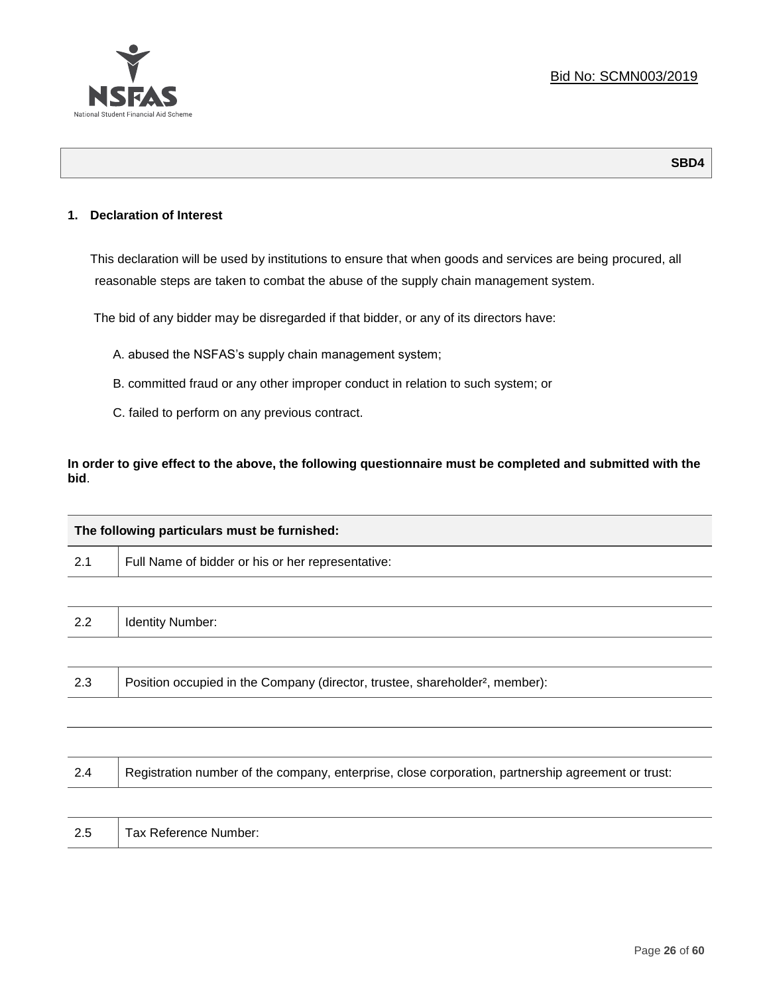

## **1. Declaration of Interest**

This declaration will be used by institutions to ensure that when goods and services are being procured, all reasonable steps are taken to combat the abuse of the supply chain management system.

The bid of any bidder may be disregarded if that bidder, or any of its directors have:

- A. abused the NSFAS's supply chain management system;
- B. committed fraud or any other improper conduct in relation to such system; or
- C. failed to perform on any previous contract.

**In order to give effect to the above, the following questionnaire must be completed and submitted with the bid**.

|     | The following particulars must be furnished:                                                       |  |  |
|-----|----------------------------------------------------------------------------------------------------|--|--|
| 2.1 | Full Name of bidder or his or her representative:                                                  |  |  |
|     |                                                                                                    |  |  |
| 2.2 | <b>Identity Number:</b>                                                                            |  |  |
|     |                                                                                                    |  |  |
| 2.3 | Position occupied in the Company (director, trustee, shareholder <sup>2</sup> , member):           |  |  |
|     |                                                                                                    |  |  |
|     |                                                                                                    |  |  |
| 2.4 | Registration number of the company, enterprise, close corporation, partnership agreement or trust: |  |  |

2.5 | Tax Reference Number: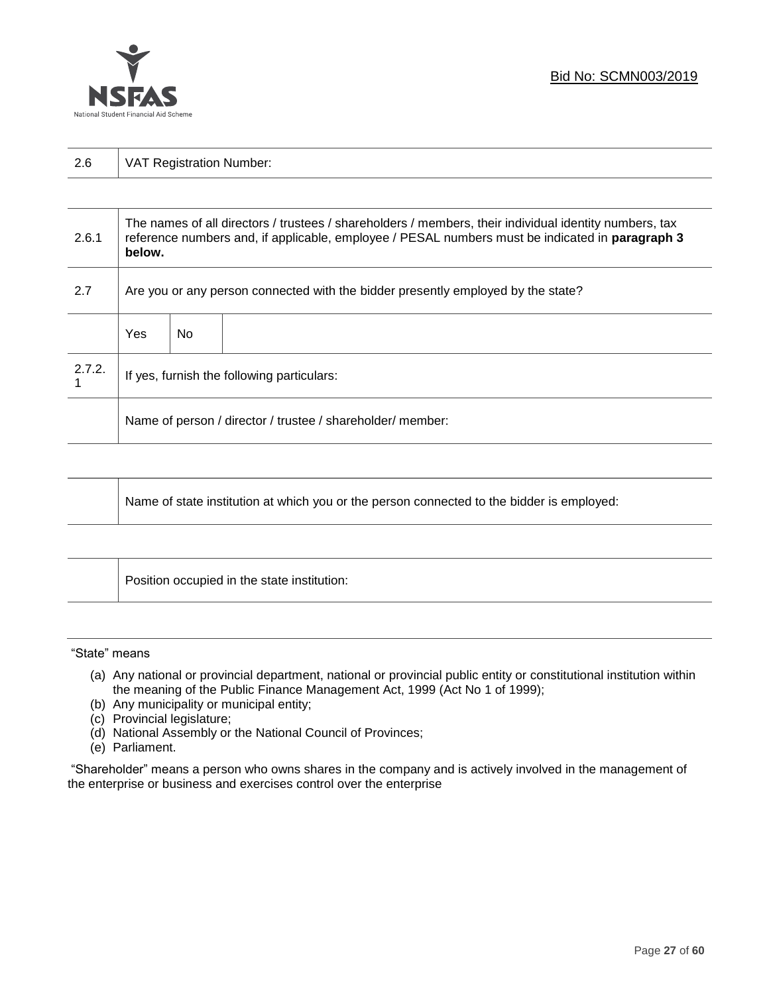

| $-$ . $\sim$ | ⊶ 1<br>. 9 |
|--------------|------------|
|--------------|------------|

| 2.6.1  | The names of all directors / trustees / shareholders / members, their individual identity numbers, tax<br>reference numbers and, if applicable, employee / PESAL numbers must be indicated in paragraph 3<br>below. |     |  |  |
|--------|---------------------------------------------------------------------------------------------------------------------------------------------------------------------------------------------------------------------|-----|--|--|
| 2.7    | Are you or any person connected with the bidder presently employed by the state?                                                                                                                                    |     |  |  |
|        | Yes                                                                                                                                                                                                                 | No. |  |  |
| 2.7.2. | If yes, furnish the following particulars:                                                                                                                                                                          |     |  |  |
|        | Name of person / director / trustee / shareholder/ member:                                                                                                                                                          |     |  |  |

| Name of state institution at which you or the person connected to the bidder is employed: |
|-------------------------------------------------------------------------------------------|
|-------------------------------------------------------------------------------------------|

|  | Position occupied in the state institution: |  |
|--|---------------------------------------------|--|
|--|---------------------------------------------|--|

#### "State" means

- (a) Any national or provincial department, national or provincial public entity or constitutional institution within the meaning of the Public Finance Management Act, 1999 (Act No 1 of 1999);
- (b) Any municipality or municipal entity;
- (c) Provincial legislature;
- (d) National Assembly or the National Council of Provinces;
- (e) Parliament.

"Shareholder" means a person who owns shares in the company and is actively involved in the management of the enterprise or business and exercises control over the enterprise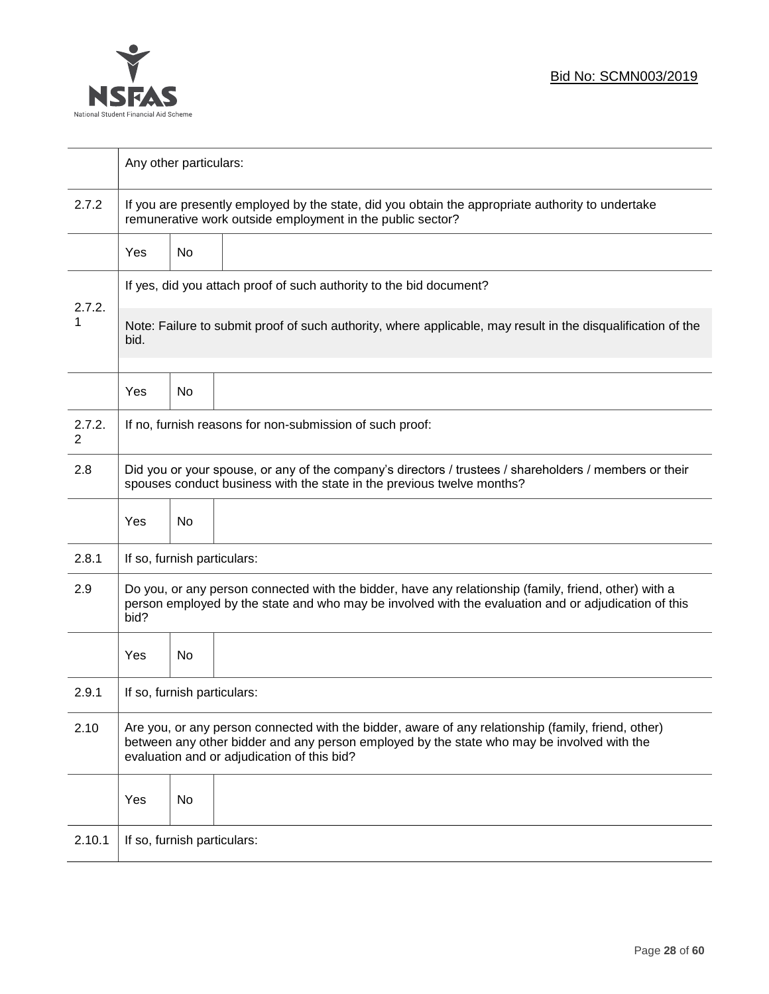

|             | Any other particulars:                                                                                                                                                                                                                           |                                                                     |                                                          |  |  |  |
|-------------|--------------------------------------------------------------------------------------------------------------------------------------------------------------------------------------------------------------------------------------------------|---------------------------------------------------------------------|----------------------------------------------------------|--|--|--|
| 2.7.2       | If you are presently employed by the state, did you obtain the appropriate authority to undertake<br>remunerative work outside employment in the public sector?                                                                                  |                                                                     |                                                          |  |  |  |
|             | <b>Yes</b>                                                                                                                                                                                                                                       | No                                                                  |                                                          |  |  |  |
| 2.7.2.      |                                                                                                                                                                                                                                                  | If yes, did you attach proof of such authority to the bid document? |                                                          |  |  |  |
| 1           | Note: Failure to submit proof of such authority, where applicable, may result in the disqualification of the<br>bid.                                                                                                                             |                                                                     |                                                          |  |  |  |
|             | Yes                                                                                                                                                                                                                                              | No                                                                  |                                                          |  |  |  |
| 2.7.2.<br>2 |                                                                                                                                                                                                                                                  |                                                                     | If no, furnish reasons for non-submission of such proof: |  |  |  |
| 2.8         | Did you or your spouse, or any of the company's directors / trustees / shareholders / members or their<br>spouses conduct business with the state in the previous twelve months?                                                                 |                                                                     |                                                          |  |  |  |
|             | Yes                                                                                                                                                                                                                                              | No                                                                  |                                                          |  |  |  |
| 2.8.1       | If so, furnish particulars:                                                                                                                                                                                                                      |                                                                     |                                                          |  |  |  |
| 2.9         | Do you, or any person connected with the bidder, have any relationship (family, friend, other) with a<br>person employed by the state and who may be involved with the evaluation and or adjudication of this<br>bid?                            |                                                                     |                                                          |  |  |  |
|             | Yes                                                                                                                                                                                                                                              | No                                                                  |                                                          |  |  |  |
| 2.9.1       | If so, furnish particulars:                                                                                                                                                                                                                      |                                                                     |                                                          |  |  |  |
| 2.10        | Are you, or any person connected with the bidder, aware of any relationship (family, friend, other)<br>between any other bidder and any person employed by the state who may be involved with the<br>evaluation and or adjudication of this bid? |                                                                     |                                                          |  |  |  |
|             | Yes                                                                                                                                                                                                                                              | No                                                                  |                                                          |  |  |  |
| 2.10.1      | If so, furnish particulars:                                                                                                                                                                                                                      |                                                                     |                                                          |  |  |  |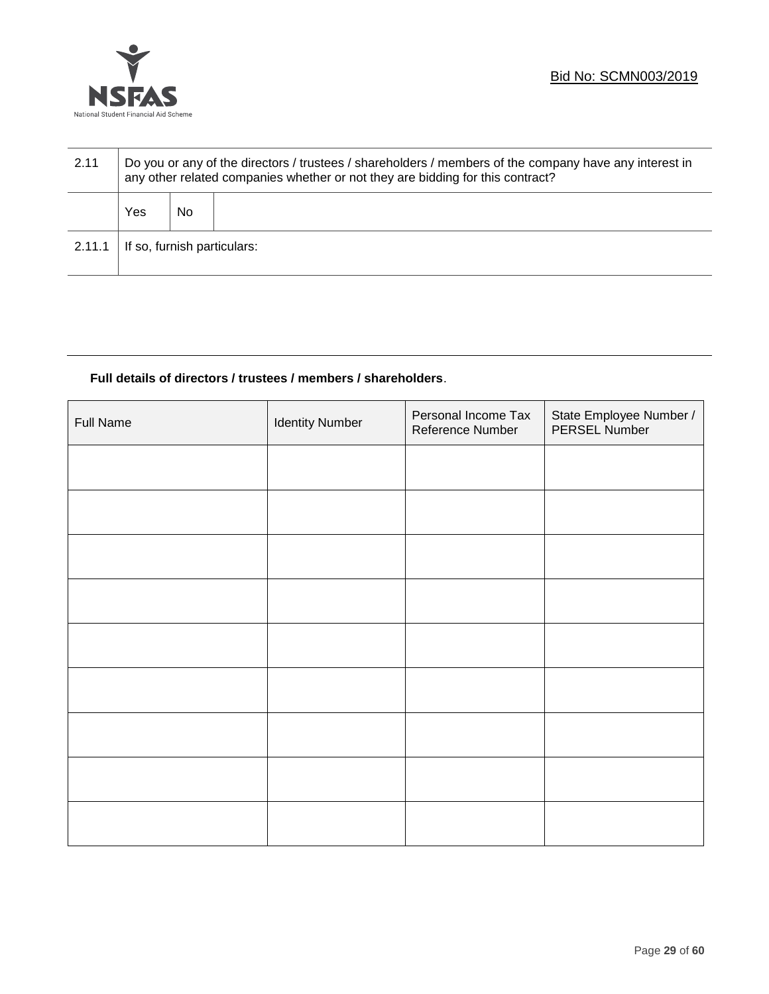

| 2.11   | Do you or any of the directors / trustees / shareholders / members of the company have any interest in<br>any other related companies whether or not they are bidding for this contract? |    |  |  |
|--------|------------------------------------------------------------------------------------------------------------------------------------------------------------------------------------------|----|--|--|
|        | Yes                                                                                                                                                                                      | No |  |  |
| 2.11.1 | If so, furnish particulars:                                                                                                                                                              |    |  |  |

## **Full details of directors / trustees / members / shareholders**.

| <b>Full Name</b> | <b>Identity Number</b> | Personal Income Tax<br>Reference Number | State Employee Number /<br>PERSEL Number |
|------------------|------------------------|-----------------------------------------|------------------------------------------|
|                  |                        |                                         |                                          |
|                  |                        |                                         |                                          |
|                  |                        |                                         |                                          |
|                  |                        |                                         |                                          |
|                  |                        |                                         |                                          |
|                  |                        |                                         |                                          |
|                  |                        |                                         |                                          |
|                  |                        |                                         |                                          |
|                  |                        |                                         |                                          |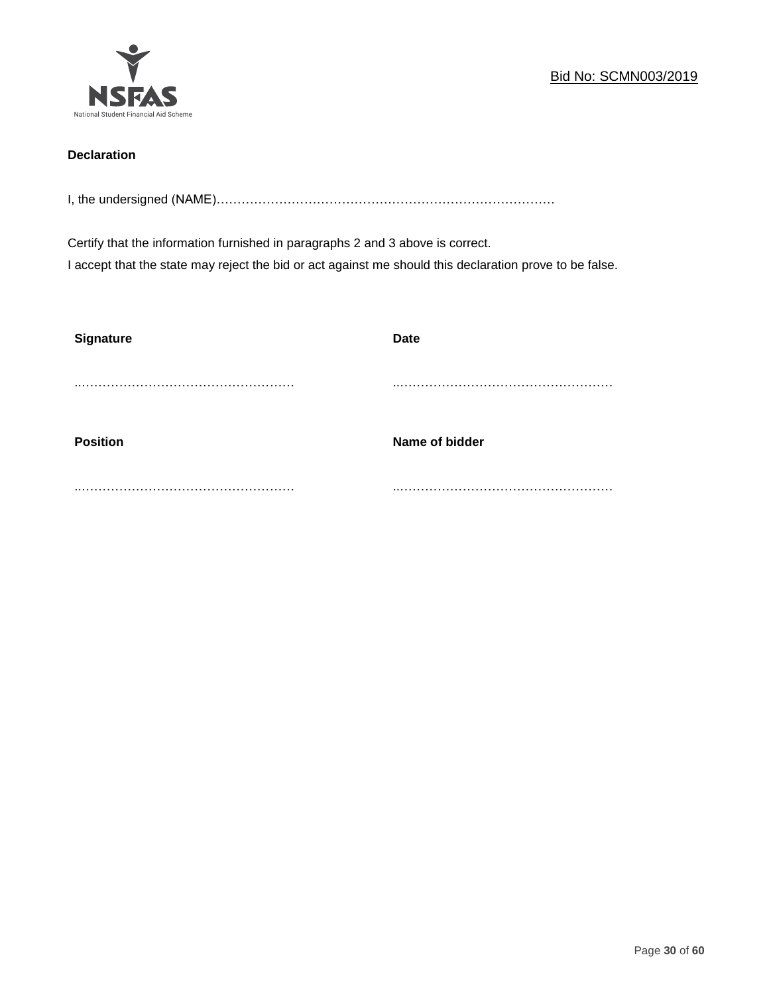

## **Declaration**

I, the undersigned (NAME)………………………………………………………………………

Certify that the information furnished in paragraphs 2 and 3 above is correct. I accept that the state may reject the bid or act against me should this declaration prove to be false.

| <b>Signature</b> | <b>Date</b>    |
|------------------|----------------|
|                  |                |
| <b>Position</b>  | Name of bidder |
|                  |                |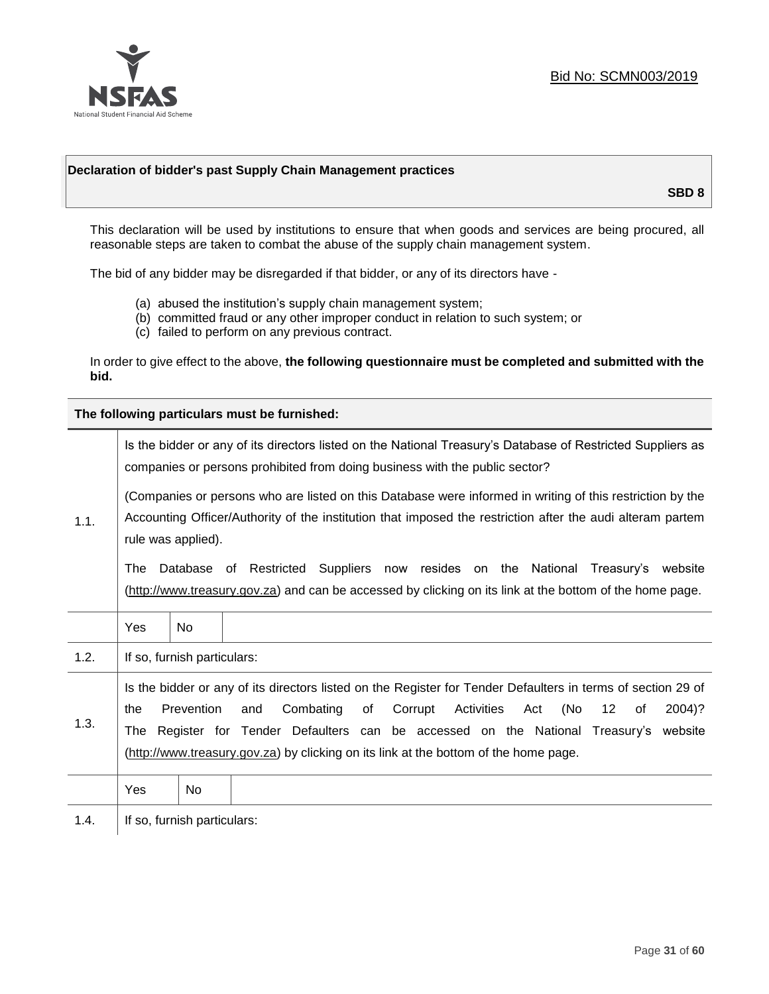

## **Declaration of bidder's past Supply Chain Management practices**

**SBD 8**

This declaration will be used by institutions to ensure that when goods and services are being procured, all reasonable steps are taken to combat the abuse of the supply chain management system.

The bid of any bidder may be disregarded if that bidder, or any of its directors have -

- (a) abused the institution's supply chain management system;
- (b) committed fraud or any other improper conduct in relation to such system; or
- (c) failed to perform on any previous contract.

In order to give effect to the above, **the following questionnaire must be completed and submitted with the bid.**

**The following particulars must be furnished:**

|      | Is the bidder or any of its directors listed on the National Treasury's Database of Restricted Suppliers as<br>companies or persons prohibited from doing business with the public sector?                                                                                                                                                                                                                                                             |                             |  |  |  |
|------|--------------------------------------------------------------------------------------------------------------------------------------------------------------------------------------------------------------------------------------------------------------------------------------------------------------------------------------------------------------------------------------------------------------------------------------------------------|-----------------------------|--|--|--|
| 1.1. | (Companies or persons who are listed on this Database were informed in writing of this restriction by the<br>Accounting Officer/Authority of the institution that imposed the restriction after the audi alteram partem<br>rule was applied).<br>Database of Restricted Suppliers now resides on the National<br>Treasury's website<br>The<br>(http://www.treasury.gov.za) and can be accessed by clicking on its link at the bottom of the home page. |                             |  |  |  |
|      | Yes                                                                                                                                                                                                                                                                                                                                                                                                                                                    | <b>No</b>                   |  |  |  |
| 1.2. |                                                                                                                                                                                                                                                                                                                                                                                                                                                        | If so, furnish particulars: |  |  |  |
| 1.3. | Is the bidder or any of its directors listed on the Register for Tender Defaulters in terms of section 29 of<br>Prevention<br>Combating<br>Activities<br>(No<br>of<br>Corrupt<br>Act<br>12<br>2004)?<br>the<br>and<br>of<br>The Register for Tender Defaulters can be accessed on the National Treasury's website<br>(http://www.treasury.gov.za) by clicking on its link at the bottom of the home page.                                              |                             |  |  |  |
|      | Yes                                                                                                                                                                                                                                                                                                                                                                                                                                                    | No.                         |  |  |  |
| 1.4. |                                                                                                                                                                                                                                                                                                                                                                                                                                                        | If so, furnish particulars: |  |  |  |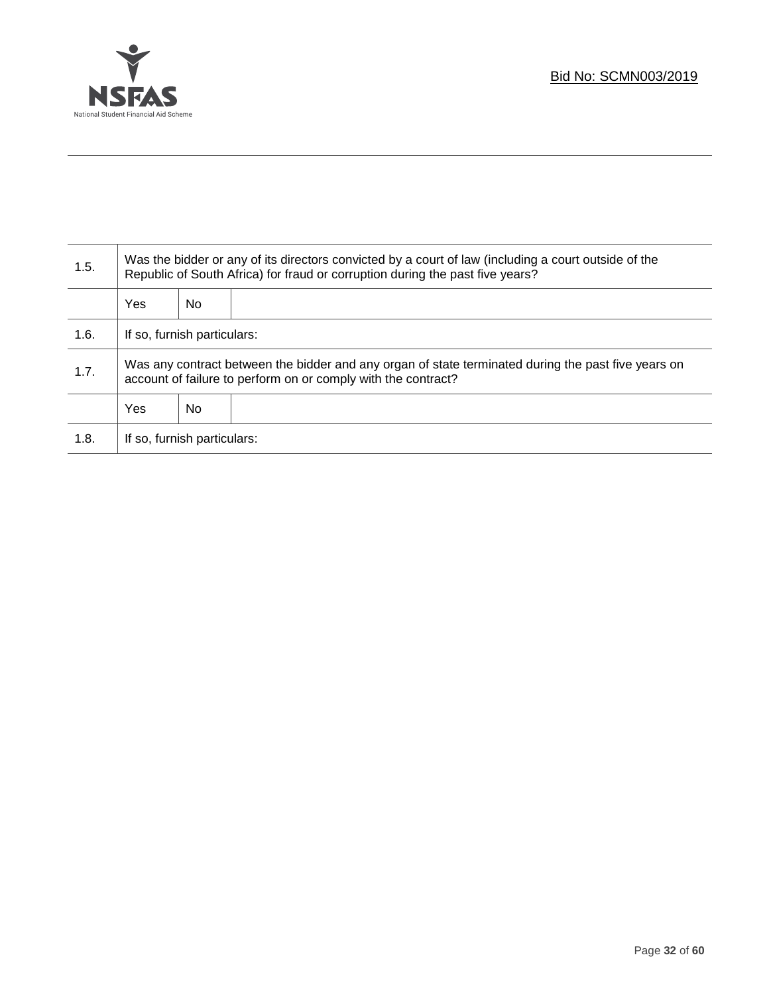

Τ

| 1.5. | Was the bidder or any of its directors convicted by a court of law (including a court outside of the<br>Republic of South Africa) for fraud or corruption during the past five years? |    |  |  |
|------|---------------------------------------------------------------------------------------------------------------------------------------------------------------------------------------|----|--|--|
|      | Yes                                                                                                                                                                                   | No |  |  |
| 1.6. | If so, furnish particulars:                                                                                                                                                           |    |  |  |
| 1.7. | Was any contract between the bidder and any organ of state terminated during the past five years on<br>account of failure to perform on or comply with the contract?                  |    |  |  |
|      | Yes                                                                                                                                                                                   | No |  |  |
| 1.8. | If so, furnish particulars:                                                                                                                                                           |    |  |  |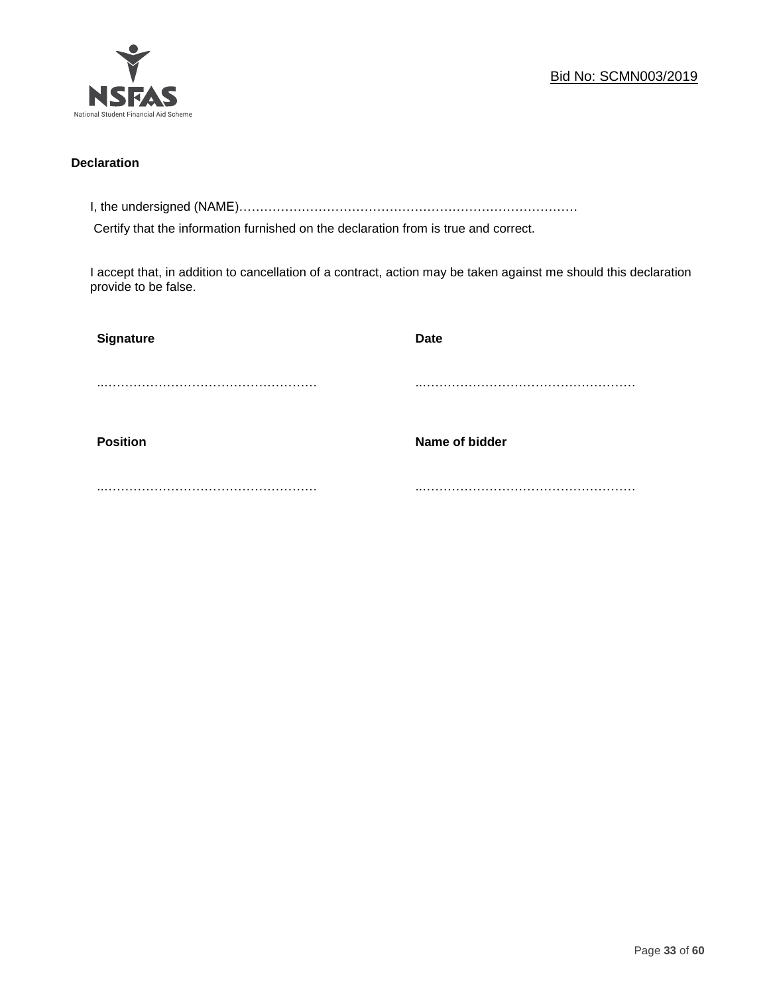

## **Declaration**

I, the undersigned (NAME)………………………………………………………………………

Certify that the information furnished on the declaration from is true and correct.

I accept that, in addition to cancellation of a contract, action may be taken against me should this declaration provide to be false.

| <b>Signature</b> | <b>Date</b>    |
|------------------|----------------|
|                  |                |
|                  |                |
| <b>Position</b>  | Name of bidder |
|                  |                |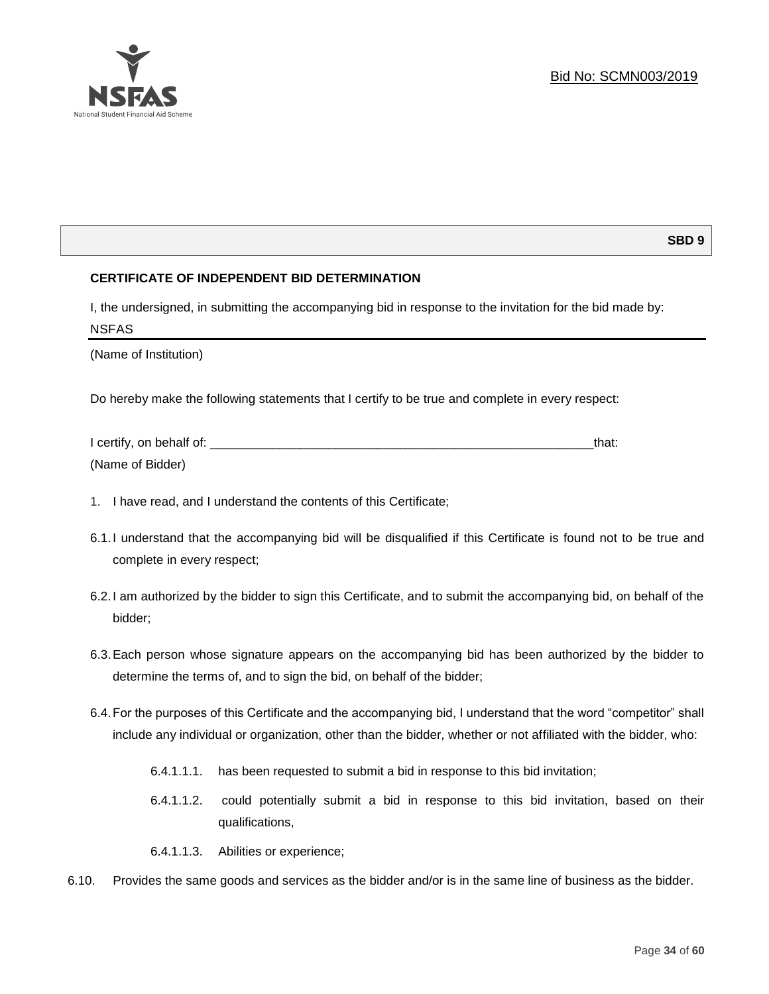

## **SBD 9**

## **CERTIFICATE OF INDEPENDENT BID DETERMINATION**

I, the undersigned, in submitting the accompanying bid in response to the invitation for the bid made by: NSFAS

(Name of Institution)

Do hereby make the following statements that I certify to be true and complete in every respect:

| I certify, on behalf of: |  |
|--------------------------|--|
| (Name of Bidder)         |  |

- 1. I have read, and I understand the contents of this Certificate;
- 6.1.I understand that the accompanying bid will be disqualified if this Certificate is found not to be true and complete in every respect;
- 6.2.I am authorized by the bidder to sign this Certificate, and to submit the accompanying bid, on behalf of the bidder;
- 6.3.Each person whose signature appears on the accompanying bid has been authorized by the bidder to determine the terms of, and to sign the bid, on behalf of the bidder;
- 6.4.For the purposes of this Certificate and the accompanying bid, I understand that the word "competitor" shall include any individual or organization, other than the bidder, whether or not affiliated with the bidder, who:
	- 6.4.1.1.1. has been requested to submit a bid in response to this bid invitation;
	- 6.4.1.1.2. could potentially submit a bid in response to this bid invitation, based on their qualifications,
	- 6.4.1.1.3. Abilities or experience;
- 6.10. Provides the same goods and services as the bidder and/or is in the same line of business as the bidder.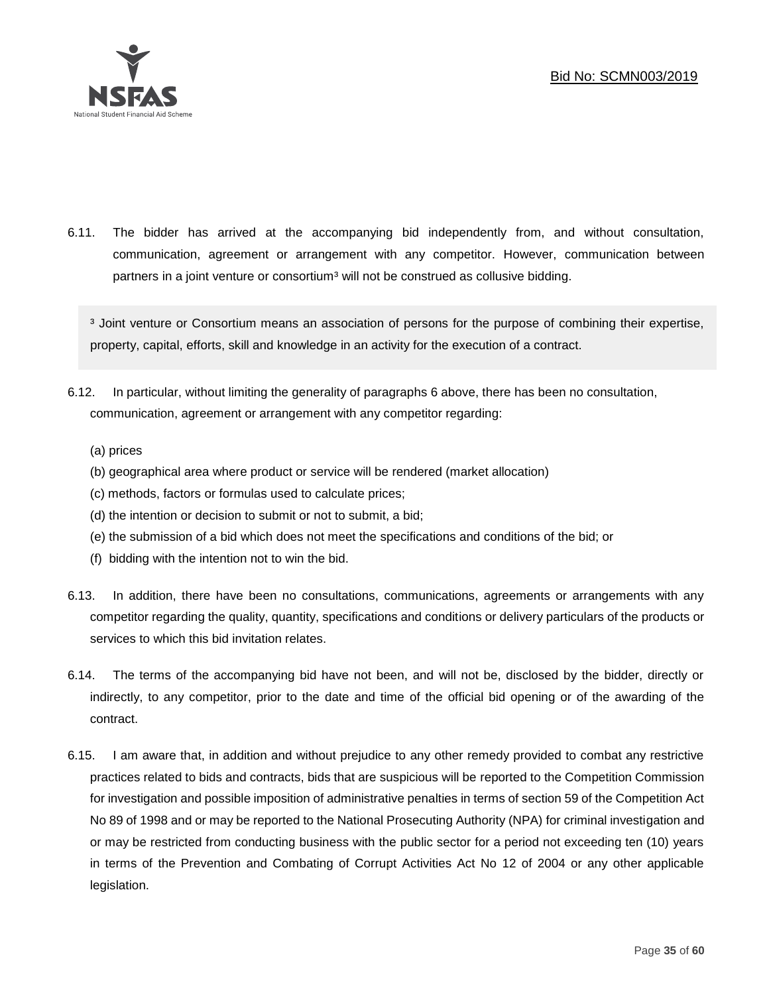

6.11. The bidder has arrived at the accompanying bid independently from, and without consultation, communication, agreement or arrangement with any competitor. However, communication between partners in a joint venture or consortium<sup>3</sup> will not be construed as collusive bidding.

<sup>3</sup> Joint venture or Consortium means an association of persons for the purpose of combining their expertise, property, capital, efforts, skill and knowledge in an activity for the execution of a contract.

- 6.12. In particular, without limiting the generality of paragraphs 6 above, there has been no consultation, communication, agreement or arrangement with any competitor regarding:
	- (a) prices
	- (b) geographical area where product or service will be rendered (market allocation)
	- (c) methods, factors or formulas used to calculate prices;
	- (d) the intention or decision to submit or not to submit, a bid;
	- (e) the submission of a bid which does not meet the specifications and conditions of the bid; or
	- (f) bidding with the intention not to win the bid.
- 6.13. In addition, there have been no consultations, communications, agreements or arrangements with any competitor regarding the quality, quantity, specifications and conditions or delivery particulars of the products or services to which this bid invitation relates.
- 6.14. The terms of the accompanying bid have not been, and will not be, disclosed by the bidder, directly or indirectly, to any competitor, prior to the date and time of the official bid opening or of the awarding of the contract.
- 6.15. I am aware that, in addition and without prejudice to any other remedy provided to combat any restrictive practices related to bids and contracts, bids that are suspicious will be reported to the Competition Commission for investigation and possible imposition of administrative penalties in terms of section 59 of the Competition Act No 89 of 1998 and or may be reported to the National Prosecuting Authority (NPA) for criminal investigation and or may be restricted from conducting business with the public sector for a period not exceeding ten (10) years in terms of the Prevention and Combating of Corrupt Activities Act No 12 of 2004 or any other applicable legislation.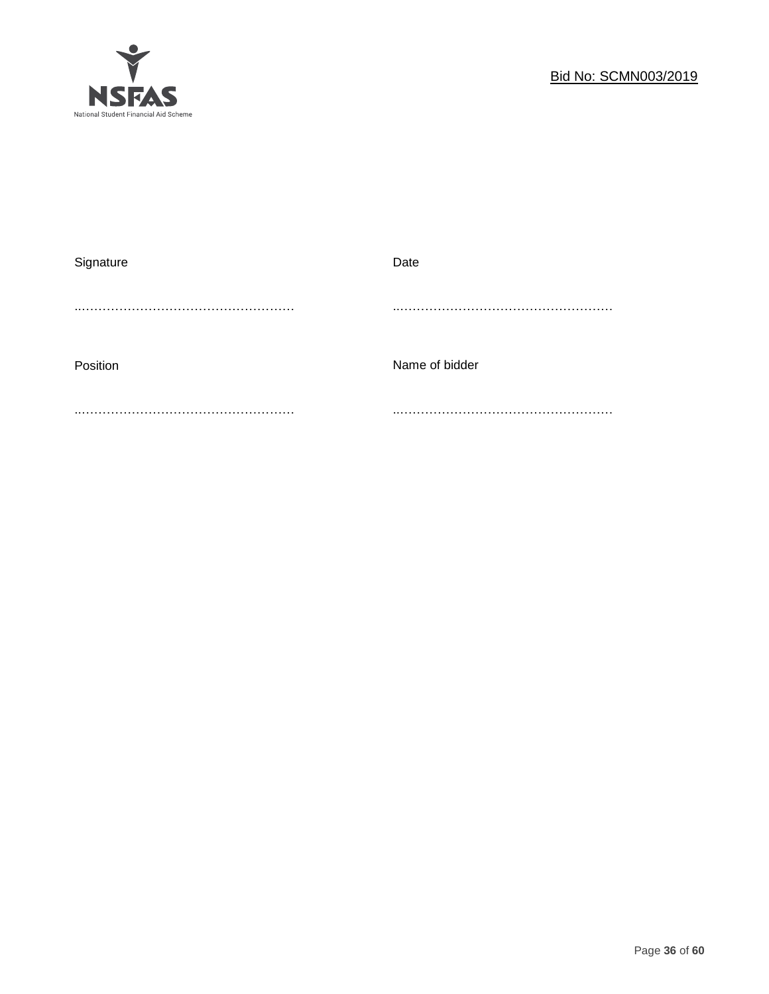

| Signature | Date           |
|-----------|----------------|
|           |                |
|           |                |
|           |                |
| Position  | Name of bidder |
|           |                |
|           |                |
|           |                |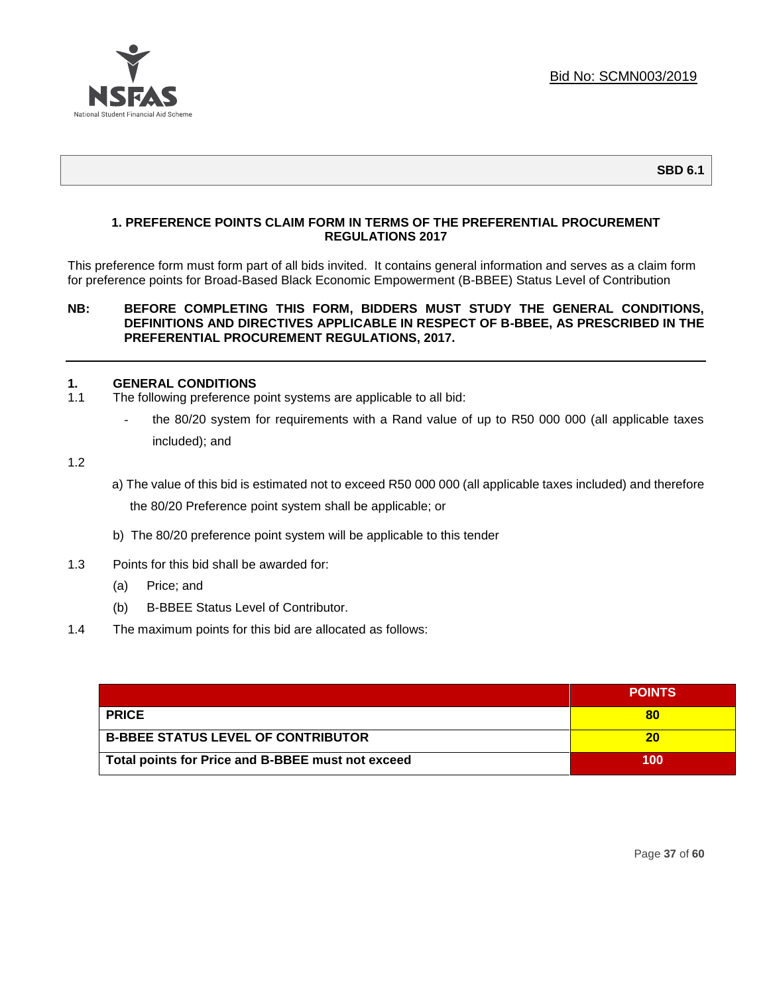

## **1. PREFERENCE POINTS CLAIM FORM IN TERMS OF THE PREFERENTIAL PROCUREMENT REGULATIONS 2017**

This preference form must form part of all bids invited. It contains general information and serves as a claim form for preference points for Broad-Based Black Economic Empowerment (B-BBEE) Status Level of Contribution

#### **NB: BEFORE COMPLETING THIS FORM, BIDDERS MUST STUDY THE GENERAL CONDITIONS, DEFINITIONS AND DIRECTIVES APPLICABLE IN RESPECT OF B-BBEE, AS PRESCRIBED IN THE PREFERENTIAL PROCUREMENT REGULATIONS, 2017.**

## **1. GENERAL CONDITIONS**

- 1.1 The following preference point systems are applicable to all bid:
	- the 80/20 system for requirements with a Rand value of up to R50 000 000 (all applicable taxes included); and

1.2

- a) The value of this bid is estimated not to exceed R50 000 000 (all applicable taxes included) and therefore the 80/20 Preference point system shall be applicable; or
- b) The 80/20 preference point system will be applicable to this tender
- 1.3 Points for this bid shall be awarded for:
	- (a) Price; and
	- (b) B-BBEE Status Level of Contributor.
- 1.4 The maximum points for this bid are allocated as follows:

|                                                   | <b>POINTS</b> |
|---------------------------------------------------|---------------|
| <b>PRICE</b>                                      |               |
| <b>B-BBEE STATUS LEVEL OF CONTRIBUTOR</b>         | 20            |
| Total points for Price and B-BBEE must not exceed | 100           |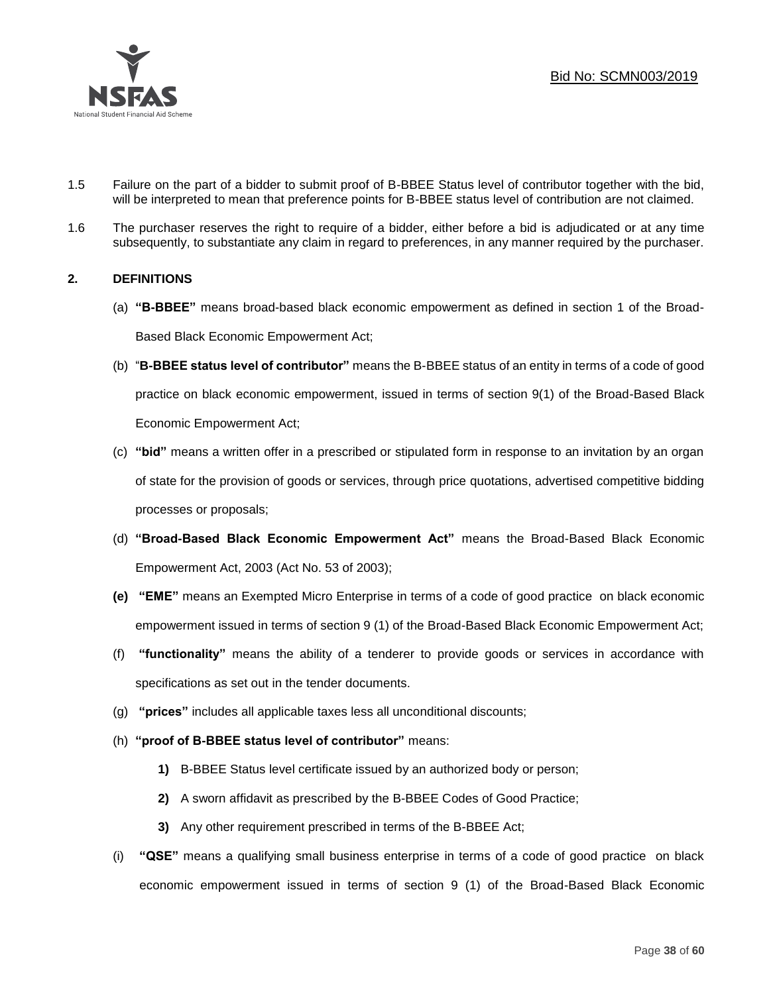Bid No: SCMN003/2019



- 1.5 Failure on the part of a bidder to submit proof of B-BBEE Status level of contributor together with the bid, will be interpreted to mean that preference points for B-BBEE status level of contribution are not claimed.
- 1.6 The purchaser reserves the right to require of a bidder, either before a bid is adjudicated or at any time subsequently, to substantiate any claim in regard to preferences, in any manner required by the purchaser.

## **2. DEFINITIONS**

- (a) **"B-BBEE"** means broad-based black economic empowerment as defined in section 1 of the Broad-Based Black Economic Empowerment Act;
- (b) "**B-BBEE status level of contributor"** means the B-BBEE status of an entity in terms of a code of good practice on black economic empowerment, issued in terms of section 9(1) of the Broad-Based Black Economic Empowerment Act;
- (c) **"bid"** means a written offer in a prescribed or stipulated form in response to an invitation by an organ of state for the provision of goods or services, through price quotations, advertised competitive bidding processes or proposals;
- (d) **"Broad-Based Black Economic Empowerment Act"** means the Broad-Based Black Economic Empowerment Act, 2003 (Act No. 53 of 2003);
- **(e) "EME"** means an Exempted Micro Enterprise in terms of a code of good practice on black economic empowerment issued in terms of section 9 (1) of the Broad-Based Black Economic Empowerment Act;
- (f) **"functionality"** means the ability of a tenderer to provide goods or services in accordance with specifications as set out in the tender documents.
- (g) **"prices"** includes all applicable taxes less all unconditional discounts;
- (h) **"proof of B-BBEE status level of contributor"** means:
	- **1)** B-BBEE Status level certificate issued by an authorized body or person;
	- **2)** A sworn affidavit as prescribed by the B-BBEE Codes of Good Practice;
	- **3)** Any other requirement prescribed in terms of the B-BBEE Act;
- (i) **"QSE"** means a qualifying small business enterprise in terms of a code of good practice on black economic empowerment issued in terms of section 9 (1) of the Broad-Based Black Economic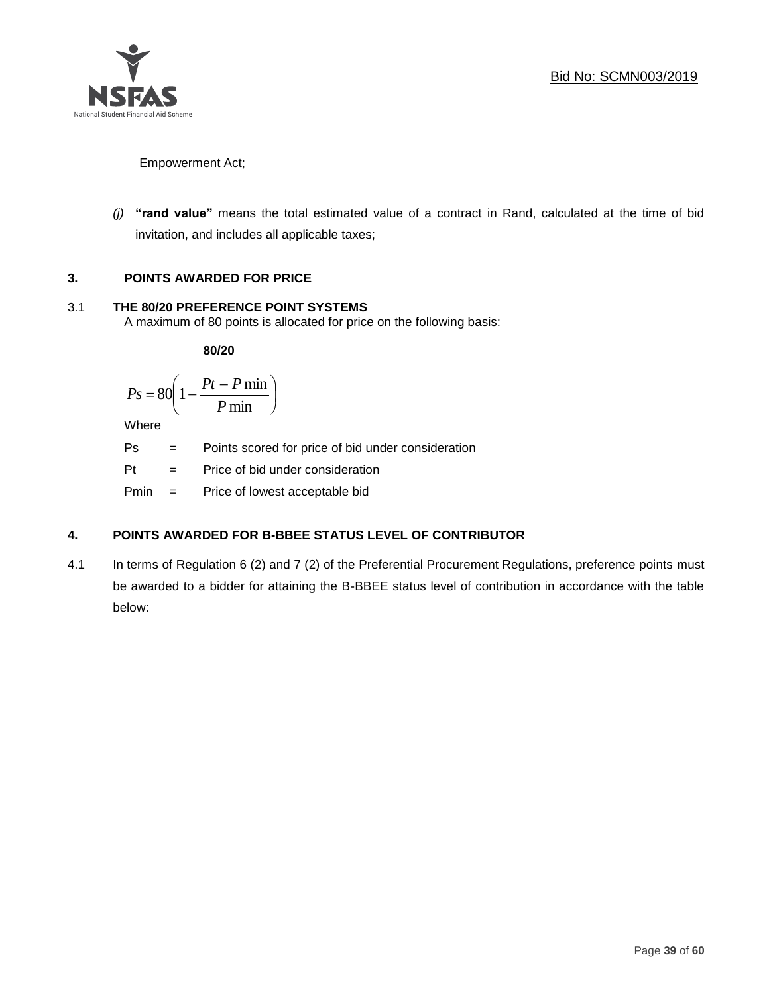

Empowerment Act;

*(j)* **"rand value"** means the total estimated value of a contract in Rand, calculated at the time of bid invitation, and includes all applicable taxes;

# **3. POINTS AWARDED FOR PRICE**

# 3.1 **THE 80/20 PREFERENCE POINT SYSTEMS**

A maximum of 80 points is allocated for price on the following basis:

**80/20**

$$
Ps = 80 \left( 1 - \frac{Pt - P \min}{P \min} \right)
$$

Where

Ps = Points scored for price of bid under consideration

Pt = Price of bid under consideration

Pmin = Price of lowest acceptable bid

# **4. POINTS AWARDED FOR B-BBEE STATUS LEVEL OF CONTRIBUTOR**

4.1 In terms of Regulation 6 (2) and 7 (2) of the Preferential Procurement Regulations, preference points must be awarded to a bidder for attaining the B-BBEE status level of contribution in accordance with the table below: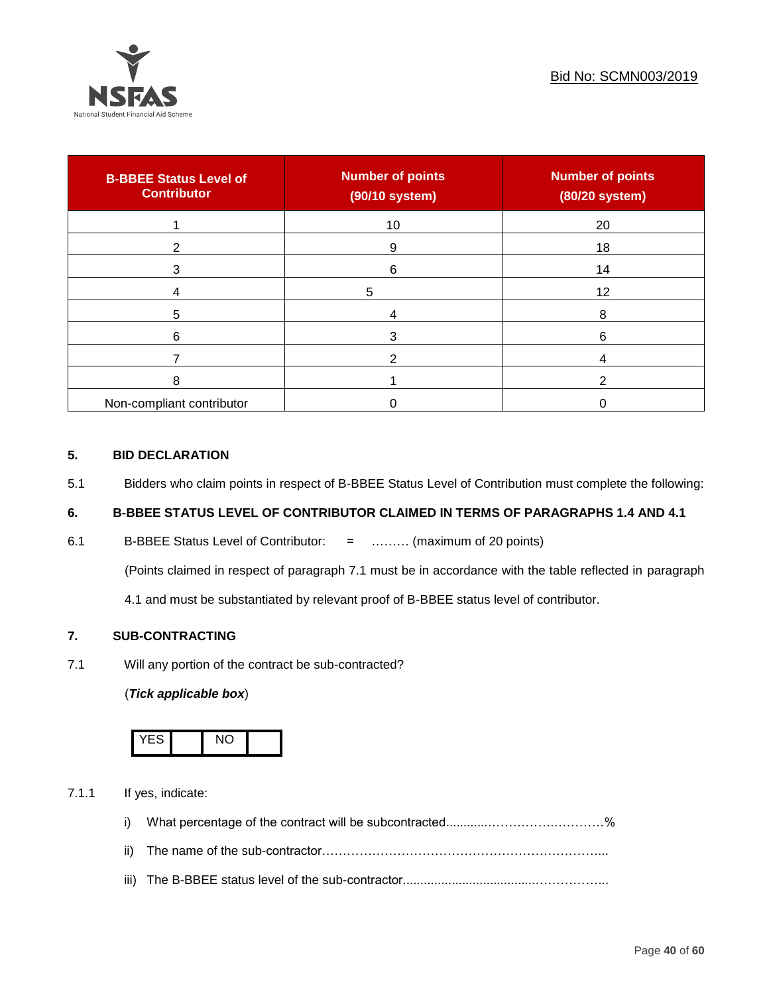

| <b>B-BBEE Status Level of</b><br><b>Contributor</b> | <b>Number of points</b><br>(90/10 system) | <b>Number of points</b><br>(80/20 system) |
|-----------------------------------------------------|-------------------------------------------|-------------------------------------------|
|                                                     | 10                                        | 20                                        |
| າ                                                   | 9                                         | 18                                        |
| 3                                                   | 6                                         | 14                                        |
|                                                     | 5                                         | 12                                        |
| 5                                                   |                                           | 8                                         |
| 6                                                   |                                           | 6                                         |
|                                                     |                                           |                                           |
| 8                                                   |                                           | ົ                                         |
| Non-compliant contributor                           |                                           |                                           |

## **5. BID DECLARATION**

5.1 Bidders who claim points in respect of B-BBEE Status Level of Contribution must complete the following:

# **6. B-BBEE STATUS LEVEL OF CONTRIBUTOR CLAIMED IN TERMS OF PARAGRAPHS 1.4 AND 4.1**

6.1 B-BBEE Status Level of Contributor: = ……… (maximum of 20 points)

(Points claimed in respect of paragraph 7.1 must be in accordance with the table reflected in paragraph

4.1 and must be substantiated by relevant proof of B-BBEE status level of contributor.

## **7. SUB-CONTRACTING**

7.1 Will any portion of the contract be sub-contracted?

## (*Tick applicable box*)



7.1.1 If yes, indicate:

- i) What percentage of the contract will be subcontracted............…………….…………%
- ii) The name of the sub-contractor…………………………………………………………...
- iii) The B-BBEE status level of the sub-contractor......................................……………...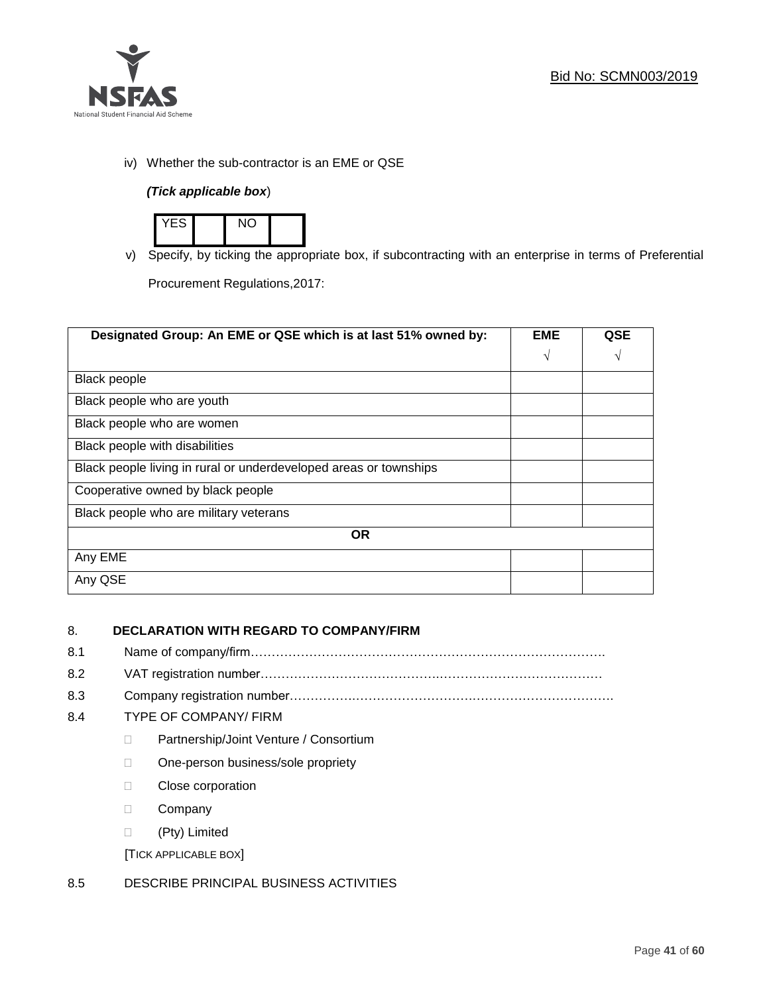

iv) Whether the sub-contractor is an EME or QSE

## *(Tick applicable box*)



v) Specify, by ticking the appropriate box, if subcontracting with an enterprise in terms of Preferential

Procurement Regulations,2017:

| Designated Group: An EME or QSE which is at last 51% owned by:    | <b>EME</b> | <b>QSE</b> |
|-------------------------------------------------------------------|------------|------------|
|                                                                   | $\sqrt{ }$ | V          |
| <b>Black people</b>                                               |            |            |
| Black people who are youth                                        |            |            |
| Black people who are women                                        |            |            |
| Black people with disabilities                                    |            |            |
| Black people living in rural or underdeveloped areas or townships |            |            |
| Cooperative owned by black people                                 |            |            |
| Black people who are military veterans                            |            |            |
| <b>OR</b>                                                         |            |            |
| Any EME                                                           |            |            |
| Any QSE                                                           |            |            |

# 8. **DECLARATION WITH REGARD TO COMPANY/FIRM**

- 8.1 Name of company/firm………………………………………………………………………….
- 8.2 VAT registration number…………………………………….…………………………………
- 8.3 Company registration number…………….……………………….…………………………….

## 8.4 TYPE OF COMPANY/ FIRM

- D Partnership/Joint Venture / Consortium
- □ One-person business/sole propriety
- D Close corporation
- D Company
- (Pty) Limited

[TICK APPLICABLE BOX]

## 8.5 DESCRIBE PRINCIPAL BUSINESS ACTIVITIES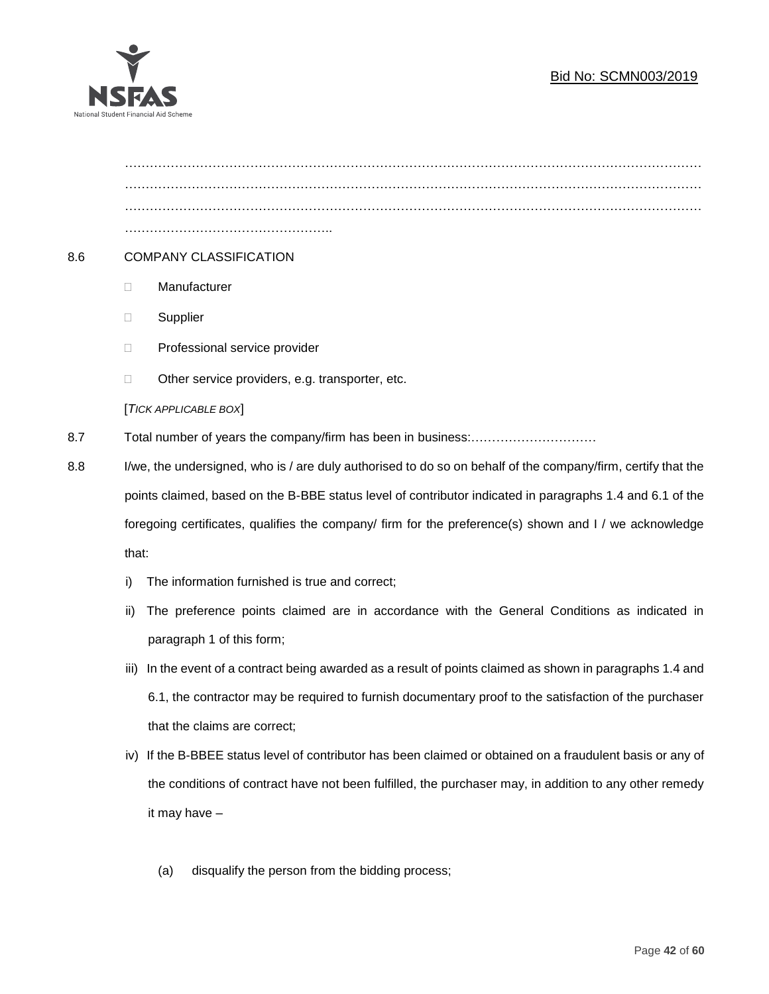# Bid No: SCMN003/2019



………………………………………………………………………………………………………………………… ………………………………………………………………………………………………………………………… ………………………………………….. 8.6 COMPANY CLASSIFICATION Manufacturer **Supplier** □ Professional service provider □ Other service providers, e.g. transporter, etc. [*TICK APPLICABLE BOX*] 8.7 Total number of years the company/firm has been in business:………………………… 8.8 I/we, the undersigned, who is / are duly authorised to do so on behalf of the company/firm, certify that the points claimed, based on the B-BBE status level of contributor indicated in paragraphs 1.4 and 6.1 of the foregoing certificates, qualifies the company/ firm for the preference(s) shown and I / we acknowledge that:

- i) The information furnished is true and correct;
- ii) The preference points claimed are in accordance with the General Conditions as indicated in paragraph 1 of this form;
- iii) In the event of a contract being awarded as a result of points claimed as shown in paragraphs 1.4 and 6.1, the contractor may be required to furnish documentary proof to the satisfaction of the purchaser that the claims are correct;
- iv) If the B-BBEE status level of contributor has been claimed or obtained on a fraudulent basis or any of the conditions of contract have not been fulfilled, the purchaser may, in addition to any other remedy it may have –
	- (a) disqualify the person from the bidding process;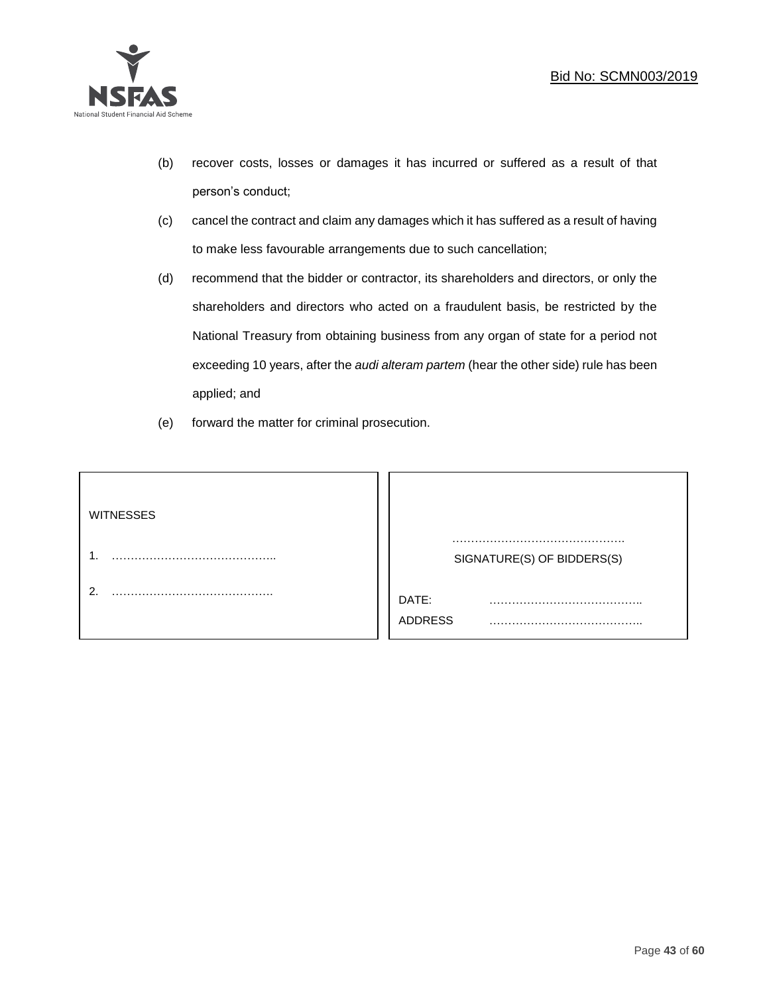

- (b) recover costs, losses or damages it has incurred or suffered as a result of that person's conduct;
- (c) cancel the contract and claim any damages which it has suffered as a result of having to make less favourable arrangements due to such cancellation;
- (d) recommend that the bidder or contractor, its shareholders and directors, or only the shareholders and directors who acted on a fraudulent basis, be restricted by the National Treasury from obtaining business from any organ of state for a period not exceeding 10 years, after the *audi alteram partem* (hear the other side) rule has been applied; and
- (e) forward the matter for criminal prosecution.

| <b>WITNESSES</b> |                            |
|------------------|----------------------------|
|                  | SIGNATURE(S) OF BIDDERS(S) |
|                  | DATE:<br>.<br>ADDRESS      |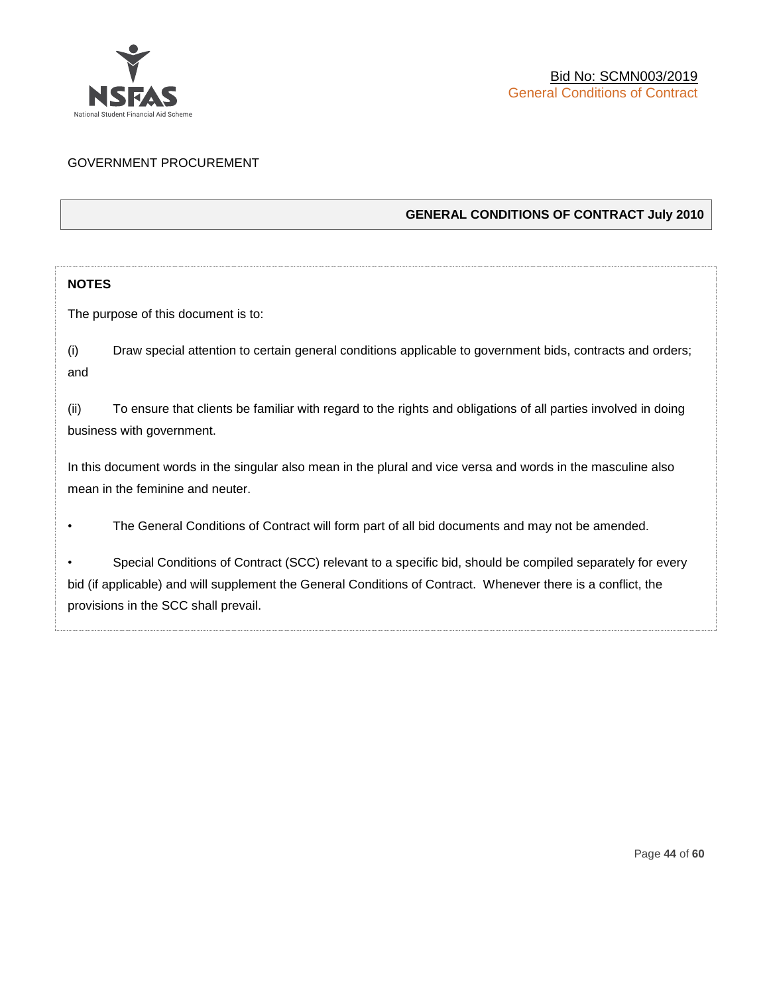

## GOVERNMENT PROCUREMENT

## **GENERAL CONDITIONS OF CONTRACT July 2010**

## **NOTES**

The purpose of this document is to:

(i) Draw special attention to certain general conditions applicable to government bids, contracts and orders; and

(ii) To ensure that clients be familiar with regard to the rights and obligations of all parties involved in doing business with government.

In this document words in the singular also mean in the plural and vice versa and words in the masculine also mean in the feminine and neuter.

• The General Conditions of Contract will form part of all bid documents and may not be amended.

Special Conditions of Contract (SCC) relevant to a specific bid, should be compiled separately for every bid (if applicable) and will supplement the General Conditions of Contract. Whenever there is a conflict, the provisions in the SCC shall prevail.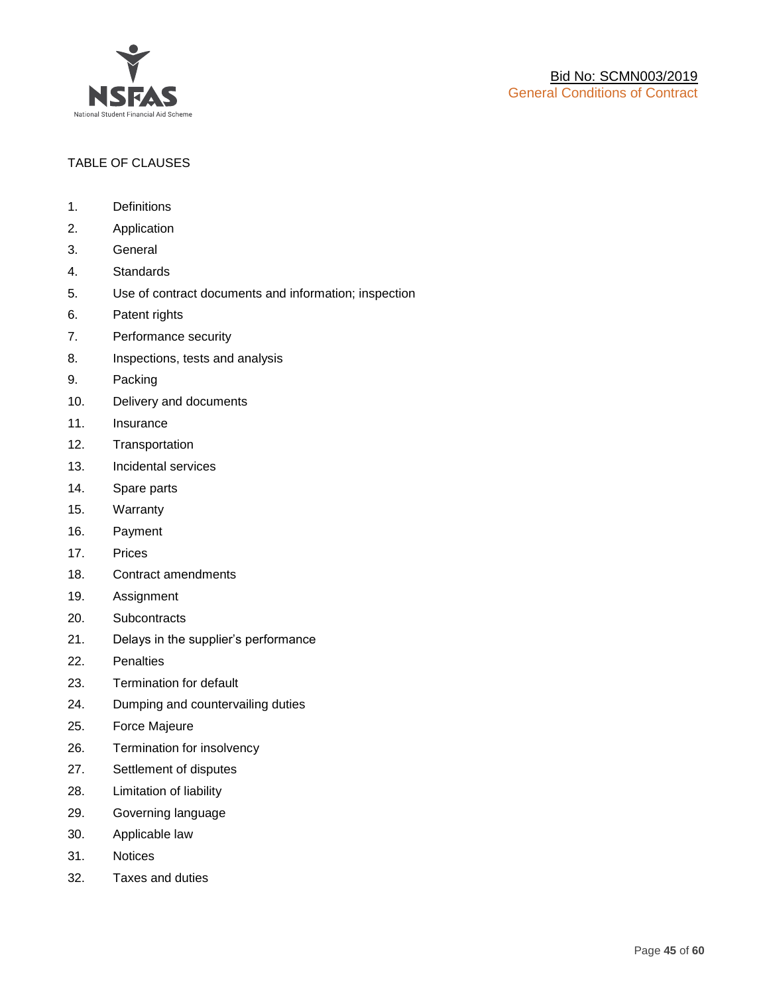

## TABLE OF CLAUSES

- 1. Definitions
- 2. Application
- 3. General
- 4. Standards
- 5. Use of contract documents and information; inspection
- 6. Patent rights
- 7. Performance security
- 8. Inspections, tests and analysis
- 9. Packing
- 10. Delivery and documents
- 11. Insurance
- 12. Transportation
- 13. Incidental services
- 14. Spare parts
- 15. Warranty
- 16. Payment
- 17. Prices
- 18. Contract amendments
- 19. Assignment
- 20. Subcontracts
- 21. Delays in the supplier's performance
- 22. Penalties
- 23. Termination for default
- 24. Dumping and countervailing duties
- 25. Force Majeure
- 26. Termination for insolvency
- 27. Settlement of disputes
- 28. Limitation of liability
- 29. Governing language
- 30. Applicable law
- 31. Notices
- 32. Taxes and duties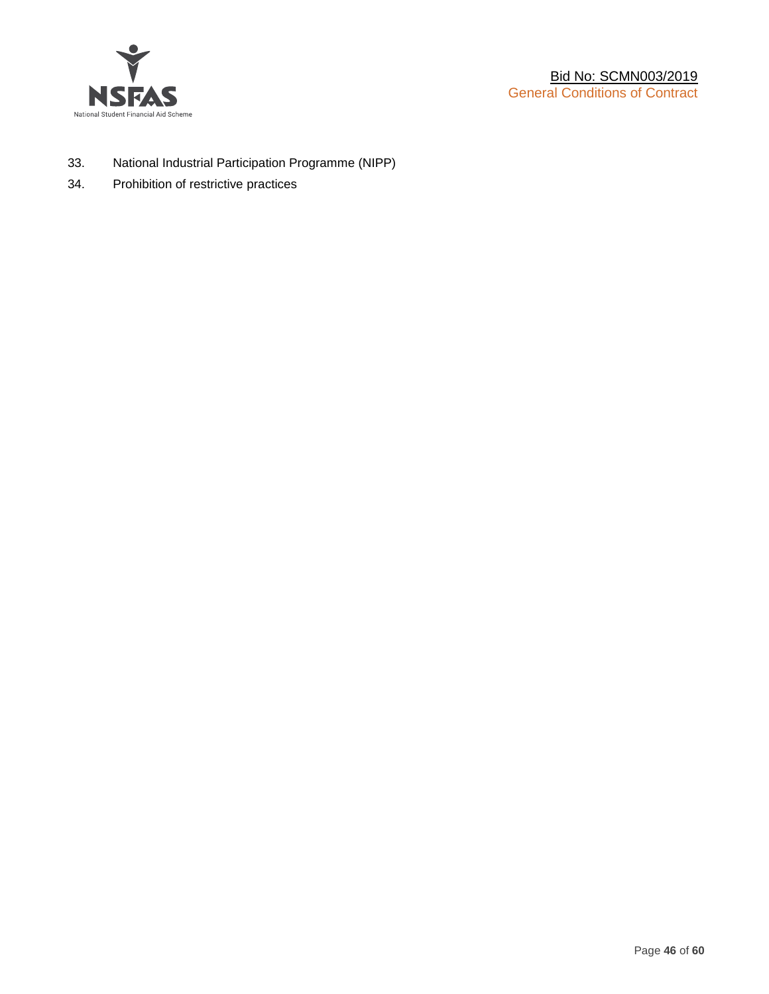

- 33. National Industrial Participation Programme (NIPP)
- 34. Prohibition of restrictive practices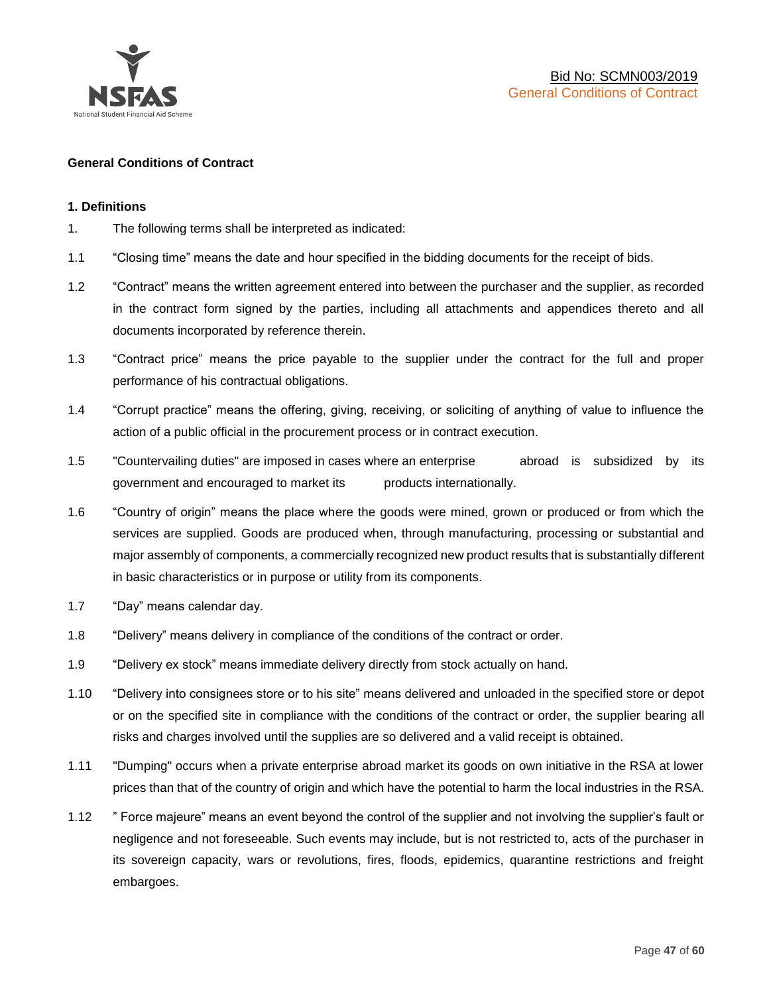

## **General Conditions of Contract**

#### **1. Definitions**

- 1. The following terms shall be interpreted as indicated:
- 1.1 "Closing time" means the date and hour specified in the bidding documents for the receipt of bids.
- 1.2 "Contract" means the written agreement entered into between the purchaser and the supplier, as recorded in the contract form signed by the parties, including all attachments and appendices thereto and all documents incorporated by reference therein.
- 1.3 "Contract price" means the price payable to the supplier under the contract for the full and proper performance of his contractual obligations.
- 1.4 "Corrupt practice" means the offering, giving, receiving, or soliciting of anything of value to influence the action of a public official in the procurement process or in contract execution.
- 1.5 "Countervailing duties" are imposed in cases where an enterprise abroad is subsidized by its government and encouraged to market its products internationally.
- 1.6 "Country of origin" means the place where the goods were mined, grown or produced or from which the services are supplied. Goods are produced when, through manufacturing, processing or substantial and major assembly of components, a commercially recognized new product results that is substantially different in basic characteristics or in purpose or utility from its components.
- 1.7 "Day" means calendar day.
- 1.8 "Delivery" means delivery in compliance of the conditions of the contract or order.
- 1.9 "Delivery ex stock" means immediate delivery directly from stock actually on hand.
- 1.10 "Delivery into consignees store or to his site" means delivered and unloaded in the specified store or depot or on the specified site in compliance with the conditions of the contract or order, the supplier bearing all risks and charges involved until the supplies are so delivered and a valid receipt is obtained.
- 1.11 "Dumping" occurs when a private enterprise abroad market its goods on own initiative in the RSA at lower prices than that of the country of origin and which have the potential to harm the local industries in the RSA.
- 1.12 " Force majeure" means an event beyond the control of the supplier and not involving the supplier's fault or negligence and not foreseeable. Such events may include, but is not restricted to, acts of the purchaser in its sovereign capacity, wars or revolutions, fires, floods, epidemics, quarantine restrictions and freight embargoes.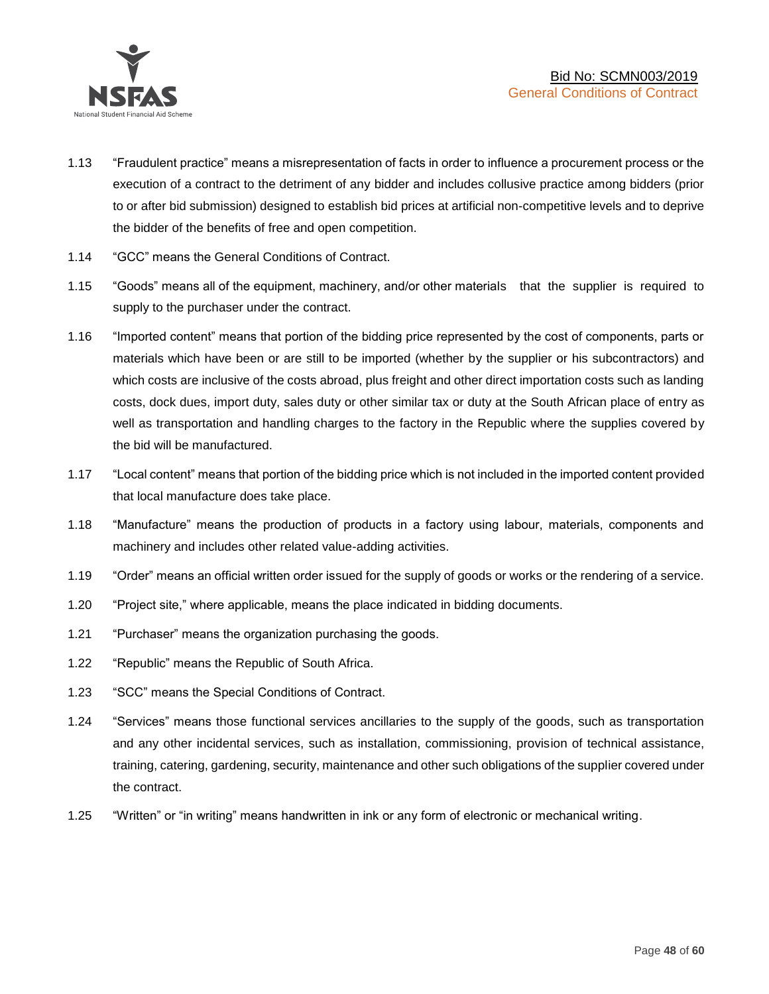

- 1.13 "Fraudulent practice" means a misrepresentation of facts in order to influence a procurement process or the execution of a contract to the detriment of any bidder and includes collusive practice among bidders (prior to or after bid submission) designed to establish bid prices at artificial non-competitive levels and to deprive the bidder of the benefits of free and open competition.
- 1.14 "GCC" means the General Conditions of Contract.
- 1.15 "Goods" means all of the equipment, machinery, and/or other materials that the supplier is required to supply to the purchaser under the contract.
- 1.16 "Imported content" means that portion of the bidding price represented by the cost of components, parts or materials which have been or are still to be imported (whether by the supplier or his subcontractors) and which costs are inclusive of the costs abroad, plus freight and other direct importation costs such as landing costs, dock dues, import duty, sales duty or other similar tax or duty at the South African place of entry as well as transportation and handling charges to the factory in the Republic where the supplies covered by the bid will be manufactured.
- 1.17 "Local content" means that portion of the bidding price which is not included in the imported content provided that local manufacture does take place.
- 1.18 "Manufacture" means the production of products in a factory using labour, materials, components and machinery and includes other related value-adding activities.
- 1.19 "Order" means an official written order issued for the supply of goods or works or the rendering of a service.
- 1.20 "Project site," where applicable, means the place indicated in bidding documents.
- 1.21 "Purchaser" means the organization purchasing the goods.
- 1.22 "Republic" means the Republic of South Africa.
- 1.23 "SCC" means the Special Conditions of Contract.
- 1.24 "Services" means those functional services ancillaries to the supply of the goods, such as transportation and any other incidental services, such as installation, commissioning, provision of technical assistance, training, catering, gardening, security, maintenance and other such obligations of the supplier covered under the contract.
- 1.25 "Written" or "in writing" means handwritten in ink or any form of electronic or mechanical writing.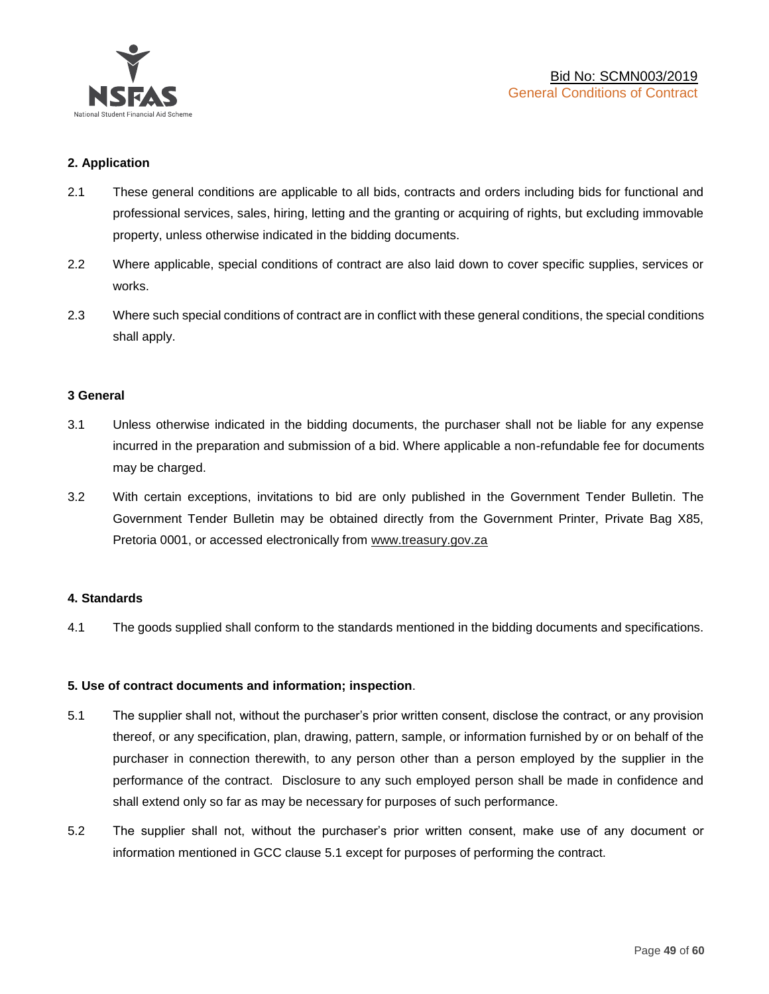

## **2. Application**

- 2.1 These general conditions are applicable to all bids, contracts and orders including bids for functional and professional services, sales, hiring, letting and the granting or acquiring of rights, but excluding immovable property, unless otherwise indicated in the bidding documents.
- 2.2 Where applicable, special conditions of contract are also laid down to cover specific supplies, services or works.
- 2.3 Where such special conditions of contract are in conflict with these general conditions, the special conditions shall apply.

#### **3 General**

- 3.1 Unless otherwise indicated in the bidding documents, the purchaser shall not be liable for any expense incurred in the preparation and submission of a bid. Where applicable a non-refundable fee for documents may be charged.
- 3.2 With certain exceptions, invitations to bid are only published in the Government Tender Bulletin. The Government Tender Bulletin may be obtained directly from the Government Printer, Private Bag X85, Pretoria 0001, or accessed electronically from [www.treasury.gov.za](http://www.treasury.gov.za/)

#### **4. Standards**

4.1 The goods supplied shall conform to the standards mentioned in the bidding documents and specifications.

#### **5. Use of contract documents and information; inspection**.

- 5.1 The supplier shall not, without the purchaser's prior written consent, disclose the contract, or any provision thereof, or any specification, plan, drawing, pattern, sample, or information furnished by or on behalf of the purchaser in connection therewith, to any person other than a person employed by the supplier in the performance of the contract. Disclosure to any such employed person shall be made in confidence and shall extend only so far as may be necessary for purposes of such performance.
- 5.2 The supplier shall not, without the purchaser's prior written consent, make use of any document or information mentioned in GCC clause 5.1 except for purposes of performing the contract.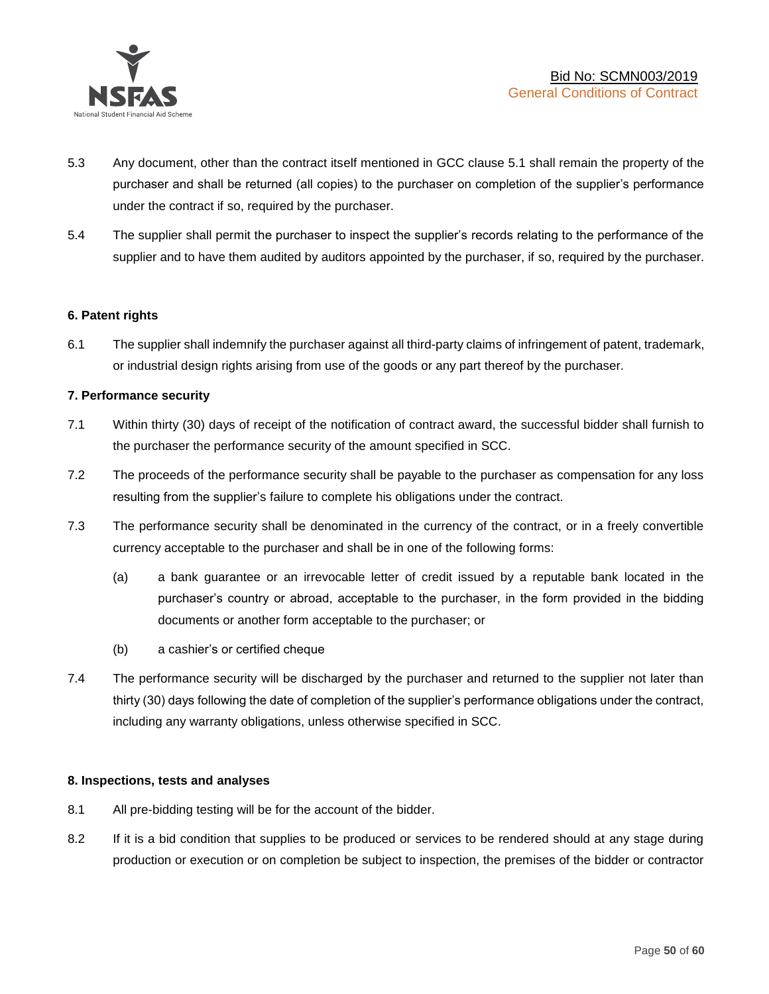

- 5.3 Any document, other than the contract itself mentioned in GCC clause 5.1 shall remain the property of the purchaser and shall be returned (all copies) to the purchaser on completion of the supplier's performance under the contract if so, required by the purchaser.
- 5.4 The supplier shall permit the purchaser to inspect the supplier's records relating to the performance of the supplier and to have them audited by auditors appointed by the purchaser, if so, required by the purchaser.

## **6. Patent rights**

6.1 The supplier shall indemnify the purchaser against all third-party claims of infringement of patent, trademark, or industrial design rights arising from use of the goods or any part thereof by the purchaser.

## **7. Performance security**

- 7.1 Within thirty (30) days of receipt of the notification of contract award, the successful bidder shall furnish to the purchaser the performance security of the amount specified in SCC.
- 7.2 The proceeds of the performance security shall be payable to the purchaser as compensation for any loss resulting from the supplier's failure to complete his obligations under the contract.
- 7.3 The performance security shall be denominated in the currency of the contract, or in a freely convertible currency acceptable to the purchaser and shall be in one of the following forms:
	- (a) a bank guarantee or an irrevocable letter of credit issued by a reputable bank located in the purchaser's country or abroad, acceptable to the purchaser, in the form provided in the bidding documents or another form acceptable to the purchaser; or
	- (b) a cashier's or certified cheque
- 7.4 The performance security will be discharged by the purchaser and returned to the supplier not later than thirty (30) days following the date of completion of the supplier's performance obligations under the contract, including any warranty obligations, unless otherwise specified in SCC.

#### **8. Inspections, tests and analyses**

- 8.1 All pre-bidding testing will be for the account of the bidder.
- 8.2 If it is a bid condition that supplies to be produced or services to be rendered should at any stage during production or execution or on completion be subject to inspection, the premises of the bidder or contractor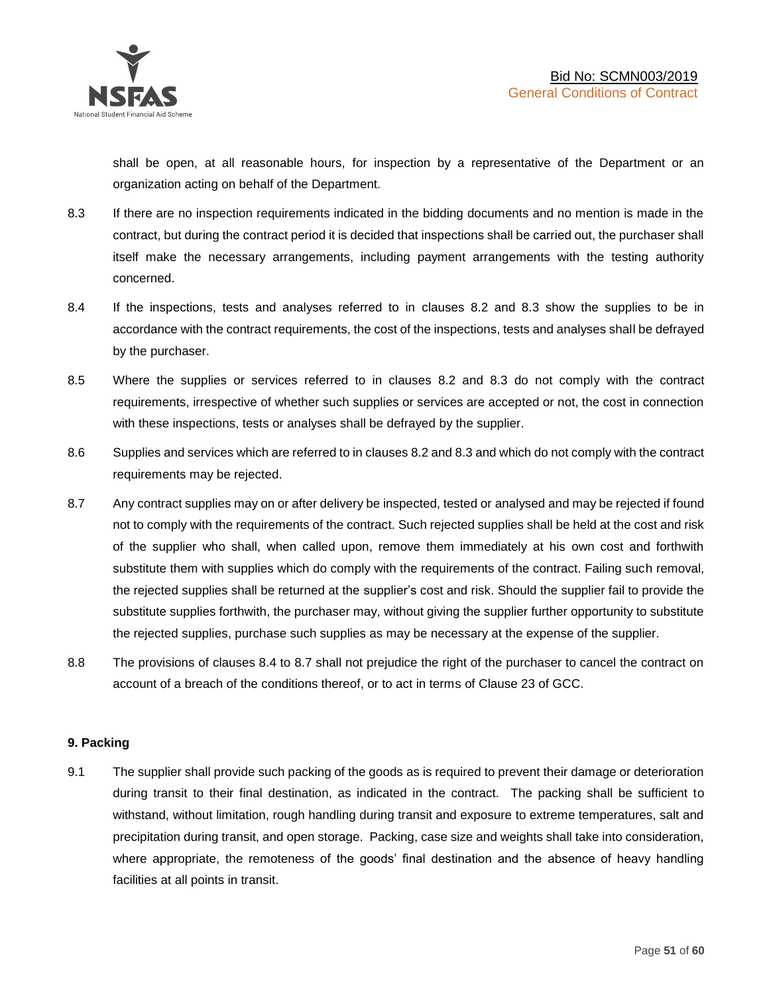shall be open, at all reasonable hours, for inspection by a representative of the Department or an organization acting on behalf of the Department.

- 8.3 If there are no inspection requirements indicated in the bidding documents and no mention is made in the contract, but during the contract period it is decided that inspections shall be carried out, the purchaser shall itself make the necessary arrangements, including payment arrangements with the testing authority concerned.
- 8.4 If the inspections, tests and analyses referred to in clauses 8.2 and 8.3 show the supplies to be in accordance with the contract requirements, the cost of the inspections, tests and analyses shall be defrayed by the purchaser.
- 8.5 Where the supplies or services referred to in clauses 8.2 and 8.3 do not comply with the contract requirements, irrespective of whether such supplies or services are accepted or not, the cost in connection with these inspections, tests or analyses shall be defrayed by the supplier.
- 8.6 Supplies and services which are referred to in clauses 8.2 and 8.3 and which do not comply with the contract requirements may be rejected.
- 8.7 Any contract supplies may on or after delivery be inspected, tested or analysed and may be rejected if found not to comply with the requirements of the contract. Such rejected supplies shall be held at the cost and risk of the supplier who shall, when called upon, remove them immediately at his own cost and forthwith substitute them with supplies which do comply with the requirements of the contract. Failing such removal, the rejected supplies shall be returned at the supplier's cost and risk. Should the supplier fail to provide the substitute supplies forthwith, the purchaser may, without giving the supplier further opportunity to substitute the rejected supplies, purchase such supplies as may be necessary at the expense of the supplier.
- 8.8 The provisions of clauses 8.4 to 8.7 shall not prejudice the right of the purchaser to cancel the contract on account of a breach of the conditions thereof, or to act in terms of Clause 23 of GCC.

## **9. Packing**

9.1 The supplier shall provide such packing of the goods as is required to prevent their damage or deterioration during transit to their final destination, as indicated in the contract. The packing shall be sufficient to withstand, without limitation, rough handling during transit and exposure to extreme temperatures, salt and precipitation during transit, and open storage. Packing, case size and weights shall take into consideration, where appropriate, the remoteness of the goods' final destination and the absence of heavy handling facilities at all points in transit.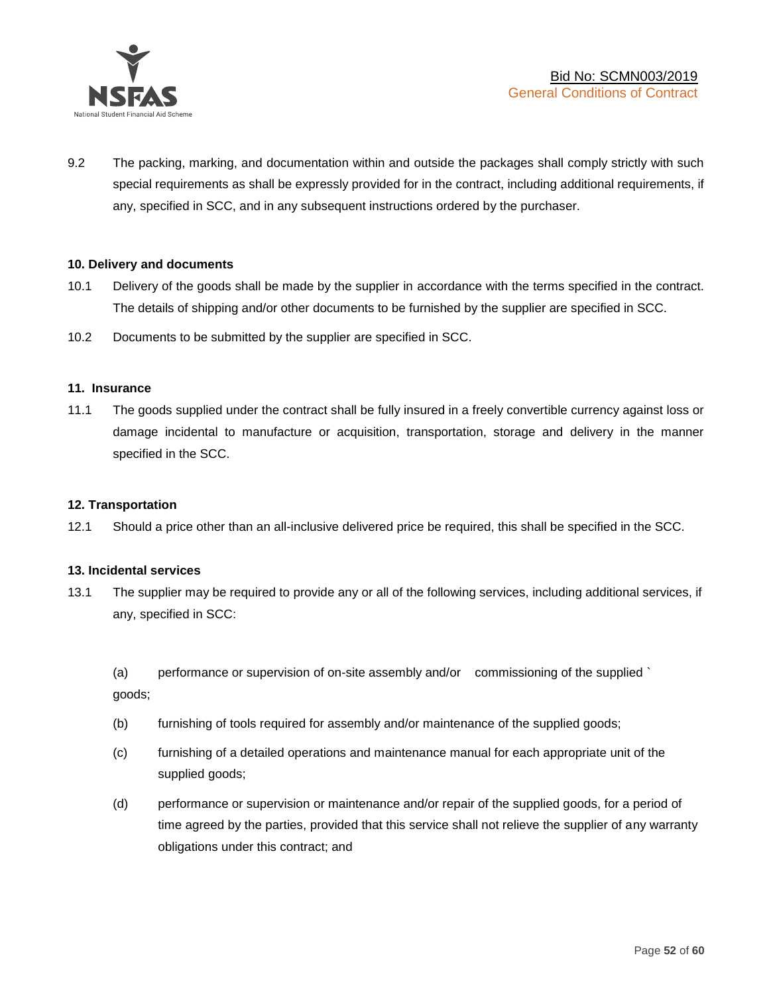

9.2 The packing, marking, and documentation within and outside the packages shall comply strictly with such special requirements as shall be expressly provided for in the contract, including additional requirements, if any, specified in SCC, and in any subsequent instructions ordered by the purchaser.

## **10. Delivery and documents**

- 10.1 Delivery of the goods shall be made by the supplier in accordance with the terms specified in the contract. The details of shipping and/or other documents to be furnished by the supplier are specified in SCC.
- 10.2 Documents to be submitted by the supplier are specified in SCC.

#### **11. Insurance**

11.1 The goods supplied under the contract shall be fully insured in a freely convertible currency against loss or damage incidental to manufacture or acquisition, transportation, storage and delivery in the manner specified in the SCC.

#### **12. Transportation**

12.1 Should a price other than an all-inclusive delivered price be required, this shall be specified in the SCC.

#### **13. Incidental services**

13.1 The supplier may be required to provide any or all of the following services, including additional services, if any, specified in SCC:

(a) performance or supervision of on-site assembly and/or commissioning of the supplied ` goods;

- (b) furnishing of tools required for assembly and/or maintenance of the supplied goods;
- (c) furnishing of a detailed operations and maintenance manual for each appropriate unit of the supplied goods;
- (d) performance or supervision or maintenance and/or repair of the supplied goods, for a period of time agreed by the parties, provided that this service shall not relieve the supplier of any warranty obligations under this contract; and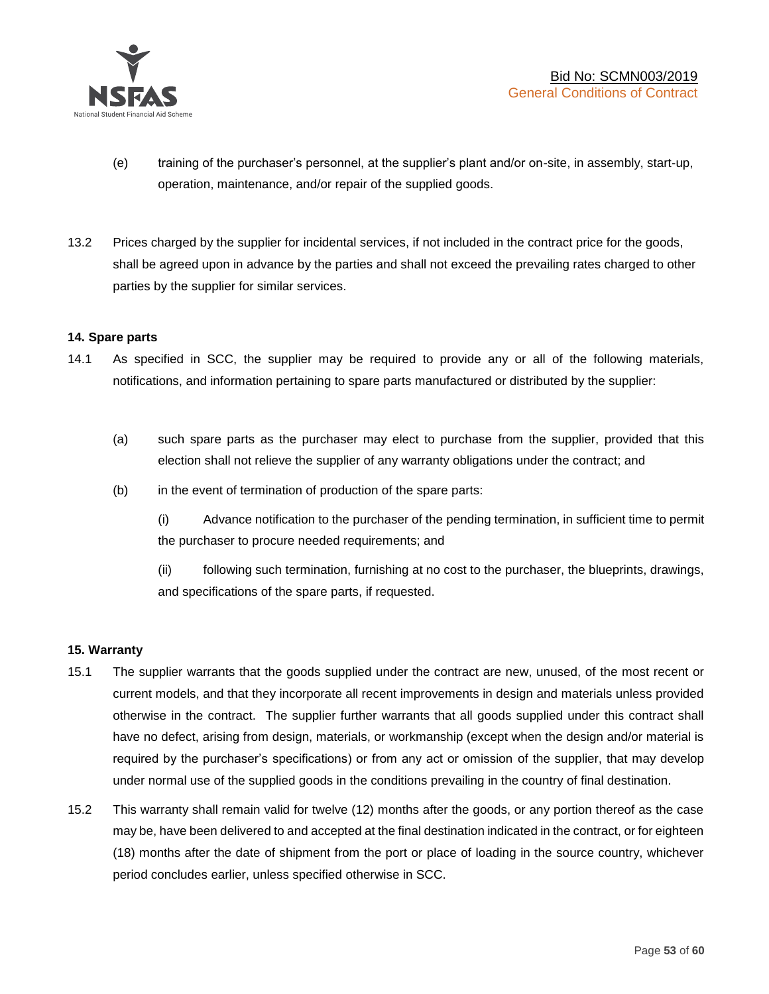

- (e) training of the purchaser's personnel, at the supplier's plant and/or on-site, in assembly, start-up, operation, maintenance, and/or repair of the supplied goods.
- 13.2 Prices charged by the supplier for incidental services, if not included in the contract price for the goods, shall be agreed upon in advance by the parties and shall not exceed the prevailing rates charged to other parties by the supplier for similar services.

## **14. Spare parts**

- 14.1 As specified in SCC, the supplier may be required to provide any or all of the following materials, notifications, and information pertaining to spare parts manufactured or distributed by the supplier:
	- (a) such spare parts as the purchaser may elect to purchase from the supplier, provided that this election shall not relieve the supplier of any warranty obligations under the contract; and
	- (b) in the event of termination of production of the spare parts:

(i) Advance notification to the purchaser of the pending termination, in sufficient time to permit the purchaser to procure needed requirements; and

(ii) following such termination, furnishing at no cost to the purchaser, the blueprints, drawings, and specifications of the spare parts, if requested.

#### **15. Warranty**

- 15.1 The supplier warrants that the goods supplied under the contract are new, unused, of the most recent or current models, and that they incorporate all recent improvements in design and materials unless provided otherwise in the contract. The supplier further warrants that all goods supplied under this contract shall have no defect, arising from design, materials, or workmanship (except when the design and/or material is required by the purchaser's specifications) or from any act or omission of the supplier, that may develop under normal use of the supplied goods in the conditions prevailing in the country of final destination.
- 15.2 This warranty shall remain valid for twelve (12) months after the goods, or any portion thereof as the case may be, have been delivered to and accepted at the final destination indicated in the contract, or for eighteen (18) months after the date of shipment from the port or place of loading in the source country, whichever period concludes earlier, unless specified otherwise in SCC.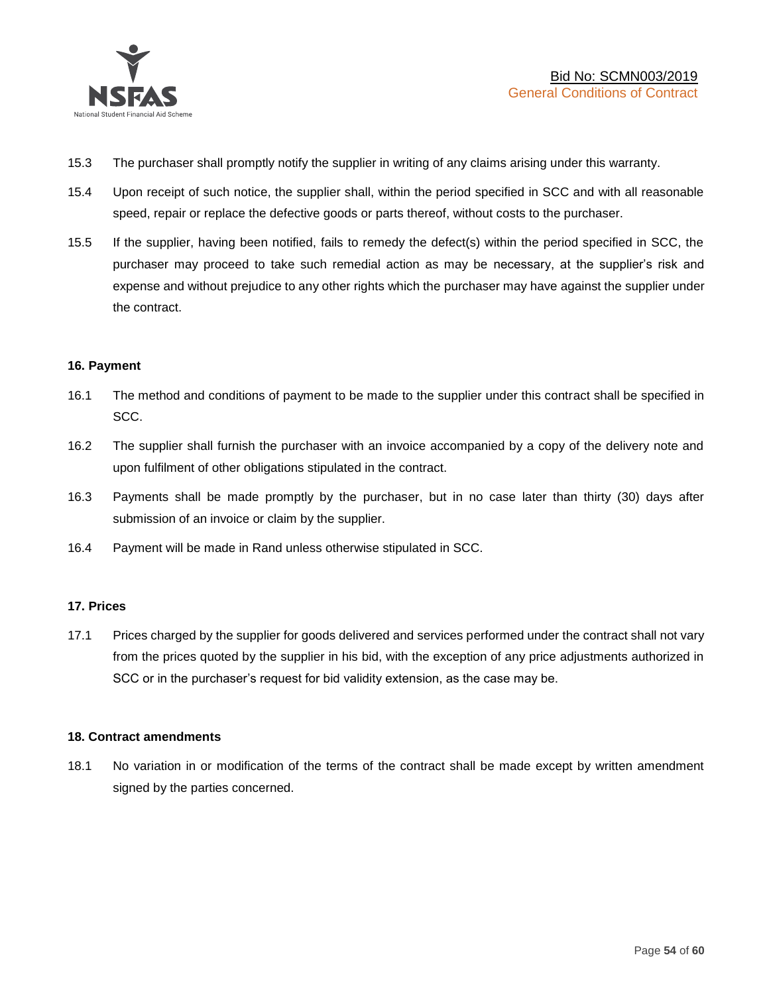

- 15.3 The purchaser shall promptly notify the supplier in writing of any claims arising under this warranty.
- 15.4 Upon receipt of such notice, the supplier shall, within the period specified in SCC and with all reasonable speed, repair or replace the defective goods or parts thereof, without costs to the purchaser.
- 15.5 If the supplier, having been notified, fails to remedy the defect(s) within the period specified in SCC, the purchaser may proceed to take such remedial action as may be necessary, at the supplier's risk and expense and without prejudice to any other rights which the purchaser may have against the supplier under the contract.

## **16. Payment**

- 16.1 The method and conditions of payment to be made to the supplier under this contract shall be specified in SCC.
- 16.2 The supplier shall furnish the purchaser with an invoice accompanied by a copy of the delivery note and upon fulfilment of other obligations stipulated in the contract.
- 16.3 Payments shall be made promptly by the purchaser, but in no case later than thirty (30) days after submission of an invoice or claim by the supplier.
- 16.4 Payment will be made in Rand unless otherwise stipulated in SCC.

#### **17. Prices**

17.1 Prices charged by the supplier for goods delivered and services performed under the contract shall not vary from the prices quoted by the supplier in his bid, with the exception of any price adjustments authorized in SCC or in the purchaser's request for bid validity extension, as the case may be.

#### **18. Contract amendments**

18.1 No variation in or modification of the terms of the contract shall be made except by written amendment signed by the parties concerned.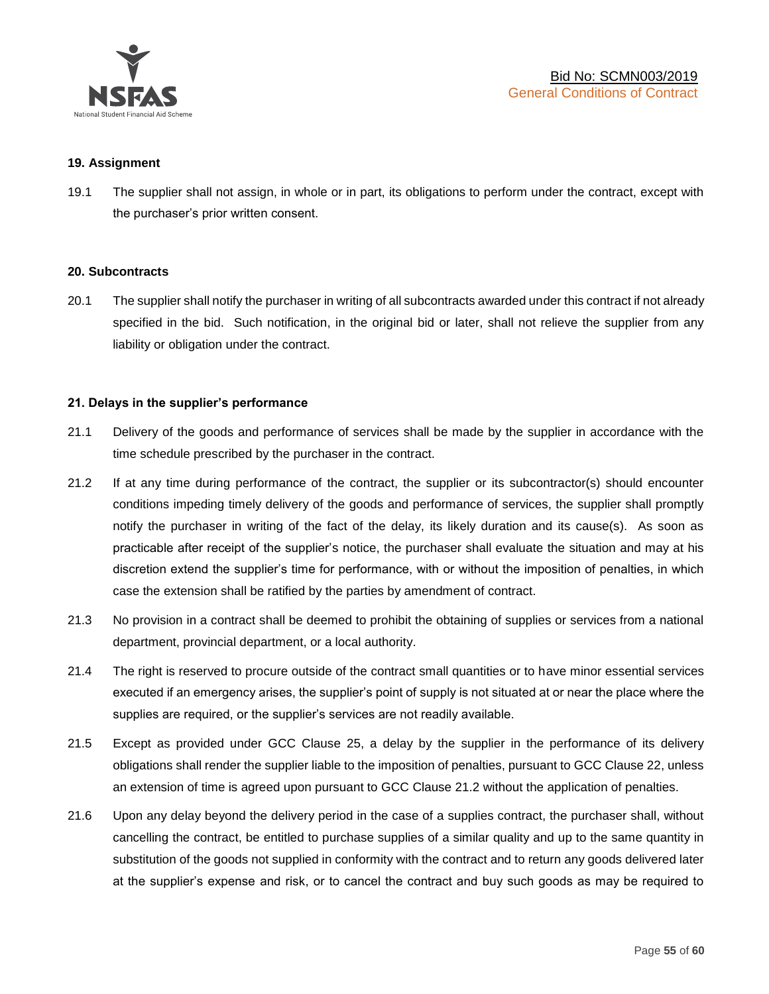

#### **19. Assignment**

19.1 The supplier shall not assign, in whole or in part, its obligations to perform under the contract, except with the purchaser's prior written consent.

#### **20. Subcontracts**

20.1 The supplier shall notify the purchaser in writing of all subcontracts awarded under this contract if not already specified in the bid. Such notification, in the original bid or later, shall not relieve the supplier from any liability or obligation under the contract.

## **21. Delays in the supplier's performance**

- 21.1 Delivery of the goods and performance of services shall be made by the supplier in accordance with the time schedule prescribed by the purchaser in the contract.
- 21.2 If at any time during performance of the contract, the supplier or its subcontractor(s) should encounter conditions impeding timely delivery of the goods and performance of services, the supplier shall promptly notify the purchaser in writing of the fact of the delay, its likely duration and its cause(s). As soon as practicable after receipt of the supplier's notice, the purchaser shall evaluate the situation and may at his discretion extend the supplier's time for performance, with or without the imposition of penalties, in which case the extension shall be ratified by the parties by amendment of contract.
- 21.3 No provision in a contract shall be deemed to prohibit the obtaining of supplies or services from a national department, provincial department, or a local authority.
- 21.4 The right is reserved to procure outside of the contract small quantities or to have minor essential services executed if an emergency arises, the supplier's point of supply is not situated at or near the place where the supplies are required, or the supplier's services are not readily available.
- 21.5 Except as provided under GCC Clause 25, a delay by the supplier in the performance of its delivery obligations shall render the supplier liable to the imposition of penalties, pursuant to GCC Clause 22, unless an extension of time is agreed upon pursuant to GCC Clause 21.2 without the application of penalties.
- 21.6 Upon any delay beyond the delivery period in the case of a supplies contract, the purchaser shall, without cancelling the contract, be entitled to purchase supplies of a similar quality and up to the same quantity in substitution of the goods not supplied in conformity with the contract and to return any goods delivered later at the supplier's expense and risk, or to cancel the contract and buy such goods as may be required to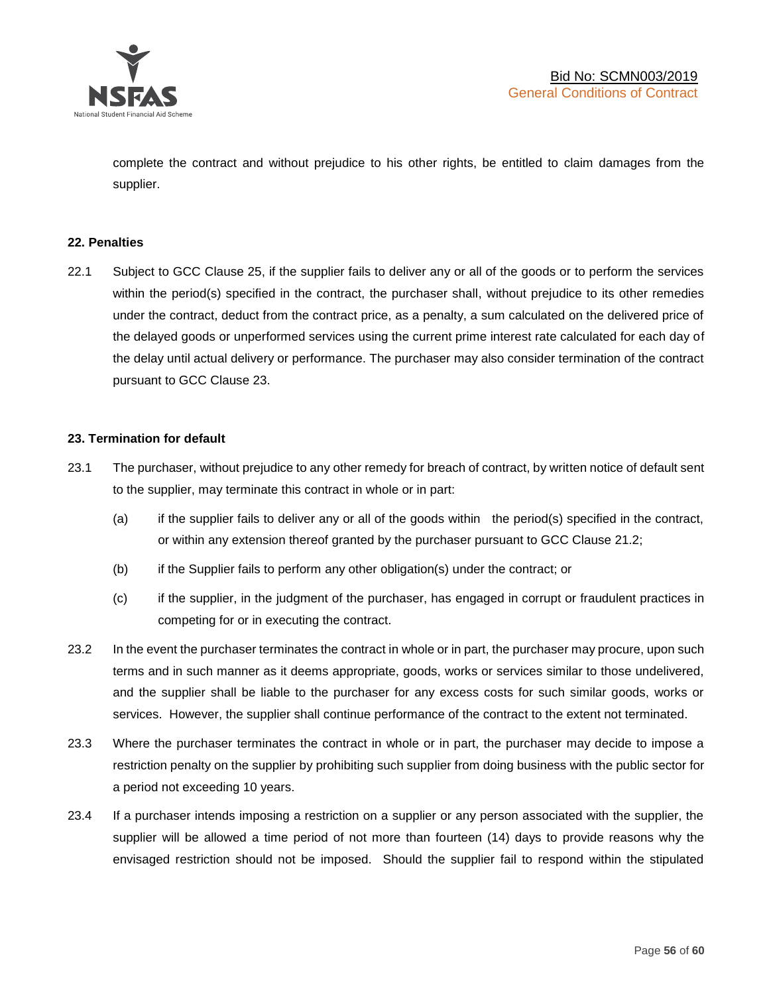

complete the contract and without prejudice to his other rights, be entitled to claim damages from the supplier.

#### **22. Penalties**

22.1 Subject to GCC Clause 25, if the supplier fails to deliver any or all of the goods or to perform the services within the period(s) specified in the contract, the purchaser shall, without prejudice to its other remedies under the contract, deduct from the contract price, as a penalty, a sum calculated on the delivered price of the delayed goods or unperformed services using the current prime interest rate calculated for each day of the delay until actual delivery or performance. The purchaser may also consider termination of the contract pursuant to GCC Clause 23.

## **23. Termination for default**

- 23.1 The purchaser, without prejudice to any other remedy for breach of contract, by written notice of default sent to the supplier, may terminate this contract in whole or in part:
	- (a) if the supplier fails to deliver any or all of the goods within the period(s) specified in the contract, or within any extension thereof granted by the purchaser pursuant to GCC Clause 21.2;
	- (b) if the Supplier fails to perform any other obligation(s) under the contract; or
	- (c) if the supplier, in the judgment of the purchaser, has engaged in corrupt or fraudulent practices in competing for or in executing the contract.
- 23.2 In the event the purchaser terminates the contract in whole or in part, the purchaser may procure, upon such terms and in such manner as it deems appropriate, goods, works or services similar to those undelivered, and the supplier shall be liable to the purchaser for any excess costs for such similar goods, works or services. However, the supplier shall continue performance of the contract to the extent not terminated.
- 23.3 Where the purchaser terminates the contract in whole or in part, the purchaser may decide to impose a restriction penalty on the supplier by prohibiting such supplier from doing business with the public sector for a period not exceeding 10 years.
- 23.4 If a purchaser intends imposing a restriction on a supplier or any person associated with the supplier, the supplier will be allowed a time period of not more than fourteen (14) days to provide reasons why the envisaged restriction should not be imposed. Should the supplier fail to respond within the stipulated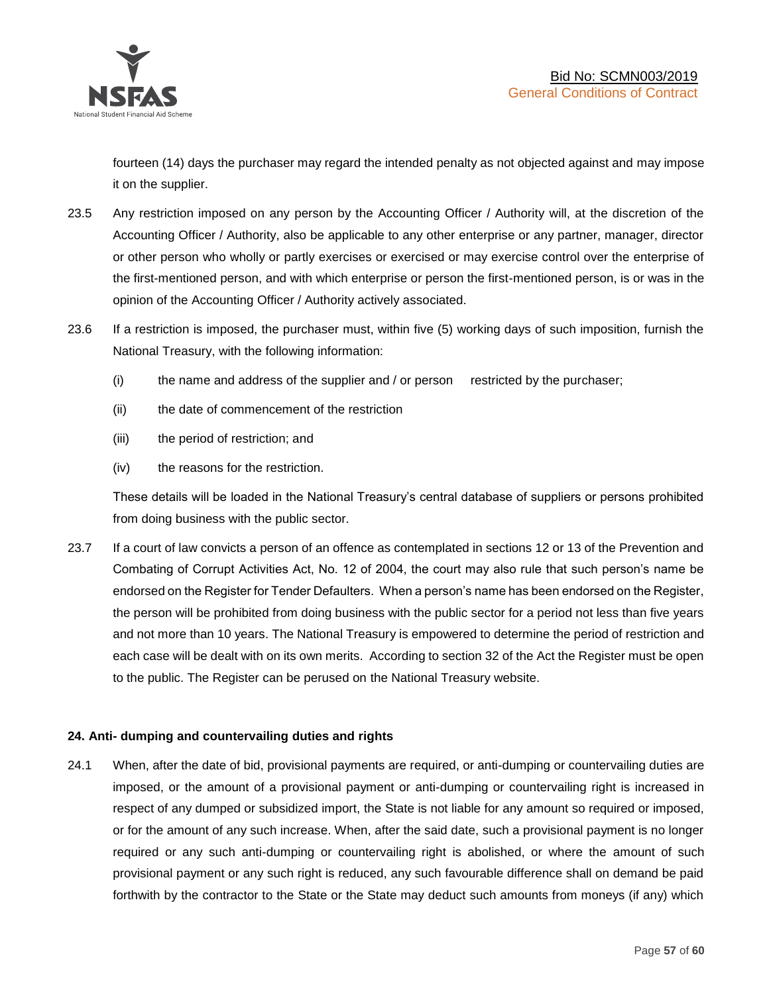

fourteen (14) days the purchaser may regard the intended penalty as not objected against and may impose it on the supplier.

- 23.5 Any restriction imposed on any person by the Accounting Officer / Authority will, at the discretion of the Accounting Officer / Authority, also be applicable to any other enterprise or any partner, manager, director or other person who wholly or partly exercises or exercised or may exercise control over the enterprise of the first-mentioned person, and with which enterprise or person the first-mentioned person, is or was in the opinion of the Accounting Officer / Authority actively associated.
- 23.6 If a restriction is imposed, the purchaser must, within five (5) working days of such imposition, furnish the National Treasury, with the following information:
	- (i) the name and address of the supplier and / or person restricted by the purchaser;
	- (ii) the date of commencement of the restriction
	- (iii) the period of restriction; and
	- (iv) the reasons for the restriction.

These details will be loaded in the National Treasury's central database of suppliers or persons prohibited from doing business with the public sector.

23.7 If a court of law convicts a person of an offence as contemplated in sections 12 or 13 of the Prevention and Combating of Corrupt Activities Act, No. 12 of 2004, the court may also rule that such person's name be endorsed on the Register for Tender Defaulters. When a person's name has been endorsed on the Register, the person will be prohibited from doing business with the public sector for a period not less than five years and not more than 10 years. The National Treasury is empowered to determine the period of restriction and each case will be dealt with on its own merits. According to section 32 of the Act the Register must be open to the public. The Register can be perused on the National Treasury website.

## **24. Anti- dumping and countervailing duties and rights**

24.1 When, after the date of bid, provisional payments are required, or anti-dumping or countervailing duties are imposed, or the amount of a provisional payment or anti-dumping or countervailing right is increased in respect of any dumped or subsidized import, the State is not liable for any amount so required or imposed, or for the amount of any such increase. When, after the said date, such a provisional payment is no longer required or any such anti-dumping or countervailing right is abolished, or where the amount of such provisional payment or any such right is reduced, any such favourable difference shall on demand be paid forthwith by the contractor to the State or the State may deduct such amounts from moneys (if any) which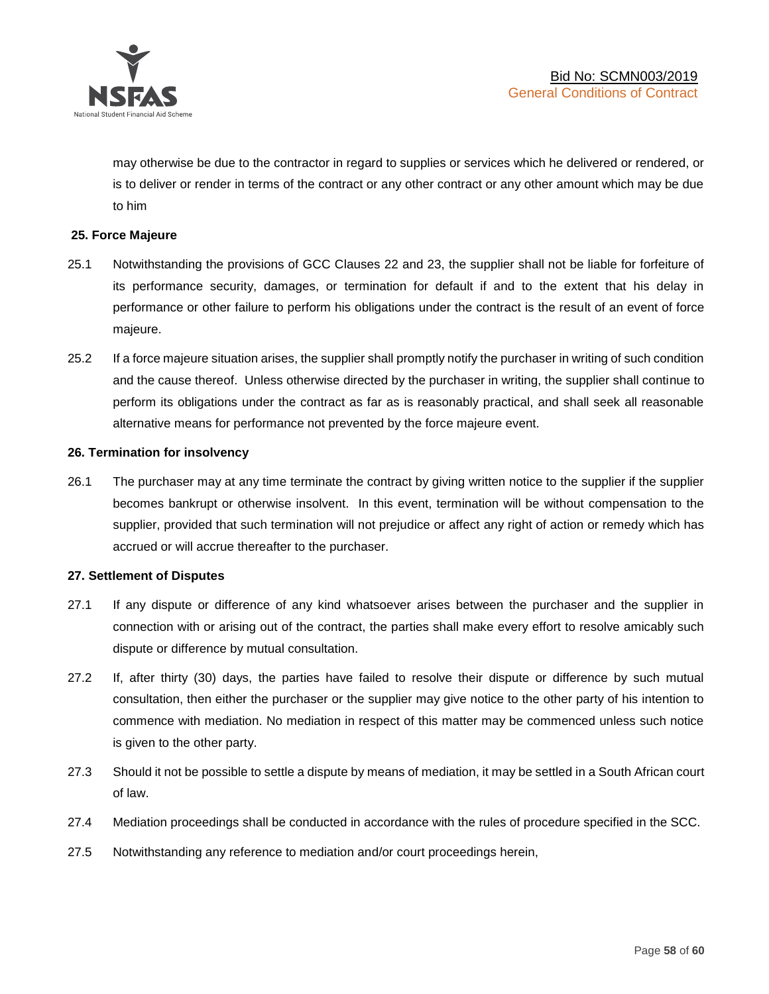

may otherwise be due to the contractor in regard to supplies or services which he delivered or rendered, or is to deliver or render in terms of the contract or any other contract or any other amount which may be due to him

## **25. Force Majeure**

- 25.1 Notwithstanding the provisions of GCC Clauses 22 and 23, the supplier shall not be liable for forfeiture of its performance security, damages, or termination for default if and to the extent that his delay in performance or other failure to perform his obligations under the contract is the result of an event of force majeure.
- 25.2 If a force majeure situation arises, the supplier shall promptly notify the purchaser in writing of such condition and the cause thereof. Unless otherwise directed by the purchaser in writing, the supplier shall continue to perform its obligations under the contract as far as is reasonably practical, and shall seek all reasonable alternative means for performance not prevented by the force majeure event.

#### **26. Termination for insolvency**

26.1 The purchaser may at any time terminate the contract by giving written notice to the supplier if the supplier becomes bankrupt or otherwise insolvent. In this event, termination will be without compensation to the supplier, provided that such termination will not prejudice or affect any right of action or remedy which has accrued or will accrue thereafter to the purchaser.

#### **27. Settlement of Disputes**

- 27.1 If any dispute or difference of any kind whatsoever arises between the purchaser and the supplier in connection with or arising out of the contract, the parties shall make every effort to resolve amicably such dispute or difference by mutual consultation.
- 27.2 If, after thirty (30) days, the parties have failed to resolve their dispute or difference by such mutual consultation, then either the purchaser or the supplier may give notice to the other party of his intention to commence with mediation. No mediation in respect of this matter may be commenced unless such notice is given to the other party.
- 27.3 Should it not be possible to settle a dispute by means of mediation, it may be settled in a South African court of law.
- 27.4 Mediation proceedings shall be conducted in accordance with the rules of procedure specified in the SCC.
- 27.5 Notwithstanding any reference to mediation and/or court proceedings herein,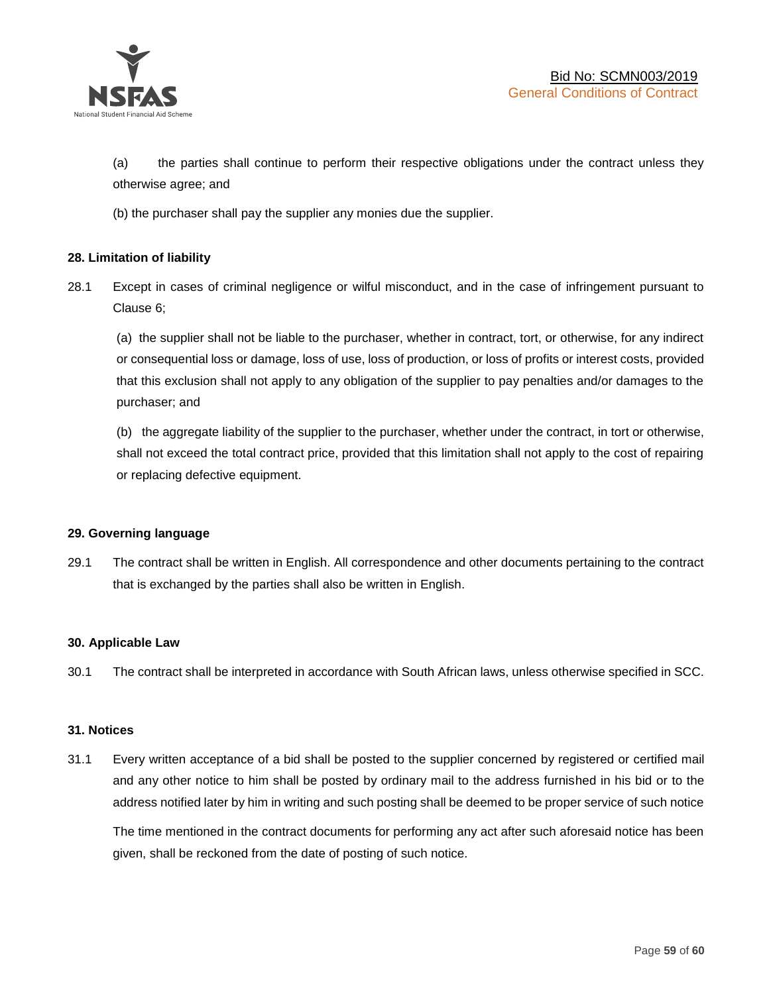

(a) the parties shall continue to perform their respective obligations under the contract unless they otherwise agree; and

(b) the purchaser shall pay the supplier any monies due the supplier.

## **28. Limitation of liability**

28.1 Except in cases of criminal negligence or wilful misconduct, and in the case of infringement pursuant to Clause 6;

(a) the supplier shall not be liable to the purchaser, whether in contract, tort, or otherwise, for any indirect or consequential loss or damage, loss of use, loss of production, or loss of profits or interest costs, provided that this exclusion shall not apply to any obligation of the supplier to pay penalties and/or damages to the purchaser; and

(b) the aggregate liability of the supplier to the purchaser, whether under the contract, in tort or otherwise, shall not exceed the total contract price, provided that this limitation shall not apply to the cost of repairing or replacing defective equipment.

#### **29. Governing language**

29.1 The contract shall be written in English. All correspondence and other documents pertaining to the contract that is exchanged by the parties shall also be written in English.

#### **30. Applicable Law**

30.1 The contract shall be interpreted in accordance with South African laws, unless otherwise specified in SCC.

#### **31. Notices**

31.1 Every written acceptance of a bid shall be posted to the supplier concerned by registered or certified mail and any other notice to him shall be posted by ordinary mail to the address furnished in his bid or to the address notified later by him in writing and such posting shall be deemed to be proper service of such notice

The time mentioned in the contract documents for performing any act after such aforesaid notice has been given, shall be reckoned from the date of posting of such notice.